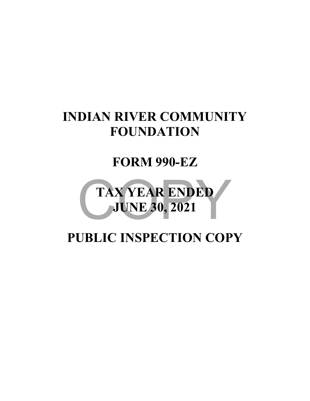# **INDIAN RIVER COMMUNITY FOUNDATION**

# **FORM 990-EZ**



# **PUBLIC INSPECTION COPY**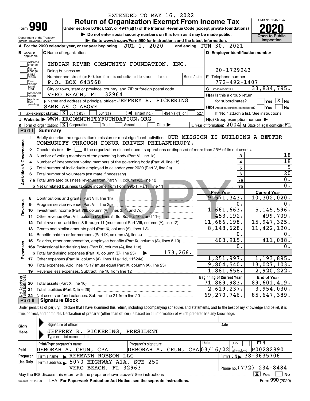|                                      |                                                          |                                                               | EXTENDED TO MAY 16, 2022                                                                                                                                   |                                                                     |            |                                                                   | OMB No. 1545-0047                                    |
|--------------------------------------|----------------------------------------------------------|---------------------------------------------------------------|------------------------------------------------------------------------------------------------------------------------------------------------------------|---------------------------------------------------------------------|------------|-------------------------------------------------------------------|------------------------------------------------------|
| Form <b>990</b>                      |                                                          |                                                               | <b>Return of Organization Exempt From Income Tax</b><br>Under section 501(c), 527, or 4947(a)(1) of the Internal Revenue Code (except private foundations) |                                                                     |            |                                                                   |                                                      |
|                                      |                                                          |                                                               | Do not enter social security numbers on this form as it may be made public.                                                                                |                                                                     |            |                                                                   |                                                      |
| Department of the Treasury           |                                                          |                                                               | Go to www.irs.gov/Form990 for instructions and the latest information.                                                                                     |                                                                     |            |                                                                   | <b>Open to Public</b><br>Inspection                  |
| Internal Revenue Service             |                                                          | A For the 2020 calendar year, or tax year beginning           | JUL 1, 2020                                                                                                                                                |                                                                     |            | and ending $JUN$ 30, $2021$                                       |                                                      |
| в.<br>Check if                       |                                                          | <b>C</b> Name of organization                                 |                                                                                                                                                            |                                                                     |            | D Employer identification number                                  |                                                      |
| applicable:                          |                                                          |                                                               |                                                                                                                                                            |                                                                     |            |                                                                   |                                                      |
| Address<br>change                    |                                                          |                                                               | INDIAN RIVER COMMUNITY FOUNDATION, INC.                                                                                                                    |                                                                     |            |                                                                   |                                                      |
| Name<br>change                       | Doing business as                                        |                                                               |                                                                                                                                                            |                                                                     |            | 20-1729243                                                        |                                                      |
| Initial<br>return                    |                                                          |                                                               | Number and street (or P.O. box if mail is not delivered to street address)                                                                                 |                                                                     | Room/suite | E Telephone number                                                |                                                      |
| Final<br>return/                     |                                                          | P.O. BOX 643968                                               |                                                                                                                                                            |                                                                     |            | $772 - 492 - 1407$                                                |                                                      |
| termin-<br>ated                      |                                                          |                                                               | City or town, state or province, country, and ZIP or foreign postal code                                                                                   |                                                                     |            | G Gross receipts \$                                               | 33,834,795.                                          |
| Amended<br> return                   |                                                          | VERO BEACH, FL 32964                                          |                                                                                                                                                            |                                                                     |            | H(a) Is this a group return                                       |                                                      |
| Applica-<br>tion                     |                                                          |                                                               | F Name and address of principal officer: JEFFREY R. PICKERING                                                                                              |                                                                     |            | for subordinates?                                                 | $\overline{\mathsf{Yes}}$ $\overline{\mathsf{X}}$ No |
| pending                              |                                                          | SAME AS C ABOVE                                               |                                                                                                                                                            |                                                                     |            | $H(b)$ Are all subordinates included? $\Box$ Yes                  |                                                      |
|                                      | Tax-exempt status: $\boxed{\mathbf{X}}$ 501(c)(3)        | $501(c)$ (                                                    | $\sqrt{\frac{1}{1}}$ (insert no.)                                                                                                                          | $4947(a)(1)$ or                                                     | 527        |                                                                   | If "No," attach a list. See instructions             |
|                                      |                                                          |                                                               | J Website: WWW.IRCOMMUNITYFOUNDATION.ORG                                                                                                                   |                                                                     |            | $H(c)$ Group exemption number $\blacktriangleright$               |                                                      |
|                                      | K Form of organization: $\boxed{\mathbf{X}}$ Corporation |                                                               | Trust<br>Association                                                                                                                                       | Other $\blacktriangleright$                                         |            | L Year of formation: $2004 \vert$ M State of legal domicile: $FL$ |                                                      |
| Part I                               | <b>Summary</b>                                           |                                                               |                                                                                                                                                            |                                                                     |            |                                                                   |                                                      |
| 1.                                   |                                                          |                                                               | Briefly describe the organization's mission or most significant activities: OUR MISSION IS BUILDING A BETTER                                               |                                                                     |            |                                                                   |                                                      |
|                                      |                                                          |                                                               | COMMUNITY THROUGH DONOR-DRIVEN PHILANTHROPY.                                                                                                               |                                                                     |            |                                                                   |                                                      |
| 2                                    |                                                          |                                                               | Check this box $\blacktriangleright$ $\Box$ if the organization discontinued its operations or disposed of more than 25% of its net assets.                |                                                                     |            |                                                                   |                                                      |
| з                                    |                                                          |                                                               | Number of voting members of the governing body (Part VI, line 1a)                                                                                          |                                                                     |            | 3                                                                 |                                                      |
|                                      |                                                          |                                                               |                                                                                                                                                            |                                                                     |            | $\overline{4}$                                                    |                                                      |
|                                      |                                                          |                                                               | Total number of individuals employed in calendar year 2020 (Part V, line 2a) manufacture controller to intervent                                           |                                                                     |            | $\overline{5}$                                                    |                                                      |
|                                      |                                                          |                                                               |                                                                                                                                                            |                                                                     |            |                                                                   |                                                      |
|                                      |                                                          |                                                               |                                                                                                                                                            |                                                                     |            | $6\phantom{a}$                                                    |                                                      |
|                                      |                                                          |                                                               |                                                                                                                                                            |                                                                     |            | 7a                                                                |                                                      |
| Activities & Governance              |                                                          |                                                               | <b>b</b> Net unrelated business taxable income from Form 990-T, Part I, line 11                                                                            |                                                                     |            | 7b                                                                |                                                      |
|                                      |                                                          |                                                               |                                                                                                                                                            |                                                                     |            | <b>Prior Year</b>                                                 | <b>Current Year</b>                                  |
| 8                                    |                                                          | Contributions and grants (Part VIII, line 1h)                 |                                                                                                                                                            | <u> El anomeno de la componenta</u>                                 |            | 9,571,343.                                                        | $\overline{10}$ , 302, 020.                          |
| 9                                    |                                                          | Program service revenue (Part VIII, line 2g)                  |                                                                                                                                                            |                                                                     |            | 0.                                                                |                                                      |
| 10                                   |                                                          |                                                               | Investment income (Part VIII, column (A), lines 3, 4, and 7d) <b>A. A. A. A. A. A. A. A. A. A. A.</b> A. A. A. A. A. A.                                    | <u> 1988 - Januar Amerikaanse kommunister en in de oprjocht geh</u> |            | 1,661,663.                                                        | 5, 145, 596.                                         |
| 11                                   |                                                          |                                                               |                                                                                                                                                            |                                                                     |            | 453,192.                                                          | 499,709.                                             |
| 12                                   |                                                          |                                                               | Total revenue - add lines 8 through 11 (must equal Part VIII, column (A), line 12)                                                                         |                                                                     |            | 11,686,198.                                                       | 15,947,325.                                          |
| 13                                   |                                                          |                                                               | Grants and similar amounts paid (Part IX, column (A), lines 1-3)                                                                                           |                                                                     |            | 8, 148, 628.                                                      | 11,422,120.                                          |
| 14                                   |                                                          | Benefits paid to or for members (Part IX, column (A), line 4) |                                                                                                                                                            |                                                                     |            | 0.                                                                |                                                      |
|                                      |                                                          |                                                               | 15 Salaries, other compensation, employee benefits (Part IX, column (A), lines 5-10)                                                                       |                                                                     |            | 403,915.                                                          | 411,088.                                             |
|                                      |                                                          |                                                               |                                                                                                                                                            |                                                                     |            | 0.                                                                |                                                      |
|                                      |                                                          |                                                               |                                                                                                                                                            |                                                                     |            |                                                                   |                                                      |
| Revenue<br>Expenses                  |                                                          |                                                               |                                                                                                                                                            |                                                                     |            | 1,251,997.                                                        | 1,193,895.                                           |
| 18                                   |                                                          |                                                               | Total expenses. Add lines 13-17 (must equal Part IX, column (A), line 25)                                                                                  |                                                                     |            | 9,804,540.                                                        | $\overline{13}$ , 027, 103.                          |
| 19                                   |                                                          |                                                               |                                                                                                                                                            |                                                                     |            | $\overline{1}$ , 881, 658.                                        | 2,920,222.                                           |
|                                      |                                                          |                                                               |                                                                                                                                                            |                                                                     |            | <b>Beginning of Current Year</b>                                  | <b>End of Year</b>                                   |
| 20                                   | Total assets (Part X, line 16)                           |                                                               |                                                                                                                                                            |                                                                     |            | 71,889,983.                                                       | 89,601,419.                                          |
| 21                                   |                                                          | Total liabilities (Part X, line 26)                           |                                                                                                                                                            |                                                                     |            | 2,619,237.                                                        | 3,954,030.                                           |
| t Assets or<br>d Balances<br>鲳<br>22 |                                                          |                                                               |                                                                                                                                                            |                                                                     |            | 69,270,746.                                                       | 85,647,389.                                          |

| Sign            | Signature of officer                                                                                     |                                  | Date                           |  |  |  |  |  |  |  |  |
|-----------------|----------------------------------------------------------------------------------------------------------|----------------------------------|--------------------------------|--|--|--|--|--|--|--|--|
| Here            | JEFFREY R. PICKERING, PRESIDENT                                                                          |                                  |                                |  |  |  |  |  |  |  |  |
|                 | Type or print name and title                                                                             |                                  |                                |  |  |  |  |  |  |  |  |
|                 | Print/Type preparer's name                                                                               | Preparer's signature             | <b>PTIN</b><br>Date<br>Check   |  |  |  |  |  |  |  |  |
| Paid            | DEBORAH A. CRUM, CPA                                                                                     | DEBORAH A. CRUM, $CPA[03/16/22]$ | P00282890<br>self-emploved     |  |  |  |  |  |  |  |  |
| Preparer        | Firm's name REHMANN<br>ROBSON LLC                                                                        |                                  | Firm's EIN $\geq 38 - 3635706$ |  |  |  |  |  |  |  |  |
| Use Only        | Firm's address > 5070 HIGHWAY A1A, STE 250                                                               |                                  |                                |  |  |  |  |  |  |  |  |
|                 | VERO BEACH, FL 32963                                                                                     |                                  | Phone no. $(772)$ $234 - 8484$ |  |  |  |  |  |  |  |  |
|                 | x<br>Yes<br><b>No</b><br>May the IRS discuss this return with the preparer shown above? See instructions |                                  |                                |  |  |  |  |  |  |  |  |
| 032001 12-23-20 | LHA For Paperwork Reduction Act Notice, see the separate instructions.                                   |                                  | Form 990 (2020)                |  |  |  |  |  |  |  |  |
|                 |                                                                                                          |                                  |                                |  |  |  |  |  |  |  |  |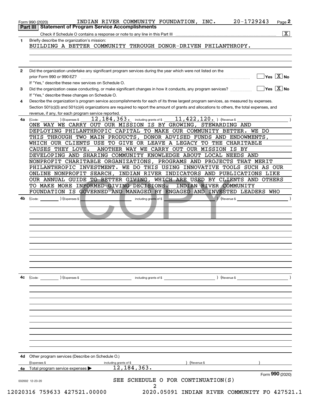|          | $\overline{\mathbf{x}}$                                                                                                                                                                                                                                                                                                                                                                                                                                                                                                                                                                                                                                                                                                                                                                                                                                                                                                                                                                                                                                  |
|----------|----------------------------------------------------------------------------------------------------------------------------------------------------------------------------------------------------------------------------------------------------------------------------------------------------------------------------------------------------------------------------------------------------------------------------------------------------------------------------------------------------------------------------------------------------------------------------------------------------------------------------------------------------------------------------------------------------------------------------------------------------------------------------------------------------------------------------------------------------------------------------------------------------------------------------------------------------------------------------------------------------------------------------------------------------------|
| 1        | Briefly describe the organization's mission:<br>BUILDING A BETTER COMMUNITY THROUGH DONOR-DRIVEN PHILANTHROPY.                                                                                                                                                                                                                                                                                                                                                                                                                                                                                                                                                                                                                                                                                                                                                                                                                                                                                                                                           |
|          |                                                                                                                                                                                                                                                                                                                                                                                                                                                                                                                                                                                                                                                                                                                                                                                                                                                                                                                                                                                                                                                          |
| 2        | Did the organization undertake any significant program services during the year which were not listed on the<br>$Yes \sqrt{X}$ No<br>prior Form 990 or 990-EZ?<br>If "Yes," describe these new services on Schedule O.                                                                                                                                                                                                                                                                                                                                                                                                                                                                                                                                                                                                                                                                                                                                                                                                                                   |
| 3        | $\overline{\mathsf{Yes} \mathrel{\;\; X} \mathsf{No}}$<br>Did the organization cease conducting, or make significant changes in how it conducts, any program services?<br>If "Yes," describe these changes on Schedule O.                                                                                                                                                                                                                                                                                                                                                                                                                                                                                                                                                                                                                                                                                                                                                                                                                                |
| 4        | Describe the organization's program service accomplishments for each of its three largest program services, as measured by expenses.<br>Section 501(c)(3) and 501(c)(4) organizations are required to report the amount of grants and allocations to others, the total expenses, and<br>revenue, if any, for each program service reported.                                                                                                                                                                                                                                                                                                                                                                                                                                                                                                                                                                                                                                                                                                              |
| 4a<br>4b | $11, 422, 120.$ (Revenue \$<br>12, 184, 363. including grants of \$<br>) (Expenses \$<br>(Code:<br>ONE WAY WE CARRY OUT OUR MISSION IS BY GROWING, STEWARDING AND<br>DEPLOYING PHILANTHROPIC CAPITAL TO MAKE OUR COMMUNITY BETTER. WE DO<br>THIS THROUGH TWO MAIN PRODUCTS, DONOR ADVISED FUNDS AND ENDOWMENTS,<br>WHICH OUR CLIENTS USE TO GIVE OR LEAVE A LEGACY TO THE CHARITABLE<br>ANOTHER WAY WE CARRY OUT OUR MISSION IS BY<br>CAUSES THEY LOVE.<br>DEVELOPING AND SHARING COMMUNITY KNOWLEDGE ABOUT LOCAL NEEDS AND<br>NONPROFIT CHARITABLE ORGANIZATIONS, PROGRAMS AND PROJECTS THAT MERIT<br>PHILANTHROPIC INVESTMENT. WE DO THIS USING INNOVATIVE TOOLS SUCH AS OUR<br>ONLINE NONPROFIT SEARCH,<br>INDIAN RIVER INDICATORS AND PUBLICATIONS LIKE<br>OUR ANNUAL GUIDE TO BETTER GIVING, WHICH ARE USED BY CLIENTS AND OTHERS<br>TO MAKE MORE INFORMED GIVING DECISIONS.<br>INDIAN RIVER COMMUNITY<br>FOUNDATION IS GOVERNED AND MANAGED BY ENGAGED AND INVESTED LEADERS WHO<br>(Expenses \$<br>including grants of \$<br>(Revenue \$<br>(Code: |
|          |                                                                                                                                                                                                                                                                                                                                                                                                                                                                                                                                                                                                                                                                                                                                                                                                                                                                                                                                                                                                                                                          |
| 4c       | including grants of \$<br>(Code: ) (Expenses \$<br>) (Revenue \$                                                                                                                                                                                                                                                                                                                                                                                                                                                                                                                                                                                                                                                                                                                                                                                                                                                                                                                                                                                         |
| 4d       | Other program services (Describe on Schedule O.)<br>(Expenses \$<br>(Revenue \$<br>including grants of \$                                                                                                                                                                                                                                                                                                                                                                                                                                                                                                                                                                                                                                                                                                                                                                                                                                                                                                                                                |
| 4e       | 12, 184, 363.<br>Total program service expenses                                                                                                                                                                                                                                                                                                                                                                                                                                                                                                                                                                                                                                                                                                                                                                                                                                                                                                                                                                                                          |
|          | Form 990 (2020)                                                                                                                                                                                                                                                                                                                                                                                                                                                                                                                                                                                                                                                                                                                                                                                                                                                                                                                                                                                                                                          |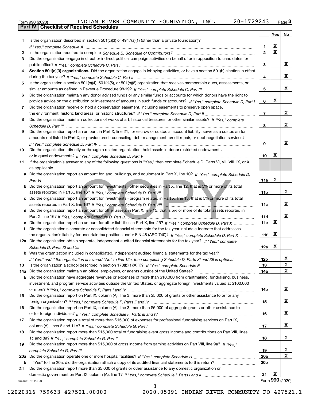|  | Form 990 (2020) |
|--|-----------------|

|     |                                                                                                                                  |                 | Yes                     | No              |
|-----|----------------------------------------------------------------------------------------------------------------------------------|-----------------|-------------------------|-----------------|
| 1   | Is the organization described in section $501(c)(3)$ or $4947(a)(1)$ (other than a private foundation)?                          |                 |                         |                 |
|     |                                                                                                                                  | 1.              | X                       |                 |
| 2   |                                                                                                                                  | $\overline{2}$  | $\overline{\mathbf{x}}$ |                 |
| 3   | Did the organization engage in direct or indirect political campaign activities on behalf of or in opposition to candidates for  |                 |                         |                 |
|     |                                                                                                                                  | 3               |                         | x               |
| 4   | Section 501(c)(3) organizations. Did the organization engage in lobbying activities, or have a section 501(h) election in effect |                 |                         |                 |
|     |                                                                                                                                  | 4               |                         | x               |
| 5   | Is the organization a section 501(c)(4), 501(c)(5), or 501(c)(6) organization that receives membership dues, assessments, or     |                 |                         |                 |
|     |                                                                                                                                  | 5               |                         | x               |
| 6   | Did the organization maintain any donor advised funds or any similar funds or accounts for which donors have the right to        |                 | X                       |                 |
|     | provide advice on the distribution or investment of amounts in such funds or accounts? If "Yes," complete Schedule D, Part I     | 6               |                         |                 |
| 7   | Did the organization receive or hold a conservation easement, including easements to preserve open space,                        |                 |                         | x               |
|     |                                                                                                                                  | $\overline{7}$  |                         |                 |
| 8   | Did the organization maintain collections of works of art, historical treasures, or other similar assets? If "Yes," complete     | 8               |                         | х               |
| 9   | Did the organization report an amount in Part X, line 21, for escrow or custodial account liability, serve as a custodian for    |                 |                         |                 |
|     | amounts not listed in Part X; or provide credit counseling, debt management, credit repair, or debt negotiation services?        |                 |                         |                 |
|     |                                                                                                                                  | 9               |                         | x               |
| 10  | Did the organization, directly or through a related organization, hold assets in donor-restricted endowments                     |                 |                         |                 |
|     |                                                                                                                                  | 10              | Х                       |                 |
| 11  | If the organization's answer to any of the following questions is "Yes," then complete Schedule D, Parts VI, VII, VIII, IX, or X |                 |                         |                 |
|     | as applicable.                                                                                                                   |                 |                         |                 |
|     | a Did the organization report an amount for land, buildings, and equipment in Part X, line 10? If "Yes," complete Schedule D,    |                 |                         |                 |
|     |                                                                                                                                  | 11a             | X                       |                 |
|     | Did the organization report an amount for investments - other securities in Part X, line 12, that is 5% or more of its total     |                 |                         |                 |
|     |                                                                                                                                  | 11 <sub>b</sub> |                         | x               |
|     | Did the organization report an amount for investments - program related in Part X, line 13, that is 5% or more of its total      |                 |                         |                 |
|     |                                                                                                                                  | 11c             |                         | x               |
| d   | Did the organization report an amount for other assets in Part X, line 15, that is 5% or more of its total assets reported in    |                 |                         |                 |
|     |                                                                                                                                  | 11d             |                         | x               |
|     | Did the organization report an amount for other liabilities in Part X, line 25? If "Yes," complete Schedule D, Part X            | 11e             | $\mathbf X$             |                 |
|     | Did the organization's separate or consolidated financial statements for the tax year include a footnote that addresses          |                 |                         |                 |
|     | the organization's liability for uncertain tax positions under FIN 48 (ASC 740)? If "Yes," complete Schedule D, Part X           | 11f             | X                       |                 |
|     | 12a Did the organization obtain separate, independent audited financial statements for the tax year? If "Yes," complete          |                 |                         |                 |
|     |                                                                                                                                  | 12a             | X                       |                 |
|     | <b>b</b> Was the organization included in consolidated, independent audited financial statements for the tax year?               |                 |                         |                 |
|     | If "Yes," and if the organization answered "No" to line 12a, then completing Schedule D, Parts XI and XII is optional            | 12b             |                         | ᅀ               |
| 13  |                                                                                                                                  | 13              |                         | $\mathbf X$     |
| 14a | Did the organization maintain an office, employees, or agents outside of the United States?                                      | 14a             |                         | X               |
| b   | Did the organization have aggregate revenues or expenses of more than \$10,000 from grantmaking, fundraising, business,          |                 |                         |                 |
|     | investment, and program service activities outside the United States, or aggregate foreign investments valued at \$100,000       |                 |                         | x               |
| 15  | Did the organization report on Part IX, column (A), line 3, more than \$5,000 of grants or other assistance to or for any        | 14b             |                         |                 |
|     |                                                                                                                                  | 15              |                         | x               |
| 16  | Did the organization report on Part IX, column (A), line 3, more than \$5,000 of aggregate grants or other assistance to         |                 |                         |                 |
|     |                                                                                                                                  | 16              |                         | x               |
| 17  | Did the organization report a total of more than \$15,000 of expenses for professional fundraising services on Part IX,          |                 |                         |                 |
|     |                                                                                                                                  | 17              |                         | x               |
| 18  | Did the organization report more than \$15,000 total of fundraising event gross income and contributions on Part VIII, lines     |                 |                         |                 |
|     |                                                                                                                                  | 18              |                         | x               |
| 19  | Did the organization report more than \$15,000 of gross income from gaming activities on Part VIII, line 9a? If "Yes."           |                 |                         |                 |
|     |                                                                                                                                  | 19              |                         | x               |
| 20a |                                                                                                                                  | 20a             |                         | X               |
| b   | If "Yes" to line 20a, did the organization attach a copy of its audited financial statements to this return?                     | 20 <sub>b</sub> |                         |                 |
| 21  | Did the organization report more than \$5,000 of grants or other assistance to any domestic organization or                      |                 |                         |                 |
|     |                                                                                                                                  | 21              | X                       |                 |
|     | 032003 12-23-20                                                                                                                  |                 |                         | Form 990 (2020) |
|     | ર                                                                                                                                |                 |                         |                 |

3

032003 12-23-20

12020316 759633 427521.00000 2020.05091 INDIAN RIVER COMMUNITY FO 427521.1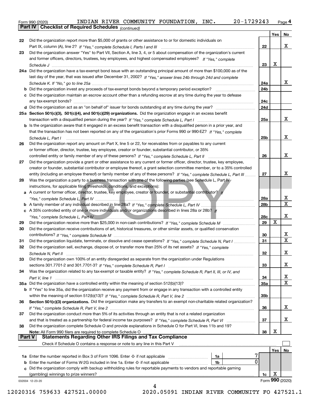| Form 990 (2020) |                                                              |  | INDIAN RIVER COMMUNITY FOUNDATION, INC. | $20 - 1729243$ | Page $4$ |
|-----------------|--------------------------------------------------------------|--|-----------------------------------------|----------------|----------|
|                 | <b>Part IV   Checklist of Required Schedules</b> (continued) |  |                                         |                |          |

*(continued)*

|               |                                                                                                                              |            | Yes | No              |
|---------------|------------------------------------------------------------------------------------------------------------------------------|------------|-----|-----------------|
| 22            | Did the organization report more than \$5,000 of grants or other assistance to or for domestic individuals on                |            |     |                 |
|               |                                                                                                                              | 22         |     | x               |
| 23            | Did the organization answer "Yes" to Part VII, Section A, line 3, 4, or 5 about compensation of the organization's current   |            |     |                 |
|               | and former officers, directors, trustees, key employees, and highest compensated employees? If "Yes," complete               |            |     |                 |
|               |                                                                                                                              | 23         | X   |                 |
|               | 24a Did the organization have a tax-exempt bond issue with an outstanding principal amount of more than \$100,000 as of the  |            |     |                 |
|               | last day of the year, that was issued after December 31, 2002? If "Yes," answer lines 24b through 24d and complete           |            |     |                 |
|               |                                                                                                                              |            |     | x               |
|               |                                                                                                                              | 24a        |     |                 |
|               | <b>b</b> Did the organization invest any proceeds of tax-exempt bonds beyond a temporary period exception?                   | 24b        |     |                 |
|               | c Did the organization maintain an escrow account other than a refunding escrow at any time during the year to defease       |            |     |                 |
|               | any tax-exempt bonds?                                                                                                        | 24c        |     |                 |
|               |                                                                                                                              | 24d        |     |                 |
|               | 25a Section 501(c)(3), 501(c)(4), and 501(c)(29) organizations. Did the organization engage in an excess benefit             |            |     |                 |
|               |                                                                                                                              | 25a        |     | x               |
|               | b Is the organization aware that it engaged in an excess benefit transaction with a disqualified person in a prior year, and |            |     |                 |
|               | that the transaction has not been reported on any of the organization's prior Forms 990 or 990-EZ? If "Yes," complete        |            |     |                 |
|               | Schedule L, Part I                                                                                                           | 25b        |     | x               |
| 26            | Did the organization report any amount on Part X, line 5 or 22, for receivables from or payables to any current              |            |     |                 |
|               | or former officer, director, trustee, key employee, creator or founder, substantial contributor, or 35%                      |            |     |                 |
|               | controlled entity or family member of any of these persons? If "Yes," complete Schedule L, Part II                           | 26         |     | x               |
| 27            | Did the organization provide a grant or other assistance to any current or former officer, director, trustee, key employee,  |            |     |                 |
|               | creator or founder, substantial contributor or employee thereof, a grant selection committee member, or to a 35% controlled  |            |     |                 |
|               | entity (including an employee thereof) or family member of any of these persons? If "Yes," complete Schedule L, Part III     | 27         |     | x               |
|               |                                                                                                                              |            |     |                 |
| 28            | Was the organization a party to a business transaction with one of the following parties (see Schedule L, Part IV            |            |     |                 |
|               | instructions, for applicable filing thresholds, conditions, and exceptions):                                                 |            |     |                 |
| a             | A current or former officer, director, trustee, key employee, creator or founder, or substantial contributor? If             |            |     |                 |
|               |                                                                                                                              | 28a        |     | X               |
|               |                                                                                                                              | 28b        |     | $\mathbf X$     |
|               | c A 35% controlled entity of one or more individuals and/or organizations described in lines 28a or 28b? If                  |            |     |                 |
|               |                                                                                                                              | 28c        |     | x               |
| 29            |                                                                                                                              | 29         | X   |                 |
| 30            | Did the organization receive contributions of art, historical treasures, or other similar assets, or qualified conservation  |            |     |                 |
|               |                                                                                                                              | 30         |     | x               |
| 31            | Did the organization liquidate, terminate, or dissolve and cease operations? If "Yes," complete Schedule N, Part I           | 31         |     | $\mathbf{X}$    |
| 32            | Did the organization sell, exchange, dispose of, or transfer more than 25% of its net assets? If "Yes," complete             |            |     |                 |
|               |                                                                                                                              | 32         |     | х               |
|               | Did the organization own 100% of an entity disregarded as separate from the organization under Regulations                   |            |     |                 |
|               |                                                                                                                              | 33         |     | х               |
| 34            | Was the organization related to any tax-exempt or taxable entity? If "Yes," complete Schedule R, Part II, III, or IV, and    |            |     |                 |
|               |                                                                                                                              | 34         |     | x               |
|               | 35a Did the organization have a controlled entity within the meaning of section 512(b)(13)?                                  | <b>35a</b> |     | $\mathbf X$     |
|               | b If "Yes" to line 35a, did the organization receive any payment from or engage in any transaction with a controlled entity  |            |     |                 |
|               |                                                                                                                              | 35b        |     |                 |
| 36            | Section 501(c)(3) organizations. Did the organization make any transfers to an exempt non-charitable related organization?   |            |     |                 |
|               |                                                                                                                              |            |     | x               |
|               |                                                                                                                              | 36         |     |                 |
| 37            | Did the organization conduct more than 5% of its activities through an entity that is not a related organization             |            |     |                 |
|               |                                                                                                                              | 37         |     | x               |
| 38            | Did the organization complete Schedule O and provide explanations in Schedule O for Part VI, lines 11b and 19?               |            |     |                 |
|               |                                                                                                                              | 38         | х   |                 |
| <b>Part V</b> | <b>Statements Regarding Other IRS Filings and Tax Compliance</b>                                                             |            |     |                 |
|               | Check if Schedule O contains a response or note to any line in this Part V                                                   |            |     |                 |
|               |                                                                                                                              |            | Yes | No              |
|               | 1a Enter the number reported in Box 3 of Form 1096. Enter -0- if not applicable<br>1a                                        |            |     |                 |
|               | 0<br><b>b</b> Enter the number of Forms W-2G included in line 1a. Enter -0- if not applicable<br>1b                          |            |     |                 |
|               | c Did the organization comply with backup withholding rules for reportable payments to vendors and reportable gaming         |            |     |                 |
|               | (gambling) winnings to prize winners?                                                                                        | 1c         | х   |                 |
|               | 032004 12-23-20                                                                                                              |            |     | Form 990 (2020) |
|               | 4                                                                                                                            |            |     |                 |

12020316 759633 427521.00000 2020.05091 INDIAN RIVER COMMUNITY FO 427521.1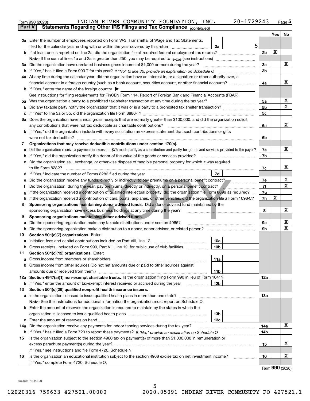|               | INDIAN RIVER COMMUNITY FOUNDATION, INC.<br>20-1729243<br>Form 990 (2020)                                                                                                                                                             |                |   | $Page$ <sup>5</sup> |  |  |  |
|---------------|--------------------------------------------------------------------------------------------------------------------------------------------------------------------------------------------------------------------------------------|----------------|---|---------------------|--|--|--|
| <b>Part V</b> | Statements Regarding Other IRS Filings and Tax Compliance (continued)                                                                                                                                                                |                |   |                     |  |  |  |
|               |                                                                                                                                                                                                                                      |                |   | Yes   No            |  |  |  |
|               | 2a Enter the number of employees reported on Form W-3, Transmittal of Wage and Tax Statements,                                                                                                                                       |                |   |                     |  |  |  |
|               | 5<br>filed for the calendar year ending with or within the year covered by this return<br>2a                                                                                                                                         |                |   |                     |  |  |  |
|               |                                                                                                                                                                                                                                      | 2 <sub>b</sub> | х |                     |  |  |  |
|               |                                                                                                                                                                                                                                      |                |   |                     |  |  |  |
|               | 3a Did the organization have unrelated business gross income of \$1,000 or more during the year?                                                                                                                                     | 3a             |   | х                   |  |  |  |
|               |                                                                                                                                                                                                                                      | 3 <sub>b</sub> |   |                     |  |  |  |
|               | 4a At any time during the calendar year, did the organization have an interest in, or a signature or other authority over, a                                                                                                         |                |   | х                   |  |  |  |
|               | financial account in a foreign country (such as a bank account, securities account, or other financial account)?                                                                                                                     | 4a             |   |                     |  |  |  |
|               | <b>b</b> If "Yes," enter the name of the foreign country $\blacktriangleright$                                                                                                                                                       |                |   |                     |  |  |  |
|               | See instructions for filing requirements for FinCEN Form 114, Report of Foreign Bank and Financial Accounts (FBAR).                                                                                                                  |                |   | х                   |  |  |  |
|               |                                                                                                                                                                                                                                      | 5a             |   | х                   |  |  |  |
| b             |                                                                                                                                                                                                                                      | 5 <sub>b</sub> |   |                     |  |  |  |
| c             |                                                                                                                                                                                                                                      | 5c             |   |                     |  |  |  |
|               | 6a Does the organization have annual gross receipts that are normally greater than \$100,000, and did the organization solicit                                                                                                       |                |   | х                   |  |  |  |
|               | any contributions that were not tax deductible as charitable contributions?                                                                                                                                                          | 6a             |   |                     |  |  |  |
|               | <b>b</b> If "Yes," did the organization include with every solicitation an express statement that such contributions or gifts<br>were not tax deductible?                                                                            | 6b             |   |                     |  |  |  |
|               | Organizations that may receive deductible contributions under section 170(c).                                                                                                                                                        |                |   |                     |  |  |  |
| 7             | Did the organization receive a payment in excess of \$75 made partly as a contribution and partly for goods and services provided to the payor?                                                                                      | 7a             |   | х                   |  |  |  |
| а             | If "Yes," did the organization notify the donor of the value of the goods or services provided?                                                                                                                                      | 7b             |   |                     |  |  |  |
| b             | Did the organization sell, exchange, or otherwise dispose of tangible personal property for which it was required                                                                                                                    |                |   |                     |  |  |  |
| c             |                                                                                                                                                                                                                                      | 7c             |   | х                   |  |  |  |
|               | 7d<br>d If "Yes," indicate the number of Forms 8282 filed during the year [11,111] The Section of Holder and The Year                                                                                                                |                |   |                     |  |  |  |
|               |                                                                                                                                                                                                                                      | 7e             |   | x                   |  |  |  |
| f             | Did the organization receive any funds, directly or indirectly, to pay premiums on a personal benefit contract?<br>е<br>Did the organization, during the year, pay premiums, directly or indirectly, on a personal benefit contract? |                |   |                     |  |  |  |
| g             | If the organization received a contribution of qualified intellectual property, did the organization file Form 8899 as required?                                                                                                     | 7f<br>7g       |   | х                   |  |  |  |
| h.            | If the organization received a contribution of cars, boats, airplanes, or other vehicles, did the organization file a Form 1098-C?                                                                                                   |                |   |                     |  |  |  |
| 8             | Sponsoring organizations maintaining donor advised funds. Did a donor advised fund maintained by the                                                                                                                                 | 7h             | x |                     |  |  |  |
|               | sponsoring organization have excess business holdings at any time during the year?                                                                                                                                                   | 8              |   | х                   |  |  |  |
| 9             | Sponsoring organizations maintaining donor advised funds.                                                                                                                                                                            |                |   |                     |  |  |  |
| а             | Did the sponsoring organization make any taxable distributions under section 4966?                                                                                                                                                   | 9а             |   | х                   |  |  |  |
| b             | Did the sponsoring organization make a distribution to a donor, donor advisor, or related person?                                                                                                                                    | 9b             |   | Х                   |  |  |  |
| 10            | Section 501(c)(7) organizations. Enter:                                                                                                                                                                                              |                |   |                     |  |  |  |
|               | 10a                                                                                                                                                                                                                                  |                |   |                     |  |  |  |
|               | 10b <br>Gross receipts, included on Form 990, Part VIII, line 12, for public use of club facilities                                                                                                                                  |                |   |                     |  |  |  |
| 11            | Section 501(c)(12) organizations. Enter:                                                                                                                                                                                             |                |   |                     |  |  |  |
| а             | Gross income from members or shareholders<br>11a                                                                                                                                                                                     |                |   |                     |  |  |  |
|               | b Gross income from other sources (Do not net amounts due or paid to other sources against                                                                                                                                           |                |   |                     |  |  |  |
|               | amounts due or received from them.)<br>11b                                                                                                                                                                                           |                |   |                     |  |  |  |
|               | 12a Section 4947(a)(1) non-exempt charitable trusts. Is the organization filing Form 990 in lieu of Form 1041?                                                                                                                       | 12a            |   |                     |  |  |  |
|               | <b>b</b> If "Yes," enter the amount of tax-exempt interest received or accrued during the year <i>manument</i><br>12b                                                                                                                |                |   |                     |  |  |  |
| 13            | Section 501(c)(29) qualified nonprofit health insurance issuers.                                                                                                                                                                     |                |   |                     |  |  |  |
|               | a Is the organization licensed to issue qualified health plans in more than one state?                                                                                                                                               | 13а            |   |                     |  |  |  |
|               | Note: See the instructions for additional information the organization must report on Schedule O.                                                                                                                                    |                |   |                     |  |  |  |
|               | <b>b</b> Enter the amount of reserves the organization is required to maintain by the states in which the                                                                                                                            |                |   |                     |  |  |  |
|               | 13b                                                                                                                                                                                                                                  |                |   |                     |  |  |  |
|               | 13с                                                                                                                                                                                                                                  |                |   |                     |  |  |  |
|               | 14a Did the organization receive any payments for indoor tanning services during the tax year?                                                                                                                                       | 14a            |   | х                   |  |  |  |
|               | <b>b</b> If "Yes," has it filed a Form 720 to report these payments? If "No," provide an explanation on Schedule O                                                                                                                   | 14b            |   |                     |  |  |  |
| 15            | Is the organization subject to the section 4960 tax on payment(s) of more than \$1,000,000 in remuneration or                                                                                                                        |                |   |                     |  |  |  |
|               |                                                                                                                                                                                                                                      | 15             |   | X                   |  |  |  |
|               | If "Yes," see instructions and file Form 4720, Schedule N.                                                                                                                                                                           |                |   |                     |  |  |  |
| 16            | Is the organization an educational institution subject to the section 4968 excise tax on net investment income?                                                                                                                      | 16             |   | х                   |  |  |  |
|               | If "Yes," complete Form 4720, Schedule O.                                                                                                                                                                                            |                |   |                     |  |  |  |

Form (2020) **990**

032005 12-23-20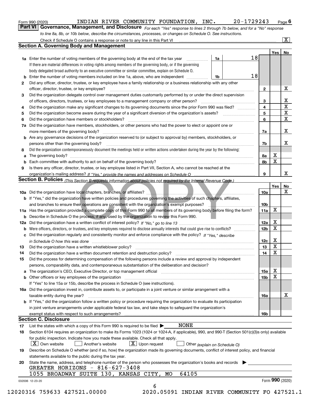|  | Form 990 (2020) |
|--|-----------------|
|  |                 |

*For each "Yes" response to lines 2 through 7b below, and for a "No" response to line 8a, 8b, or 10b below, describe the circumstances, processes, or changes on Schedule O. See instructions.* Form 990 (2020) **Form 990 (2020)** INDIAN RIVER COMMUNITY FOUNDATION, INC. 20-1729243 Page 6<br>**Part VI** | Governance, Management, and Disclosure *For each "Yes" response to lines 2 through 7b below, and for a "No" response* 

|    |                                                                                                                                                                            |    |    |                 | Yes   No    |              |
|----|----------------------------------------------------------------------------------------------------------------------------------------------------------------------------|----|----|-----------------|-------------|--------------|
|    | <b>1a</b> Enter the number of voting members of the governing body at the end of the tax year <i>manumum</i>                                                               | 1a | 18 |                 |             |              |
|    | If there are material differences in voting rights among members of the governing body, or if the governing                                                                |    |    |                 |             |              |
|    | body delegated broad authority to an executive committee or similar committee, explain on Schedule O.                                                                      |    |    |                 |             |              |
|    |                                                                                                                                                                            | 1b | 18 |                 |             |              |
| 2  | Did any officer, director, trustee, or key employee have a family relationship or a business relationship with any other                                                   |    |    |                 |             |              |
|    | officer, director, trustee, or key employee?                                                                                                                               |    |    | $\mathbf{2}$    |             | X            |
| 3  | Did the organization delegate control over management duties customarily performed by or under the direct supervision                                                      |    |    |                 |             |              |
|    |                                                                                                                                                                            |    |    | 3               |             | X            |
| 4  | Did the organization make any significant changes to its governing documents since the prior Form 990 was filed?                                                           |    |    | 4               |             | $\mathbf X$  |
| 5  |                                                                                                                                                                            |    |    | 5               |             | $\mathbf X$  |
| 6  | Did the organization have members or stockholders?                                                                                                                         |    |    | 6               |             | $\mathbf{x}$ |
|    | 7a Did the organization have members, stockholders, or other persons who had the power to elect or appoint one or                                                          |    |    |                 |             |              |
|    |                                                                                                                                                                            |    |    | 7a              |             | X            |
|    | <b>b</b> Are any governance decisions of the organization reserved to (or subject to approval by) members, stockholders, or                                                |    |    |                 |             |              |
|    | persons other than the governing body?                                                                                                                                     |    |    | 7b              |             | Х            |
| 8  | Did the organization contemporaneously document the meetings held or written actions undertaken during the year by the following:                                          |    |    |                 |             |              |
| a  |                                                                                                                                                                            |    |    | 8a              | X           |              |
|    |                                                                                                                                                                            |    |    | 8b              | $\mathbf X$ |              |
| 9  | Is there any officer, director, trustee, or key employee listed in Part VII, Section A, who cannot be reached at the                                                       |    |    |                 |             |              |
|    |                                                                                                                                                                            |    |    | 9               |             | X            |
|    | Section B. Policies (This Section B requests information about policies not required by the Internal Revenue Code.)                                                        |    |    |                 |             |              |
|    |                                                                                                                                                                            |    |    |                 | Yes         | <b>No</b>    |
|    |                                                                                                                                                                            |    |    | <b>10a</b>      |             | X            |
|    | b If "Yes," did the organization have written policies and procedures governing the activities of such chapters, affiliates,                                               |    |    |                 |             |              |
|    | and branches to ensure their operations are consistent with the organization's exempt purposes?                                                                            |    |    | 10 <sub>b</sub> |             |              |
|    | 11a Has the organization provided a complete copy of this Form 990 to all members of its governing body before filing the form?                                            |    |    | 11a             | X           |              |
|    | <b>b</b> Describe in Schedule O the process, if any, used by the organization to review this Form 990.                                                                     |    |    |                 |             |              |
|    |                                                                                                                                                                            |    |    | 12a             | X           |              |
| b  |                                                                                                                                                                            |    |    | 12 <sub>b</sub> | X           |              |
|    | c Did the organization regularly and consistently monitor and enforce compliance with the policy? If "Yes," describe                                                       |    |    |                 |             |              |
|    | in Schedule O how this was done measured and contained a state of the state of the state of the state of the s                                                             |    |    | 12c             | X           |              |
| 13 |                                                                                                                                                                            |    |    | 13              | $\mathbf X$ |              |
| 14 | Did the organization have a written document retention and destruction policy? manufactured and the organization have a written document retention and destruction policy? |    |    | 14              | $\mathbf X$ |              |
| 15 | Did the process for determining compensation of the following persons include a review and approval by independent                                                         |    |    |                 |             |              |
|    | persons, comparability data, and contemporaneous substantiation of the deliberation and decision?                                                                          |    |    |                 |             |              |
|    |                                                                                                                                                                            |    |    | 15a             | X           |              |
|    | <b>b</b> Other officers or key employees of the organization                                                                                                               |    |    | 15b             | X           |              |
|    | If "Yes" to line 15a or 15b, describe the process in Schedule O (see instructions).                                                                                        |    |    |                 |             |              |
|    | 16a Did the organization invest in, contribute assets to, or participate in a joint venture or similar arrangement with a                                                  |    |    |                 |             |              |
|    | taxable entity during the year?                                                                                                                                            |    |    | 16a             |             | х            |
|    | <b>b</b> If "Yes," did the organization follow a written policy or procedure requiring the organization to evaluate its participation                                      |    |    |                 |             |              |
|    | in joint venture arrangements under applicable federal tax law, and take steps to safeguard the organization's                                                             |    |    |                 |             |              |
|    | exempt status with respect to such arrangements?                                                                                                                           |    |    | <b>16b</b>      |             |              |
|    | <b>Section C. Disclosure</b>                                                                                                                                               |    |    |                 |             |              |
| 17 | <b>NONE</b><br>List the states with which a copy of this Form 990 is required to be filed $\blacktriangleright$                                                            |    |    |                 |             |              |
| 18 | Section 6104 requires an organization to make its Forms 1023 (1024 or 1024-A, if applicable), 990, and 990-T (Section 501(c)(3)s only) available                           |    |    |                 |             |              |
|    |                                                                                                                                                                            |    |    |                 |             |              |
|    | for public inspection. Indicate how you made these available. Check all that apply.<br>$X$ Upon request<br>$ X $ Own website<br>Another's website                          |    |    |                 |             |              |
|    | Other (explain on Schedule O)                                                                                                                                              |    |    |                 |             |              |
| 19 | Describe on Schedule O whether (and if so, how) the organization made its governing documents, conflict of interest policy, and financial                                  |    |    |                 |             |              |
|    | statements available to the public during the tax year.<br>State the name, address, and telephone number of the person who possesses the organization's books and records  |    |    |                 |             |              |
| 20 | GREATER HORIZONS - 816-627-3408                                                                                                                                            |    |    |                 |             |              |
|    | 1055 BROADWAY SUITE 130, KANSAS CITY, MO<br>64105                                                                                                                          |    |    |                 |             |              |
|    |                                                                                                                                                                            |    |    |                 |             |              |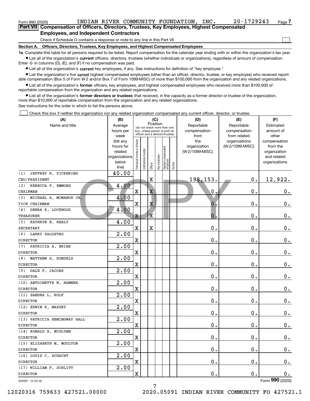| Form 990 (2020)                                                                             | INDIAN RIVER COMMUNITY FOUNDATION,                                           |  |  | INC. | $20 - 1729243$ | Page |  |  |  |  |  |
|---------------------------------------------------------------------------------------------|------------------------------------------------------------------------------|--|--|------|----------------|------|--|--|--|--|--|
| Part VIII Compensation of Officers, Directors, Trustees, Key Employees, Highest Compensated |                                                                              |  |  |      |                |      |  |  |  |  |  |
| <b>Employees, and Independent Contractors</b>                                               |                                                                              |  |  |      |                |      |  |  |  |  |  |
|                                                                                             | Check if Schedule O contains a response or note to any line in this Part VII |  |  |      |                |      |  |  |  |  |  |

**Section A. Officers, Directors, Trustees, Key Employees, and Highest Compensated Employees**

**1a**  Complete this table for all persons required to be listed. Report compensation for the calendar year ending with or within the organization's tax year. **•** List all of the organization's current officers, directors, trustees (whether individuals or organizations), regardless of amount of compensation.

Enter -0- in columns (D), (E), and (F) if no compensation was paid.

 $\bullet$  List all of the organization's  $\,$ current key employees, if any. See instructions for definition of "key employee."

• List the organization's five current highest compensated employees (other than an officer, director, trustee, or key employee) who received report-■ List the organization's five current highest compensated employees (other than an officer, director, trustee, or key employee) who received report-<br>able compensation (Box 5 of Form W-2 and/or Box 7 of Form 1099-MISC) of

**•** List all of the organization's former officers, key employees, and highest compensated employees who received more than \$100,000 of reportable compensation from the organization and any related organizations.

**former directors or trustees**  ¥ List all of the organization's that received, in the capacity as a former director or trustee of the organization, more than \$10,000 of reportable compensation from the organization and any related organizations.

See instructions for the order in which to list the persons above.

Check this box if neither the organization nor any related organization compensated any current officer, director, or trustee.  $\mathcal{L}^{\text{max}}$ 

| (A)                                       | (B)                |                                |                       | (C)                     |                                                                                                 |                                  |        | (D)              | (E)             | (F)             |              |              |           |
|-------------------------------------------|--------------------|--------------------------------|-----------------------|-------------------------|-------------------------------------------------------------------------------------------------|----------------------------------|--------|------------------|-----------------|-----------------|--------------|--------------|-----------|
| Name and title                            | Average            | Position                       |                       |                         |                                                                                                 |                                  |        | Reportable       | Reportable      | Estimated       |              |              |           |
|                                           | hours per          |                                |                       |                         | (do not check more than one<br>box, unless person is both an<br>officer and a director/trustee) |                                  |        |                  |                 |                 | compensation | compensation | amount of |
|                                           | week               |                                |                       |                         |                                                                                                 |                                  |        | from             | from related    | other           |              |              |           |
|                                           | (list any          |                                |                       |                         |                                                                                                 |                                  |        | the              | organizations   | compensation    |              |              |           |
|                                           | hours for          |                                |                       |                         |                                                                                                 |                                  |        | organization     | (W-2/1099-MISC) | from the        |              |              |           |
|                                           | related            |                                |                       |                         |                                                                                                 |                                  |        | (W-2/1099-MISC)  |                 | organization    |              |              |           |
|                                           | organizations      |                                |                       |                         |                                                                                                 |                                  |        |                  |                 | and related     |              |              |           |
|                                           | below              | Individual trustee or director | Institutional trustee | Officer                 | Key employee                                                                                    | Highest compensated<br> employee | Former |                  |                 | organizations   |              |              |           |
| JEFFREY R. PICKERING<br>(1)               | line)<br>40.00     |                                |                       |                         |                                                                                                 |                                  |        |                  |                 |                 |              |              |           |
| CEO/PRESIDENT                             |                    |                                |                       | X                       |                                                                                                 |                                  |        | 198,153.         | $\mathbf 0$ .   | 12,922.         |              |              |           |
| REBECCA F. EMMONS<br>(2)                  | 4.00               |                                |                       |                         |                                                                                                 |                                  |        |                  |                 |                 |              |              |           |
| CHAIRMAN                                  |                    | X                              |                       | $\overline{\mathbf{X}}$ |                                                                                                 |                                  |        | $\mathfrak{o}$ . | $\mathbf 0$ .   | 0.              |              |              |           |
|                                           |                    |                                |                       |                         |                                                                                                 |                                  |        |                  |                 |                 |              |              |           |
| MICHAEL A. MCMANUS JR.<br>(3)             | 4.00               |                                |                       |                         |                                                                                                 |                                  |        |                  |                 |                 |              |              |           |
| VICE CHAIRMAN                             |                    | X                              |                       | Χ                       |                                                                                                 |                                  |        | 0                | $\mathbf 0$ .   | $\mathbf 0$ .   |              |              |           |
| DEBRA K. LOCKWOOD<br>(4)                  | 4.00               |                                |                       |                         |                                                                                                 |                                  |        |                  |                 |                 |              |              |           |
| TREASURER                                 |                    | Χ                              |                       | X                       |                                                                                                 |                                  |        | 0                | $\mathbf 0$ .   | $0_{.}$         |              |              |           |
| (5) KATHRYN B. HEALY                      | 4.00               |                                |                       |                         |                                                                                                 |                                  |        |                  |                 |                 |              |              |           |
| <b>SECRETARY</b>                          |                    | X                              |                       | $\overline{\textbf{X}}$ |                                                                                                 |                                  |        | 0.               | $\mathbf 0$ .   | $0_{.}$         |              |              |           |
| (6) LARRY SALUSTRO                        | 2.00               |                                |                       |                         |                                                                                                 |                                  |        |                  |                 |                 |              |              |           |
| <b>DIRECTOR</b>                           |                    | X                              |                       |                         |                                                                                                 |                                  |        | 0.               | $\mathbf 0$ .   | $\mathbf 0$ .   |              |              |           |
| (7) PATRICIA A. BRIER                     | $\overline{2.00}$  | X                              |                       |                         |                                                                                                 |                                  |        | 0.               | $\mathbf 0$ .   |                 |              |              |           |
| <b>DIRECTOR</b><br>(8) MATTHEW G. RUNDELS | 2.00               |                                |                       |                         |                                                                                                 |                                  |        |                  |                 | $\mathbf 0$ .   |              |              |           |
| <b>DIRECTOR</b>                           |                    | X                              |                       |                         |                                                                                                 |                                  |        | 0.               | $\mathbf 0$ .   | $\mathbf 0$ .   |              |              |           |
| (9) DALE F. JACOBS                        | $\overline{2.00}$  |                                |                       |                         |                                                                                                 |                                  |        |                  |                 |                 |              |              |           |
| <b>DIRECTOR</b>                           |                    | X                              |                       |                         |                                                                                                 |                                  |        | 0.               | $\mathbf 0$ .   | $\mathbf 0$ .   |              |              |           |
| (10) ANTOINETTE W. HAMNER                 | $\overline{2.00}$  |                                |                       |                         |                                                                                                 |                                  |        |                  |                 |                 |              |              |           |
| <b>DIRECTOR</b>                           |                    | X                              |                       |                         |                                                                                                 |                                  |        | 0.               | $\mathbf 0$ .   | $\mathbf 0$ .   |              |              |           |
| (11) SANDRA L. ROLF                       | $\overline{2}$ .00 |                                |                       |                         |                                                                                                 |                                  |        |                  |                 |                 |              |              |           |
| <b>DIRECTOR</b>                           |                    | X                              |                       |                         |                                                                                                 |                                  |        | 0.               | $\mathbf 0$ .   | $\mathbf 0$ .   |              |              |           |
| (12) EDWIN R. MASSEY                      | $\overline{2}$ .00 |                                |                       |                         |                                                                                                 |                                  |        |                  |                 |                 |              |              |           |
| <b>DIRECTOR</b>                           |                    | X                              |                       |                         |                                                                                                 |                                  |        | 0.               | $\mathbf 0$ .   | $\mathbf 0$ .   |              |              |           |
| (13) PATRICIA HEMINGWAY HALL              | $\overline{2}$ .00 |                                |                       |                         |                                                                                                 |                                  |        |                  |                 |                 |              |              |           |
| <b>DIRECTOR</b>                           |                    | X                              |                       |                         |                                                                                                 |                                  |        | 0.               | $\mathbf 0$ .   | $\mathbf 0$ .   |              |              |           |
| (14) RONALD H. MCGLYNN                    | 2.00               |                                |                       |                         |                                                                                                 |                                  |        |                  |                 |                 |              |              |           |
| <b>DIRECTOR</b>                           |                    | X                              |                       |                         |                                                                                                 |                                  |        | 0.               | $\mathbf 0$ .   | $\mathbf 0$ .   |              |              |           |
| (15) ELIZABETH M. MOULTON                 | 2.00               |                                |                       |                         |                                                                                                 |                                  |        |                  |                 |                 |              |              |           |
| <b>DIRECTOR</b>                           |                    | X                              |                       |                         |                                                                                                 |                                  |        | $\mathbf 0$ .    | $\mathbf 0$ .   | $0_{\bullet}$   |              |              |           |
| (16) LOUIS C. SCHACHT                     | 2.00               |                                |                       |                         |                                                                                                 |                                  |        |                  |                 |                 |              |              |           |
| <b>DIRECTOR</b>                           |                    | X                              |                       |                         |                                                                                                 |                                  |        | $\mathbf 0$ .    | $\mathbf 0$ .   | $0_{.}$         |              |              |           |
| (17) WILLIAM F. SCHLITT                   | 2.00               |                                |                       |                         |                                                                                                 |                                  |        |                  |                 |                 |              |              |           |
| <b>DIRECTOR</b>                           |                    | X                              |                       |                         |                                                                                                 |                                  |        | 0.               | $\mathbf 0$ .   | 0.              |              |              |           |
| 032007 12-23-20                           |                    |                                |                       |                         |                                                                                                 |                                  |        |                  |                 | Form 990 (2020) |              |              |           |
|                                           |                    |                                |                       | 7                       |                                                                                                 |                                  |        |                  |                 |                 |              |              |           |

12020316 759633 427521.00000 2020.05091 INDIAN RIVER COMMUNITY FO 427521.1

7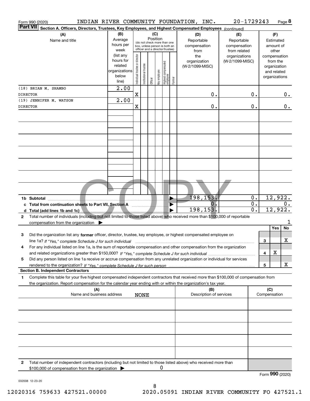| Form 990 (2020)                            |             |                                                                                                                                                                                                                                                                     | INDIAN RIVER COMMUNITY FOUNDATION, INC. |                                                                      |                                                                                                                                                                 |                       |         |              |                                  |        |                                                   |                                | 20-1729243                       |                                        |                     |                                                                          | Page 8          |
|--------------------------------------------|-------------|---------------------------------------------------------------------------------------------------------------------------------------------------------------------------------------------------------------------------------------------------------------------|-----------------------------------------|----------------------------------------------------------------------|-----------------------------------------------------------------------------------------------------------------------------------------------------------------|-----------------------|---------|--------------|----------------------------------|--------|---------------------------------------------------|--------------------------------|----------------------------------|----------------------------------------|---------------------|--------------------------------------------------------------------------|-----------------|
| <b>Part VII</b>                            |             | Section A. Officers, Directors, Trustees, Key Employees, and Highest Compensated Employees (continued)                                                                                                                                                              |                                         |                                                                      |                                                                                                                                                                 |                       |         |              |                                  |        |                                                   |                                |                                  |                                        |                     |                                                                          |                 |
|                                            |             | (A)<br>Name and title                                                                                                                                                                                                                                               |                                         | (B)<br>Average<br>hours per<br>week                                  | (C)<br>(D)<br>Position<br>Reportable<br>(do not check more than one<br>compensation<br>box, unless person is both an<br>officer and a director/trustee)<br>from |                       |         |              |                                  |        | (E)<br>Reportable<br>compensation<br>from related |                                |                                  | (F)<br>Estimated<br>amount of<br>other |                     |                                                                          |                 |
|                                            |             |                                                                                                                                                                                                                                                                     |                                         | (list any<br>hours for<br>related<br>organizations<br>below<br>line) | Individual trustee or director                                                                                                                                  | Institutional trustee | Officer | Key employee | Highest compensated<br> employee | Former | the<br>organization<br>(W-2/1099-MISC)            |                                | organizations<br>(W-2/1099-MISC) |                                        |                     | compensation<br>from the<br>organization<br>and related<br>organizations |                 |
| <b>DIRECTOR</b>                            |             | (18) BRIAN M. SHAMBO                                                                                                                                                                                                                                                |                                         | $\overline{2.00}$                                                    | X                                                                                                                                                               |                       |         |              |                                  |        |                                                   | 0.                             |                                  | 0.                                     |                     |                                                                          | 0.              |
| (19) JENNIFER M. WATSON<br><b>DIRECTOR</b> |             |                                                                                                                                                                                                                                                                     |                                         | $\overline{2.00}$                                                    | X                                                                                                                                                               |                       |         |              |                                  |        |                                                   | 0.                             |                                  | 0.                                     |                     |                                                                          | 0.              |
|                                            |             |                                                                                                                                                                                                                                                                     |                                         |                                                                      |                                                                                                                                                                 |                       |         |              |                                  |        |                                                   |                                |                                  |                                        |                     |                                                                          |                 |
|                                            |             |                                                                                                                                                                                                                                                                     |                                         |                                                                      |                                                                                                                                                                 |                       |         |              |                                  |        |                                                   |                                |                                  |                                        |                     |                                                                          |                 |
|                                            |             |                                                                                                                                                                                                                                                                     |                                         |                                                                      |                                                                                                                                                                 |                       |         |              |                                  |        |                                                   |                                |                                  |                                        |                     |                                                                          |                 |
|                                            |             |                                                                                                                                                                                                                                                                     |                                         |                                                                      |                                                                                                                                                                 |                       |         |              |                                  |        |                                                   |                                |                                  |                                        |                     |                                                                          |                 |
|                                            |             |                                                                                                                                                                                                                                                                     |                                         |                                                                      |                                                                                                                                                                 |                       |         |              |                                  |        |                                                   |                                |                                  |                                        |                     |                                                                          |                 |
|                                            |             |                                                                                                                                                                                                                                                                     |                                         |                                                                      |                                                                                                                                                                 |                       |         |              |                                  |        |                                                   |                                |                                  |                                        |                     |                                                                          |                 |
|                                            |             |                                                                                                                                                                                                                                                                     |                                         |                                                                      |                                                                                                                                                                 |                       |         |              |                                  |        |                                                   |                                |                                  |                                        |                     |                                                                          |                 |
|                                            | 1b Subtotal |                                                                                                                                                                                                                                                                     |                                         |                                                                      |                                                                                                                                                                 |                       |         |              |                                  |        |                                                   | 198,153.                       |                                  | 0.                                     |                     | 12,922.                                                                  |                 |
|                                            |             | c Total from continuation sheets to Part VII, Section A                                                                                                                                                                                                             |                                         |                                                                      |                                                                                                                                                                 |                       |         |              |                                  |        |                                                   | $\mathbf{0}$                   |                                  | $\overline{0}$ .                       |                     |                                                                          | 0.              |
|                                            |             | d Total (add lines 1b and 1c).                                                                                                                                                                                                                                      |                                         |                                                                      |                                                                                                                                                                 |                       |         |              |                                  |        |                                                   | 198,153.                       |                                  | $\overline{0}$ .                       |                     | 12,922.                                                                  |                 |
| 2                                          |             | Total number of individuals (including but not limited to those listed above) who received more than \$100,000 of reportable<br>compensation from the organization $\blacktriangleright$                                                                            |                                         |                                                                      |                                                                                                                                                                 |                       |         |              |                                  |        |                                                   |                                |                                  |                                        |                     |                                                                          | 1               |
| 3                                          |             | Did the organization list any former officer, director, trustee, key employee, or highest compensated employee on                                                                                                                                                   |                                         |                                                                      |                                                                                                                                                                 |                       |         |              |                                  |        |                                                   |                                |                                  |                                        |                     | Yes                                                                      | No              |
|                                            |             | line 1a? If "Yes," complete Schedule J for such individual manufactured contained and the Ves," complete Schedule J for such individual<br>For any individual listed on line 1a, is the sum of reportable compensation and other compensation from the organization |                                         |                                                                      |                                                                                                                                                                 |                       |         |              |                                  |        |                                                   |                                |                                  |                                        | 3                   |                                                                          | х               |
| 5                                          |             | Did any person listed on line 1a receive or accrue compensation from any unrelated organization or individual for services                                                                                                                                          |                                         |                                                                      |                                                                                                                                                                 |                       |         |              |                                  |        |                                                   |                                |                                  |                                        | 4                   | X                                                                        |                 |
|                                            |             | <b>Section B. Independent Contractors</b>                                                                                                                                                                                                                           |                                         |                                                                      |                                                                                                                                                                 |                       |         |              |                                  |        |                                                   |                                |                                  |                                        | 5                   |                                                                          | х               |
| 1.                                         |             | Complete this table for your five highest compensated independent contractors that received more than \$100,000 of compensation from<br>the organization. Report compensation for the calendar year ending with or within the organization's tax year.              |                                         |                                                                      |                                                                                                                                                                 |                       |         |              |                                  |        |                                                   |                                |                                  |                                        |                     |                                                                          |                 |
|                                            |             |                                                                                                                                                                                                                                                                     | (A)<br>Name and business address        |                                                                      |                                                                                                                                                                 | <b>NONE</b>           |         |              |                                  |        |                                                   | (B)<br>Description of services |                                  |                                        | (C)<br>Compensation |                                                                          |                 |
|                                            |             |                                                                                                                                                                                                                                                                     |                                         |                                                                      |                                                                                                                                                                 |                       |         |              |                                  |        |                                                   |                                |                                  |                                        |                     |                                                                          |                 |
|                                            |             |                                                                                                                                                                                                                                                                     |                                         |                                                                      |                                                                                                                                                                 |                       |         |              |                                  |        |                                                   |                                |                                  |                                        |                     |                                                                          |                 |
|                                            |             |                                                                                                                                                                                                                                                                     |                                         |                                                                      |                                                                                                                                                                 |                       |         |              |                                  |        |                                                   |                                |                                  |                                        |                     |                                                                          |                 |
|                                            |             |                                                                                                                                                                                                                                                                     |                                         |                                                                      |                                                                                                                                                                 |                       |         |              |                                  |        |                                                   |                                |                                  |                                        |                     |                                                                          |                 |
|                                            |             |                                                                                                                                                                                                                                                                     |                                         |                                                                      |                                                                                                                                                                 |                       |         |              |                                  |        |                                                   |                                |                                  |                                        |                     |                                                                          |                 |
| 2                                          |             | Total number of independent contractors (including but not limited to those listed above) who received more than<br>\$100,000 of compensation from the organization                                                                                                 |                                         |                                                                      |                                                                                                                                                                 |                       |         | 0            |                                  |        |                                                   |                                |                                  |                                        |                     |                                                                          |                 |
|                                            |             |                                                                                                                                                                                                                                                                     |                                         |                                                                      |                                                                                                                                                                 |                       |         |              |                                  |        |                                                   |                                |                                  |                                        |                     |                                                                          | Form 990 (2020) |

032008 12-23-20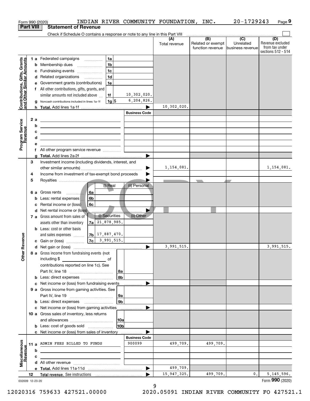|                                                                   |                  |     | INDIAN RIVER COMMUNITY FOUNDATION, INC.<br>Form 990 (2020)                                                             |                      |                            |                                              | 20-1729243                                      | Page 9                                                          |
|-------------------------------------------------------------------|------------------|-----|------------------------------------------------------------------------------------------------------------------------|----------------------|----------------------------|----------------------------------------------|-------------------------------------------------|-----------------------------------------------------------------|
|                                                                   | <b>Part VIII</b> |     | <b>Statement of Revenue</b>                                                                                            |                      |                            |                                              |                                                 |                                                                 |
|                                                                   |                  |     | Check if Schedule O contains a response or note to any line in this Part VIII                                          |                      |                            |                                              |                                                 |                                                                 |
|                                                                   |                  |     |                                                                                                                        |                      | (A)<br>Total revenue       | (B)<br>Related or exempt<br>function revenue | $\overline{C}$<br>Unrelated<br>business revenue | (D)<br>Revenue excluded<br>from tax under<br>sections 512 - 514 |
|                                                                   |                  |     | 1a<br>1 a Federated campaigns                                                                                          |                      |                            |                                              |                                                 |                                                                 |
| Contributions, Gifts, Grants<br><u>land Other Similar Amounts</u> |                  |     | 1 <sub>b</sub><br><b>b</b> Membership dues<br>$\ldots \ldots \ldots \ldots \ldots$                                     |                      |                            |                                              |                                                 |                                                                 |
|                                                                   |                  |     | 1 <sub>c</sub><br>c Fundraising events                                                                                 |                      |                            |                                              |                                                 |                                                                 |
|                                                                   |                  |     | 1 <sub>d</sub><br>d Related organizations                                                                              |                      |                            |                                              |                                                 |                                                                 |
|                                                                   |                  |     | e Government grants (contributions)<br>1e                                                                              |                      |                            |                                              |                                                 |                                                                 |
|                                                                   |                  |     | f All other contributions, gifts, grants, and                                                                          |                      |                            |                                              |                                                 |                                                                 |
|                                                                   |                  |     | similar amounts not included above<br>1f                                                                               | 10,302,020.          |                            |                                              |                                                 |                                                                 |
|                                                                   |                  |     | $1g$ \$<br>g Noncash contributions included in lines 1a-1f                                                             | 6,204,826.           |                            |                                              |                                                 |                                                                 |
|                                                                   |                  |     |                                                                                                                        |                      | 10,302,020.                |                                              |                                                 |                                                                 |
|                                                                   |                  |     |                                                                                                                        | <b>Business Code</b> |                            |                                              |                                                 |                                                                 |
|                                                                   |                  | 2 a | <u> 1989 - Johann Stoff, fransk politik (d. 1989)</u>                                                                  |                      |                            |                                              |                                                 |                                                                 |
|                                                                   |                  | b   | <u> 1989 - Johann Barn, mars ann an t-Amhain ann an t-Amhain an t-Amhain an t-Amhain an t-Amhain an t-Amhain an t-</u> |                      |                            |                                              |                                                 |                                                                 |
|                                                                   |                  | с   | <u> 1989 - Johann Barbara, martin amerikan basar dan berasal dalam basa dalam basar dalam basar dalam basa dalam</u>   |                      |                            |                                              |                                                 |                                                                 |
|                                                                   |                  | d   | <u> 1989 - Johann Barn, mars eta bat erroman erroman erroman erroman erroman erroman erroman erroman erroman err</u>   |                      |                            |                                              |                                                 |                                                                 |
| Program Service<br>Revenue                                        |                  | е   |                                                                                                                        |                      |                            |                                              |                                                 |                                                                 |
|                                                                   |                  |     | f All other program service revenue                                                                                    |                      |                            |                                              |                                                 |                                                                 |
|                                                                   |                  |     |                                                                                                                        |                      |                            |                                              |                                                 |                                                                 |
|                                                                   | З                |     | Investment income (including dividends, interest, and                                                                  |                      |                            |                                              |                                                 |                                                                 |
|                                                                   |                  |     |                                                                                                                        | ▶                    | 1,154,081.                 |                                              |                                                 | 1,154,081.                                                      |
|                                                                   | 4                |     | Income from investment of tax-exempt bond proceeds                                                                     |                      |                            |                                              |                                                 |                                                                 |
|                                                                   | 5                |     |                                                                                                                        |                      |                            | $\overline{\phantom{a}}$                     |                                                 |                                                                 |
|                                                                   |                  |     | (i) Real                                                                                                               | (ii) Personal        |                            |                                              |                                                 |                                                                 |
|                                                                   |                  |     | 6 a Gross rents<br>l 6a<br>. <del>.</del>                                                                              |                      |                            |                                              |                                                 |                                                                 |
|                                                                   |                  |     | 6b<br><b>b</b> Less: rental expenses $\vert$ .                                                                         |                      |                            |                                              |                                                 |                                                                 |
|                                                                   |                  |     | 6c<br>Rental income or (loss)                                                                                          |                      |                            |                                              |                                                 |                                                                 |
|                                                                   |                  |     | d Net rental income or (loss)                                                                                          |                      |                            |                                              |                                                 |                                                                 |
|                                                                   |                  |     | (i) Securities<br>7 a Gross amount from sales of                                                                       | (ii) Other           |                            |                                              |                                                 |                                                                 |
|                                                                   |                  |     | 21,878,985.<br>7a<br>assets other than inventory                                                                       |                      |                            |                                              |                                                 |                                                                 |
|                                                                   |                  |     | <b>b</b> Less: cost or other basis                                                                                     |                      |                            |                                              |                                                 |                                                                 |
|                                                                   |                  |     | $7b$ 17,887,470.<br>and sales expenses                                                                                 |                      |                            |                                              |                                                 |                                                                 |
| anueve                                                            |                  |     | 7c <br>3,991,515.<br>c Gain or (loss)                                                                                  |                      |                            |                                              |                                                 |                                                                 |
|                                                                   |                  |     |                                                                                                                        |                      | $\overline{3}$ , 991, 515. |                                              |                                                 | 3,991,515.                                                      |
| Other Re                                                          |                  |     | 8 a Gross income from fundraising events (not                                                                          |                      |                            |                                              |                                                 |                                                                 |
|                                                                   |                  |     | including \$<br>of                                                                                                     |                      |                            |                                              |                                                 |                                                                 |
|                                                                   |                  |     | contributions reported on line 1c). See                                                                                |                      |                            |                                              |                                                 |                                                                 |
|                                                                   |                  |     | 8a                                                                                                                     |                      |                            |                                              |                                                 |                                                                 |
|                                                                   |                  |     | 8b<br><b>b</b> Less: direct expenses                                                                                   |                      |                            |                                              |                                                 |                                                                 |
|                                                                   |                  |     | c Net income or (loss) from fundraising events                                                                         |                      |                            |                                              |                                                 |                                                                 |
|                                                                   |                  |     | 9 a Gross income from gaming activities. See                                                                           |                      |                            |                                              |                                                 |                                                                 |
|                                                                   |                  |     | 9a                                                                                                                     |                      |                            |                                              |                                                 |                                                                 |
|                                                                   |                  |     | 9 <sub>b</sub>                                                                                                         |                      |                            |                                              |                                                 |                                                                 |
|                                                                   |                  |     | c Net income or (loss) from gaming activities ______________                                                           |                      |                            |                                              |                                                 |                                                                 |
|                                                                   |                  |     | 10 a Gross sales of inventory, less returns                                                                            |                      |                            |                                              |                                                 |                                                                 |
|                                                                   |                  |     | 10a                                                                                                                    |                      |                            |                                              |                                                 |                                                                 |
|                                                                   |                  |     | 10 <sub>b</sub>                                                                                                        |                      |                            |                                              |                                                 |                                                                 |
|                                                                   |                  |     | c Net income or (loss) from sales of inventory                                                                         |                      |                            |                                              |                                                 |                                                                 |
|                                                                   |                  |     |                                                                                                                        | <b>Business Code</b> |                            |                                              |                                                 |                                                                 |
|                                                                   |                  |     | 11 a ADMIN FEES BILLED TO FUNDS                                                                                        | 900099               | 499,709.                   | 499,709.                                     |                                                 |                                                                 |
|                                                                   |                  | b   |                                                                                                                        |                      |                            |                                              |                                                 |                                                                 |
| Miscellaneous<br>Revenue                                          |                  | c   |                                                                                                                        |                      |                            |                                              |                                                 |                                                                 |
|                                                                   |                  |     |                                                                                                                        |                      |                            |                                              |                                                 |                                                                 |
|                                                                   |                  |     |                                                                                                                        | ▶                    | 499,709.                   |                                              |                                                 |                                                                 |
|                                                                   | 12               |     |                                                                                                                        |                      | 15, 947, 325.              | 499,709.                                     | 0.                                              | 5, 145, 596.                                                    |
| 032009 12-23-20                                                   |                  |     |                                                                                                                        |                      |                            |                                              |                                                 | Form 990 (2020)                                                 |
|                                                                   |                  |     |                                                                                                                        | a                    |                            |                                              |                                                 |                                                                 |

9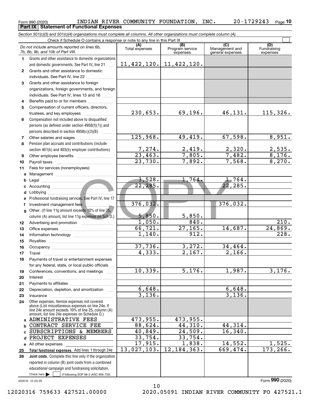#### Form 990 (2020) INDIAN\_RIVER\_COMMUNITY\_FOUNDATION,INC. 20-1729243 <sub>Page</sub><br>\_Part IX | Statement of Functional Expenses **10 Part IX Statement of Functional Expenses**

*Section 501(c)(3) and 501(c)(4) organizations must complete all columns. All other organizations must complete column (A).*

|              | Do not include amounts reported on lines 6b,<br>7b, 8b, 9b, and 10b of Part VIII.                                                                                                                          | (A)<br>Total expenses  | (B)<br>Program service<br>expenses | $\overline{C}$<br>Management and<br>general expenses | (D)<br>Fundraising<br>expenses |  |  |  |  |  |  |
|--------------|------------------------------------------------------------------------------------------------------------------------------------------------------------------------------------------------------------|------------------------|------------------------------------|------------------------------------------------------|--------------------------------|--|--|--|--|--|--|
| 1.           | Grants and other assistance to domestic organizations                                                                                                                                                      |                        |                                    |                                                      |                                |  |  |  |  |  |  |
|              | and domestic governments. See Part IV, line 21                                                                                                                                                             | 11,422,120.            | 11, 422, 120.                      |                                                      |                                |  |  |  |  |  |  |
| $\mathbf{2}$ | Grants and other assistance to domestic                                                                                                                                                                    |                        |                                    |                                                      |                                |  |  |  |  |  |  |
|              | individuals. See Part IV, line 22                                                                                                                                                                          |                        |                                    |                                                      |                                |  |  |  |  |  |  |
| 3            | Grants and other assistance to foreign                                                                                                                                                                     |                        |                                    |                                                      |                                |  |  |  |  |  |  |
|              | organizations, foreign governments, and foreign                                                                                                                                                            |                        |                                    |                                                      |                                |  |  |  |  |  |  |
|              | individuals. See Part IV, lines 15 and 16                                                                                                                                                                  |                        |                                    |                                                      |                                |  |  |  |  |  |  |
| 4            | Benefits paid to or for members                                                                                                                                                                            |                        |                                    |                                                      |                                |  |  |  |  |  |  |
| 5            | Compensation of current officers, directors,                                                                                                                                                               |                        |                                    |                                                      |                                |  |  |  |  |  |  |
|              | trustees, and key employees                                                                                                                                                                                | 230,653.               | 69,196.                            | 46,131.                                              | 115,326.                       |  |  |  |  |  |  |
| 6            | Compensation not included above to disqualified                                                                                                                                                            |                        |                                    |                                                      |                                |  |  |  |  |  |  |
|              | persons (as defined under section 4958(f)(1)) and                                                                                                                                                          |                        |                                    |                                                      |                                |  |  |  |  |  |  |
|              | persons described in section $4958(c)(3)(B)$                                                                                                                                                               |                        |                                    |                                                      |                                |  |  |  |  |  |  |
| 7            | Other salaries and wages                                                                                                                                                                                   | 125,968.               | 49,419.                            | 67,598.                                              | 8,951.                         |  |  |  |  |  |  |
| 8            | Pension plan accruals and contributions (include                                                                                                                                                           |                        |                                    |                                                      |                                |  |  |  |  |  |  |
|              | section 401(k) and 403(b) employer contributions)                                                                                                                                                          | $\frac{7,274}{23,463}$ | $\frac{2,419}{7,805}$ .            | 2,320.                                               | $\frac{2,535}{8,176}$ .        |  |  |  |  |  |  |
| 9            |                                                                                                                                                                                                            |                        |                                    | 7,482.                                               |                                |  |  |  |  |  |  |
| 10           |                                                                                                                                                                                                            | 23,730.                | 7,892.                             | 7,568.                                               | 8,270.                         |  |  |  |  |  |  |
| 11           | Fees for services (nonemployees):                                                                                                                                                                          |                        |                                    |                                                      |                                |  |  |  |  |  |  |
| a            |                                                                                                                                                                                                            |                        |                                    |                                                      |                                |  |  |  |  |  |  |
| b            |                                                                                                                                                                                                            | 3,528.                 | 1,764.                             | 1,764.                                               |                                |  |  |  |  |  |  |
| c            |                                                                                                                                                                                                            | 22, 285.               |                                    | 22, 285.                                             |                                |  |  |  |  |  |  |
| d            |                                                                                                                                                                                                            |                        |                                    |                                                      |                                |  |  |  |  |  |  |
| е            | Professional fundraising services. See Part IV, line 17                                                                                                                                                    |                        |                                    | 376,032.                                             |                                |  |  |  |  |  |  |
| f            |                                                                                                                                                                                                            | 376,032.               |                                    |                                                      |                                |  |  |  |  |  |  |
| g            | Other. (If line 11g amount exceeds 10% of line 25,                                                                                                                                                         | 5,850.                 | 5,850.                             |                                                      |                                |  |  |  |  |  |  |
|              | column (A) amount, list line 11g expenses on Sch 0.)                                                                                                                                                       | $\overline{1,050}$ .   | 840.                               |                                                      | 210.                           |  |  |  |  |  |  |
| 12           |                                                                                                                                                                                                            | 66, 721.               | 27, 165.                           | 14,687.                                              | 24,869.                        |  |  |  |  |  |  |
| 13<br>14     |                                                                                                                                                                                                            | 1,140.                 | 912.                               |                                                      | $\overline{228}$ .             |  |  |  |  |  |  |
| 15           |                                                                                                                                                                                                            |                        |                                    |                                                      |                                |  |  |  |  |  |  |
| 16           |                                                                                                                                                                                                            | 37,736.                | 3,272.                             | 34,464.                                              |                                |  |  |  |  |  |  |
| 17           | Travel                                                                                                                                                                                                     | 4,333.                 | $\overline{2,167}$ .               | 2,166.                                               |                                |  |  |  |  |  |  |
| 18           | Payments of travel or entertainment expenses                                                                                                                                                               |                        |                                    |                                                      |                                |  |  |  |  |  |  |
|              | for any federal, state, or local public officials                                                                                                                                                          |                        |                                    |                                                      |                                |  |  |  |  |  |  |
| 19           | Conferences, conventions, and meetings                                                                                                                                                                     | 10,339.                | 5,176.                             | 1,987.                                               | 3,176.                         |  |  |  |  |  |  |
| 20           | Interest                                                                                                                                                                                                   |                        |                                    |                                                      |                                |  |  |  |  |  |  |
| 21           |                                                                                                                                                                                                            |                        |                                    |                                                      |                                |  |  |  |  |  |  |
| 22           | Depreciation, depletion, and amortization                                                                                                                                                                  | 6,648.                 |                                    | 6,648.                                               |                                |  |  |  |  |  |  |
| 23           | Insurance                                                                                                                                                                                                  | 3,136.                 |                                    | 3,136.                                               |                                |  |  |  |  |  |  |
| 24           | Other expenses. Itemize expenses not covered<br>above (List miscellaneous expenses on line 24e. If<br>line 24e amount exceeds 10% of line 25, column (A)<br>amount, list line 24e expenses on Schedule 0.) |                        |                                    |                                                      |                                |  |  |  |  |  |  |
| a            | <b>ADMINISTRATIVE FEES</b>                                                                                                                                                                                 | 473,955.               | 473,955.                           |                                                      |                                |  |  |  |  |  |  |
| b            | CONTRACT SERVICE FEE                                                                                                                                                                                       | 88,624.                | 44,310.                            | 44,314.                                              |                                |  |  |  |  |  |  |
| c            | SUBSCRIPTIONS & MEMBERS                                                                                                                                                                                    | 40,849.                | 24,509.                            | 16, 340.                                             |                                |  |  |  |  |  |  |
| d            | PROJECT EXPENSES                                                                                                                                                                                           | 33,754.                | 33,754.                            |                                                      |                                |  |  |  |  |  |  |
| е            | All other expenses                                                                                                                                                                                         | 17,915.                | 1,838.                             | 14,552.                                              | 1,525.                         |  |  |  |  |  |  |
| 25           | Total functional expenses. Add lines 1 through 24e                                                                                                                                                         | 13,027,103.            | 12, 184, 363.                      | 669,474.                                             | 173,266.                       |  |  |  |  |  |  |
| 26           | Joint costs. Complete this line only if the organization                                                                                                                                                   |                        |                                    |                                                      |                                |  |  |  |  |  |  |
|              | reported in column (B) joint costs from a combined                                                                                                                                                         |                        |                                    |                                                      |                                |  |  |  |  |  |  |
|              | educational campaign and fundraising solicitation.                                                                                                                                                         |                        |                                    |                                                      |                                |  |  |  |  |  |  |
|              | Check here $\blacktriangleright$<br>if following SOP 98-2 (ASC 958-720)                                                                                                                                    |                        |                                    |                                                      |                                |  |  |  |  |  |  |

10

032010 12-23-20

Form (2020) **990**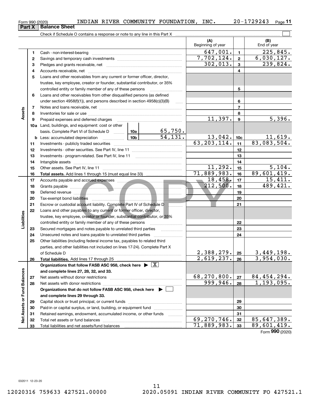|  | Form 990 (2020) | INDIAN RIVER |  | COMMUNITY FOUNDATION, | INC. | $-172924$ <sup>2</sup><br>20- | Page |
|--|-----------------|--------------|--|-----------------------|------|-------------------------------|------|
|--|-----------------|--------------|--|-----------------------|------|-------------------------------|------|

|                             |          |                                                                                                                                                                                                                                      |                           | (A)<br>Beginning of year      |                       | (B)<br>End of year               |
|-----------------------------|----------|--------------------------------------------------------------------------------------------------------------------------------------------------------------------------------------------------------------------------------------|---------------------------|-------------------------------|-----------------------|----------------------------------|
|                             | 1        |                                                                                                                                                                                                                                      |                           | 647,001.                      | $\blacksquare$        | $\overline{225,845}$ .           |
|                             | 2        |                                                                                                                                                                                                                                      |                           | 7,702,124.                    | $\mathbf{2}$          | 6,030,127.                       |
|                             | 3        |                                                                                                                                                                                                                                      |                           | 302,013.                      | 3                     | 239,824.                         |
|                             | 4        |                                                                                                                                                                                                                                      |                           |                               | 4                     |                                  |
|                             | 5        | Loans and other receivables from any current or former officer, director,                                                                                                                                                            |                           |                               |                       |                                  |
|                             |          | trustee, key employee, creator or founder, substantial contributor, or 35%                                                                                                                                                           |                           |                               |                       |                                  |
|                             |          |                                                                                                                                                                                                                                      |                           | 5                             |                       |                                  |
|                             | 6        | Loans and other receivables from other disqualified persons (as defined                                                                                                                                                              |                           |                               |                       |                                  |
|                             |          | under section $4958(f)(1)$ , and persons described in section $4958(c)(3)(B)$                                                                                                                                                        |                           |                               | 6                     |                                  |
|                             | 7        |                                                                                                                                                                                                                                      |                           |                               | 7                     |                                  |
| Assets                      | 8        |                                                                                                                                                                                                                                      |                           |                               | 8                     |                                  |
|                             | 9        | Prepaid expenses and deferred charges                                                                                                                                                                                                |                           | 11,397.                       | $\boldsymbol{9}$      | 5,396.                           |
|                             |          | <b>10a</b> Land, buildings, and equipment: cost or other                                                                                                                                                                             |                           |                               |                       |                                  |
|                             |          | basis. Complete Part VI of Schedule D  10a                                                                                                                                                                                           | $\frac{65,750.}{54,131.}$ |                               |                       |                                  |
|                             |          |                                                                                                                                                                                                                                      |                           | $\frac{13,042}{63,203,114}$ . | 10 <sub>c</sub>       | $\frac{11,619.}{83,083,504.}$    |
|                             | 11       |                                                                                                                                                                                                                                      |                           |                               | 11                    |                                  |
|                             | 12       |                                                                                                                                                                                                                                      |                           |                               | 12                    |                                  |
|                             | 13       |                                                                                                                                                                                                                                      |                           | 13                            |                       |                                  |
|                             | 14       |                                                                                                                                                                                                                                      | 11,292.                   | 14                            |                       |                                  |
|                             | 15       |                                                                                                                                                                                                                                      | 71,889,983.               | 15<br>16                      | 5,104.<br>89,601,419. |                                  |
|                             | 16<br>17 |                                                                                                                                                                                                                                      |                           | 18,458.                       | 17                    | 15,411.                          |
|                             | 18       | Grants payable <b>contract of the contract of the contract of the contract of the contract of the contract of the contract of the contract of the contract of the contract of the contract of the contract of the contract of th</b> |                           | 212,500.                      | 18                    | 489,421.                         |
|                             | 19       |                                                                                                                                                                                                                                      |                           |                               | 19                    |                                  |
|                             | 20       |                                                                                                                                                                                                                                      |                           | 20                            |                       |                                  |
|                             | 21       | Escrow or custodial account liability. Complete Part IV of Schedule D                                                                                                                                                                |                           | 21                            |                       |                                  |
|                             | 22       | Loans and other payables to any current or former officer, director,                                                                                                                                                                 |                           |                               |                       |                                  |
| Liabilities                 |          | trustee, key employee, creator or founder, substantial contributor, or 35%                                                                                                                                                           |                           |                               |                       |                                  |
|                             |          | controlled entity or family member of any of these persons                                                                                                                                                                           |                           |                               | 22                    |                                  |
|                             | 23       | Secured mortgages and notes payable to unrelated third parties                                                                                                                                                                       |                           |                               | 23                    |                                  |
|                             | 24       |                                                                                                                                                                                                                                      |                           |                               | 24                    |                                  |
|                             | 25       | Other liabilities (including federal income tax, payables to related third                                                                                                                                                           |                           |                               |                       |                                  |
|                             |          | parties, and other liabilities not included on lines 17-24). Complete Part X                                                                                                                                                         |                           |                               |                       |                                  |
|                             |          | of Schedule D                                                                                                                                                                                                                        |                           | <u>2,388,279. 25</u>          |                       | $3,449,198.$<br>3,954,030.       |
|                             | 26       | Total liabilities. Add lines 17 through 25                                                                                                                                                                                           |                           | 2,619,237.                    | 26                    |                                  |
|                             |          | Organizations that follow FASB ASC 958, check here $\blacktriangleright \boxed{X}$                                                                                                                                                   |                           |                               |                       |                                  |
|                             |          | and complete lines 27, 28, 32, and 33.                                                                                                                                                                                               |                           |                               |                       |                                  |
|                             | 27       | Net assets without donor restrictions                                                                                                                                                                                                |                           | 68,270,800.                   | 27                    | $\frac{84,454,294.}{1,193,095.}$ |
|                             | 28       | Net assets with donor restrictions                                                                                                                                                                                                   |                           | 999,946.                      | 28                    |                                  |
|                             |          | Organizations that do not follow FASB ASC 958, check here $\blacktriangleright$ [                                                                                                                                                    |                           |                               |                       |                                  |
|                             |          | and complete lines 29 through 33.                                                                                                                                                                                                    |                           |                               |                       |                                  |
|                             | 29       |                                                                                                                                                                                                                                      |                           |                               | 29                    |                                  |
|                             | 30<br>31 | Paid-in or capital surplus, or land, building, or equipment fund<br>Retained earnings, endowment, accumulated income, or other funds                                                                                                 |                           |                               | 30<br>31              |                                  |
| Net Assets or Fund Balances | 32       | Total net assets or fund balances                                                                                                                                                                                                    |                           | 69, 270, 746.                 | 32                    | 85,647,389.                      |
|                             | 33       |                                                                                                                                                                                                                                      |                           | 71,889,983.                   | 33                    | 89,601,419.                      |
|                             |          |                                                                                                                                                                                                                                      |                           |                               |                       | Form 990 (2020)                  |
|                             |          |                                                                                                                                                                                                                                      |                           |                               |                       |                                  |

## **Part X Balance Sheet**

|  | Form 990 (2020) |
|--|-----------------|
|  |                 |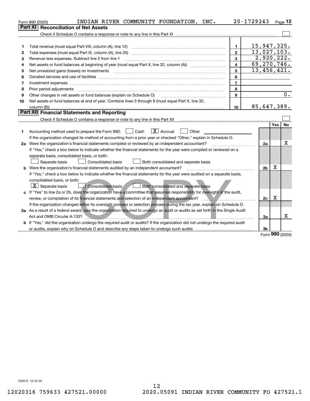|    | INDIAN RIVER COMMUNITY FOUNDATION, INC.<br>Form 990 (2020)                                                                                                                                                                     |                | 20-1729243  |                |     | Page 12          |
|----|--------------------------------------------------------------------------------------------------------------------------------------------------------------------------------------------------------------------------------|----------------|-------------|----------------|-----|------------------|
|    | <b>Reconciliation of Net Assets</b><br><b>Part XI</b>                                                                                                                                                                          |                |             |                |     |                  |
|    |                                                                                                                                                                                                                                |                |             |                |     |                  |
|    |                                                                                                                                                                                                                                |                |             |                |     |                  |
| 1  | Total revenue (must equal Part VIII, column (A), line 12)                                                                                                                                                                      | $\mathbf{1}$   | 15,947,325. |                |     |                  |
| 2  | Total expenses (must equal Part IX, column (A), line 25)                                                                                                                                                                       | $\mathbf{2}$   | 13,027,103. |                |     |                  |
| 3  | Revenue less expenses. Subtract line 2 from line 1                                                                                                                                                                             | $\mathbf{a}$   |             | 2,920,222.     |     |                  |
| 4  |                                                                                                                                                                                                                                | $\overline{4}$ | 69,270,746. |                |     |                  |
| 5  | Net unrealized gains (losses) on investments [11] matter contracts and the state of the state of the state of the state of the state of the state of the state of the state of the state of the state of the state of the stat | 5              | 13,456,421. |                |     |                  |
| 6  | Donated services and use of facilities [111] Donated and the service of facilities [11] Donated services and use of facilities [11] Donated and the service of the service of the service of the service of the service of the | 6              |             |                |     |                  |
| 7  | Investment expenses www.communication.com/www.communication.com/www.communication.com/www.communication.com/ww                                                                                                                 | $\overline{7}$ |             |                |     |                  |
| 8  | Prior period adjustments                                                                                                                                                                                                       | 8              |             |                |     |                  |
| 9  | Other changes in net assets or fund balances (explain on Schedule O)                                                                                                                                                           | 9              |             |                |     | $\overline{0}$ . |
| 10 | Net assets or fund balances at end of year. Combine lines 3 through 9 (must equal Part X, line 32,                                                                                                                             |                |             |                |     |                  |
|    |                                                                                                                                                                                                                                | 10             | 85,647,389. |                |     |                  |
|    | Part XII Financial Statements and Reporting                                                                                                                                                                                    |                |             |                |     |                  |
|    |                                                                                                                                                                                                                                |                |             |                |     |                  |
|    |                                                                                                                                                                                                                                |                |             |                | Yes | <b>No</b>        |
| 1  | $\boxed{\mathbf{X}}$ Accrual<br>Accounting method used to prepare the Form 990: <u>I</u> Cash<br>Other                                                                                                                         |                |             |                |     |                  |
|    | If the organization changed its method of accounting from a prior year or checked "Other," explain in Schedule O.                                                                                                              |                |             |                |     |                  |
|    | 2a Were the organization's financial statements compiled or reviewed by an independent accountant?                                                                                                                             |                |             | 2a             |     | x                |
|    | If "Yes," check a box below to indicate whether the financial statements for the year were compiled or reviewed on a                                                                                                           |                |             |                |     |                  |
|    | separate basis, consolidated basis, or both:                                                                                                                                                                                   |                |             |                |     |                  |
|    | Separate basis<br>Consolidated basis<br>Both consolidated and separate basis                                                                                                                                                   |                |             |                |     |                  |
|    | <b>b</b> Were the organization's financial statements audited by an independent accountant?                                                                                                                                    |                |             | 2 <sub>b</sub> | х   |                  |
|    | If "Yes," check a box below to indicate whether the financial statements for the year were audited on a separate basis,                                                                                                        |                |             |                |     |                  |
|    | consolidated basis, or both:                                                                                                                                                                                                   |                |             |                |     |                  |
|    | $ \mathbf{X} $ Separate basis<br>Consolidated basis<br>Both consolidated and separate basis                                                                                                                                    |                |             |                |     |                  |
|    | c If "Yes" to line 2a or 2b, does the organization have a committee that assumes responsibility for oversight of the audit,                                                                                                    |                |             |                |     |                  |
|    | review, or compilation of its financial statements and selection of an independent accountant?                                                                                                                                 |                |             | 2c             | х   |                  |
|    | If the organization changed either its oversight process or selection process during the tax year, explain on Schedule O.                                                                                                      |                |             |                |     |                  |
|    | 3a As a result of a federal award, was the organization required to undergo an audit or audits as set forth in the Single Audit                                                                                                |                |             |                |     |                  |
|    | Act and OMB Circular A-133?                                                                                                                                                                                                    |                |             | 3a             |     | Χ                |
|    | b If "Yes," did the organization undergo the required audit or audits? If the organization did not undergo the required audit                                                                                                  |                |             |                |     |                  |
|    | or audits, explain why on Schedule O and describe any steps taken to undergo such audits<br>. <u>.</u>                                                                                                                         |                |             | 3b             | ההה |                  |

Form (2020) **990**

032012 12-23-20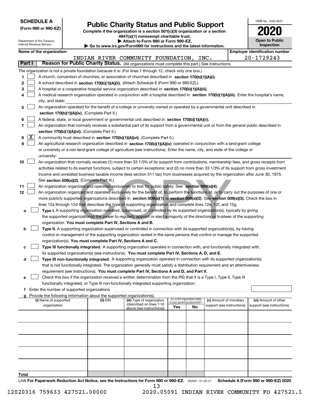| <b>SCHEDULE A</b> |
|-------------------|
|-------------------|

Department of the Treasury

**(Form 990 or 990-EZ)**

## **Public Charity Status and Public Support**

**Complete if the organization is a section 501(c)(3) organization or a section 4947(a)(1) nonexempt charitable trust. | Attach to Form 990 or Form 990-EZ.** 

| $\cdot$ www.irs.gov/Form990 for instructions and the latest information. |  |  |
|--------------------------------------------------------------------------|--|--|

OMB No. 1545-0047

**Open to Public**

**2020**

|                | Internal Revenue Service<br>Inspection<br>$\blacktriangleright$ Go to www.irs.gov/Form990 for instructions and the latest information. |                                             |  |                                               |                                                                                                                                                                                             |     |                                                                |                            |  |                                       |
|----------------|----------------------------------------------------------------------------------------------------------------------------------------|---------------------------------------------|--|-----------------------------------------------|---------------------------------------------------------------------------------------------------------------------------------------------------------------------------------------------|-----|----------------------------------------------------------------|----------------------------|--|---------------------------------------|
|                |                                                                                                                                        | Name of the organization                    |  |                                               |                                                                                                                                                                                             |     |                                                                |                            |  | <b>Employer identification number</b> |
|                |                                                                                                                                        |                                             |  |                                               | INDIAN RIVER COMMUNITY FOUNDATION, INC.                                                                                                                                                     |     |                                                                |                            |  | 20-1729243                            |
|                | Part I                                                                                                                                 |                                             |  |                                               | Reason for Public Charity Status. (All organizations must complete this part.) See instructions.                                                                                            |     |                                                                |                            |  |                                       |
|                |                                                                                                                                        |                                             |  |                                               | The organization is not a private foundation because it is: (For lines 1 through 12, check only one box.)                                                                                   |     |                                                                |                            |  |                                       |
| 1.             |                                                                                                                                        |                                             |  |                                               | A church, convention of churches, or association of churches described in section 170(b)(1)(A)(i).                                                                                          |     |                                                                |                            |  |                                       |
| 2              |                                                                                                                                        |                                             |  |                                               | A school described in section 170(b)(1)(A)(ii). (Attach Schedule E (Form 990 or 990-EZ).)                                                                                                   |     |                                                                |                            |  |                                       |
| 3              |                                                                                                                                        |                                             |  |                                               | A hospital or a cooperative hospital service organization described in section 170(b)(1)(A)(iii).                                                                                           |     |                                                                |                            |  |                                       |
| 4              |                                                                                                                                        |                                             |  |                                               | A medical research organization operated in conjunction with a hospital described in section 170(b)(1)(A)(iii). Enter the hospital's name,                                                  |     |                                                                |                            |  |                                       |
|                |                                                                                                                                        | city, and state:                            |  |                                               |                                                                                                                                                                                             |     |                                                                |                            |  |                                       |
| 5              |                                                                                                                                        |                                             |  |                                               | An organization operated for the benefit of a college or university owned or operated by a governmental unit described in                                                                   |     |                                                                |                            |  |                                       |
|                |                                                                                                                                        |                                             |  | section 170(b)(1)(A)(iv). (Complete Part II.) |                                                                                                                                                                                             |     |                                                                |                            |  |                                       |
| 6              |                                                                                                                                        |                                             |  |                                               | A federal, state, or local government or governmental unit described in section 170(b)(1)(A)(v).                                                                                            |     |                                                                |                            |  |                                       |
| $\overline{7}$ |                                                                                                                                        |                                             |  |                                               | An organization that normally receives a substantial part of its support from a governmental unit or from the general public described in                                                   |     |                                                                |                            |  |                                       |
| 8              | X                                                                                                                                      |                                             |  | section 170(b)(1)(A)(vi). (Complete Part II.) | A community trust described in section 170(b)(1)(A)(vi). (Complete Part II.)                                                                                                                |     |                                                                |                            |  |                                       |
| 9              |                                                                                                                                        |                                             |  |                                               | An agricultural research organization described in section 170(b)(1)(A)(ix) operated in conjunction with a land-grant college                                                               |     |                                                                |                            |  |                                       |
|                |                                                                                                                                        |                                             |  |                                               | or university or a non-land-grant college of agriculture (see instructions). Enter the name, city, and state of the college or                                                              |     |                                                                |                            |  |                                       |
|                |                                                                                                                                        | university:                                 |  |                                               |                                                                                                                                                                                             |     |                                                                |                            |  |                                       |
| 10             |                                                                                                                                        |                                             |  |                                               | An organization that normally receives (1) more than 33 1/3% of its support from contributions, membership fees, and gross receipts from                                                    |     |                                                                |                            |  |                                       |
|                |                                                                                                                                        |                                             |  |                                               | activities related to its exempt functions, subject to certain exceptions; and (2) no more than 33 1/3% of its support from gross investment                                                |     |                                                                |                            |  |                                       |
|                |                                                                                                                                        |                                             |  |                                               | income and unrelated business taxable income (less section 511 tax) from businesses acquired by the organization after June 30, 1975.                                                       |     |                                                                |                            |  |                                       |
|                |                                                                                                                                        |                                             |  | See section 509(a)(2). (Complete Part III.)   |                                                                                                                                                                                             |     |                                                                |                            |  |                                       |
| 11             |                                                                                                                                        |                                             |  |                                               | An organization organized and operated exclusively to test for public safety. See section 509(a)(4).                                                                                        |     |                                                                |                            |  |                                       |
| 12             |                                                                                                                                        |                                             |  |                                               | An organization organized and operated exclusively for the benefit of, to perform the functions of, or to carry out the purposes of one or                                                  |     |                                                                |                            |  |                                       |
|                |                                                                                                                                        |                                             |  |                                               | more publicly supported organizations described in section 509(a)(1) or section 509(a)(2). See section 509(a)(3). Check the box in                                                          |     |                                                                |                            |  |                                       |
|                |                                                                                                                                        |                                             |  |                                               | lines 12a through 12d that describes the type of supporting organization and complete lines 12e, 12f, and 12g.                                                                              |     |                                                                |                            |  |                                       |
| а              |                                                                                                                                        |                                             |  |                                               | Type I. A supporting organization operated, supervised, or controlled by its supported organization(s), typically by giving                                                                 |     |                                                                |                            |  |                                       |
|                |                                                                                                                                        |                                             |  |                                               | the supported organization(s) the power to regularly appoint or elect a majority of the directors or trustees of the supporting                                                             |     |                                                                |                            |  |                                       |
|                |                                                                                                                                        |                                             |  |                                               | organization. You must complete Part IV, Sections A and B.                                                                                                                                  |     |                                                                |                            |  |                                       |
| b              |                                                                                                                                        |                                             |  |                                               | Type II. A supporting organization supervised or controlled in connection with its supported organization(s), by having                                                                     |     |                                                                |                            |  |                                       |
|                |                                                                                                                                        |                                             |  |                                               | control or management of the supporting organization vested in the same persons that control or manage the supported                                                                        |     |                                                                |                            |  |                                       |
|                |                                                                                                                                        |                                             |  |                                               | organization(s). You must complete Part IV, Sections A and C.<br>Type III functionally integrated. A supporting organization operated in connection with, and functionally integrated with, |     |                                                                |                            |  |                                       |
| с              |                                                                                                                                        |                                             |  |                                               | its supported organization(s) (see instructions). You must complete Part IV, Sections A, D, and E.                                                                                          |     |                                                                |                            |  |                                       |
| d              |                                                                                                                                        |                                             |  |                                               | Type III non-functionally integrated. A supporting organization operated in connection with its supported organization(s)                                                                   |     |                                                                |                            |  |                                       |
|                |                                                                                                                                        |                                             |  |                                               | that is not functionally integrated. The organization generally must satisfy a distribution requirement and an attentiveness                                                                |     |                                                                |                            |  |                                       |
|                |                                                                                                                                        |                                             |  |                                               | requirement (see instructions). You must complete Part IV, Sections A and D, and Part V.                                                                                                    |     |                                                                |                            |  |                                       |
| е              |                                                                                                                                        |                                             |  |                                               | Check this box if the organization received a written determination from the IRS that it is a Type I, Type II, Type III                                                                     |     |                                                                |                            |  |                                       |
|                |                                                                                                                                        |                                             |  |                                               | functionally integrated, or Type III non-functionally integrated supporting organization.                                                                                                   |     |                                                                |                            |  |                                       |
| f              |                                                                                                                                        | Enter the number of supported organizations |  |                                               |                                                                                                                                                                                             |     |                                                                |                            |  |                                       |
|                |                                                                                                                                        |                                             |  |                                               | Provide the following information about the supported organization(s).                                                                                                                      |     |                                                                |                            |  |                                       |
|                |                                                                                                                                        | (i) Name of supported                       |  | (ii) EIN                                      | (iii) Type of organization<br>(described on lines 1-10                                                                                                                                      |     | (iv) Is the organization listed<br>in your governing document? | (v) Amount of monetary     |  | (vi) Amount of other                  |
|                |                                                                                                                                        | organization                                |  |                                               | above (see instructions))                                                                                                                                                                   | Yes | No                                                             | support (see instructions) |  | support (see instructions)            |
|                |                                                                                                                                        |                                             |  |                                               |                                                                                                                                                                                             |     |                                                                |                            |  |                                       |
|                |                                                                                                                                        |                                             |  |                                               |                                                                                                                                                                                             |     |                                                                |                            |  |                                       |
|                |                                                                                                                                        |                                             |  |                                               |                                                                                                                                                                                             |     |                                                                |                            |  |                                       |
|                |                                                                                                                                        |                                             |  |                                               |                                                                                                                                                                                             |     |                                                                |                            |  |                                       |
|                |                                                                                                                                        |                                             |  |                                               |                                                                                                                                                                                             |     |                                                                |                            |  |                                       |
|                |                                                                                                                                        |                                             |  |                                               |                                                                                                                                                                                             |     |                                                                |                            |  |                                       |
|                |                                                                                                                                        |                                             |  |                                               |                                                                                                                                                                                             |     |                                                                |                            |  |                                       |
|                |                                                                                                                                        |                                             |  |                                               |                                                                                                                                                                                             |     |                                                                |                            |  |                                       |
|                |                                                                                                                                        |                                             |  |                                               |                                                                                                                                                                                             |     |                                                                |                            |  |                                       |
| Total          |                                                                                                                                        |                                             |  |                                               |                                                                                                                                                                                             |     |                                                                |                            |  |                                       |

**Total**

LHA For Paperwork Reduction Act Notice, see the Instructions for Form 990 or 990-EZ. <sub>032021</sub> o1-25-21 Schedule A (Form 990 or 990-EZ) 2020 13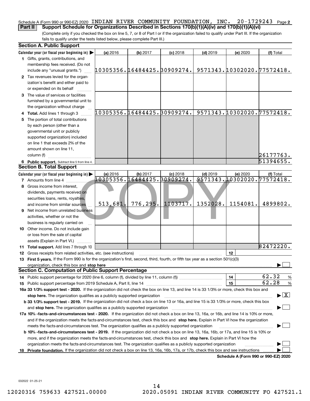#### $20 - 1729243$  Page 2 Schedule A (Form 990 or 990-EZ) 2020 INDIAN RIVER COMMUNITY FOUNDATION, INC. 20–1729243 Page<br>| Part II | Support Schedule for Organizations Described in Sections 170(b)(1)(A)(v) and 170(b)(1)(A)(vi) **Part II Support Schedule for Organizations Described in Sections 170(b)(1)(A)(iv) and 170(b)(1)(A)(vi)**

(Complete only if you checked the box on line 5, 7, or 8 of Part I or if the organization failed to qualify under Part III. If the organization fails to qualify under the tests listed below, please complete Part III.)

|     | <b>Section A. Public Support</b>                                                                                                               |                                         |          |                      |            |                                        |                                          |
|-----|------------------------------------------------------------------------------------------------------------------------------------------------|-----------------------------------------|----------|----------------------|------------|----------------------------------------|------------------------------------------|
|     | Calendar year (or fiscal year beginning in) $\blacktriangleright$                                                                              | (a) 2016                                | (b) 2017 | $(c)$ 2018           | $(d)$ 2019 | (e) 2020                               | (f) Total                                |
|     | 1 Gifts, grants, contributions, and                                                                                                            |                                         |          |                      |            |                                        |                                          |
|     | membership fees received. (Do not                                                                                                              |                                         |          |                      |            |                                        |                                          |
|     | include any "unusual grants.")                                                                                                                 | 10305356.16484425.30909274.             |          |                      |            | 9571343.10302020.77572418.             |                                          |
|     | 2 Tax revenues levied for the organ-                                                                                                           |                                         |          |                      |            |                                        |                                          |
|     | ization's benefit and either paid to                                                                                                           |                                         |          |                      |            |                                        |                                          |
|     | or expended on its behalf                                                                                                                      |                                         |          |                      |            |                                        |                                          |
|     | 3 The value of services or facilities                                                                                                          |                                         |          |                      |            |                                        |                                          |
|     | furnished by a governmental unit to                                                                                                            |                                         |          |                      |            |                                        |                                          |
|     | the organization without charge                                                                                                                |                                         |          |                      |            |                                        |                                          |
|     | <b>Total.</b> Add lines 1 through 3                                                                                                            | 10305356.16484425.30909274.             |          |                      |            | 9571343.10302020.77572418.             |                                          |
|     | The portion of total contributions                                                                                                             |                                         |          |                      |            |                                        |                                          |
|     | by each person (other than a                                                                                                                   |                                         |          |                      |            |                                        |                                          |
|     | governmental unit or publicly                                                                                                                  |                                         |          |                      |            |                                        |                                          |
|     | supported organization) included                                                                                                               |                                         |          |                      |            |                                        |                                          |
|     | on line 1 that exceeds 2% of the                                                                                                               |                                         |          |                      |            |                                        |                                          |
|     | amount shown on line 11,                                                                                                                       |                                         |          |                      |            |                                        |                                          |
|     | column (f)                                                                                                                                     |                                         |          |                      |            |                                        | 26177763.                                |
|     | 6 Public support. Subtract line 5 from line 4.<br><b>Section B. Total Support</b>                                                              |                                         |          |                      |            |                                        | 51394655.                                |
|     |                                                                                                                                                |                                         |          |                      |            |                                        |                                          |
|     | Calendar year (or fiscal year beginning in)                                                                                                    | (a) 2016<br>10305356.16484425.30909274. | (b) 2017 | $(c)$ 2018           | $(d)$ 2019 | (e) 2020<br>9571343.10302020.77572418. | (f) Total                                |
|     | <b>7</b> Amounts from line 4                                                                                                                   |                                         |          |                      |            |                                        |                                          |
|     | Gross income from interest,                                                                                                                    |                                         |          |                      |            |                                        |                                          |
|     | dividends, payments received on                                                                                                                |                                         |          |                      |            |                                        |                                          |
|     | securities loans, rents, royalties,                                                                                                            | 513,681                                 |          | $776, 295.$ 1103717. | 1352028.   | 1154081.                               | 4899802.                                 |
|     | and income from similar sources                                                                                                                |                                         |          |                      |            |                                        |                                          |
| 9   | Net income from unrelated business                                                                                                             |                                         |          |                      |            |                                        |                                          |
|     | activities, whether or not the                                                                                                                 |                                         |          |                      |            |                                        |                                          |
|     | business is regularly carried on                                                                                                               |                                         |          |                      |            |                                        |                                          |
|     | <b>10</b> Other income. Do not include gain                                                                                                    |                                         |          |                      |            |                                        |                                          |
|     | or loss from the sale of capital                                                                                                               |                                         |          |                      |            |                                        |                                          |
|     | assets (Explain in Part VI.)<br>11 Total support. Add lines 7 through 10                                                                       |                                         |          |                      |            |                                        | 82472220.                                |
|     | 12 Gross receipts from related activities, etc. (see instructions)                                                                             |                                         |          |                      |            | 12                                     |                                          |
|     | 13 First 5 years. If the Form 990 is for the organization's first, second, third, fourth, or fifth tax year as a section 501(c)(3)             |                                         |          |                      |            |                                        |                                          |
|     | organization, check this box and stop here manufactured and according to the state of the state of the state of                                |                                         |          |                      |            |                                        |                                          |
|     | <b>Section C. Computation of Public Support Percentage</b>                                                                                     |                                         |          |                      |            |                                        |                                          |
|     |                                                                                                                                                |                                         |          |                      |            | 14                                     | 62.32<br>$\frac{9}{6}$                   |
|     | <b>15</b> Public support percentage from 2019 Schedule A, Part II, line 14                                                                     |                                         |          |                      |            | 15                                     | 62.28<br>$\frac{9}{6}$                   |
|     | 16a 33 1/3% support test - 2020. If the organization did not check the box on line 13, and line 14 is 33 1/3% or more, check this box and      |                                         |          |                      |            |                                        |                                          |
|     | stop here. The organization qualifies as a publicly supported organization                                                                     |                                         |          |                      |            |                                        | $\blacktriangleright$ $\boxed{\text{X}}$ |
|     | b 33 1/3% support test - 2019. If the organization did not check a box on line 13 or 16a, and line 15 is 33 1/3% or more, check this box       |                                         |          |                      |            |                                        |                                          |
|     | and stop here. The organization qualifies as a publicly supported organization                                                                 |                                         |          |                      |            |                                        |                                          |
|     | 17a 10% -facts-and-circumstances test - 2020. If the organization did not check a box on line 13, 16a, or 16b, and line 14 is 10% or more,     |                                         |          |                      |            |                                        |                                          |
|     | and if the organization meets the facts-and-circumstances test, check this box and stop here. Explain in Part VI how the organization          |                                         |          |                      |            |                                        |                                          |
|     | meets the facts-and-circumstances test. The organization qualifies as a publicly supported organization                                        |                                         |          |                      |            |                                        |                                          |
|     | <b>b 10% -facts-and-circumstances test - 2019.</b> If the organization did not check a box on line 13, 16a, 16b, or 17a, and line 15 is 10% or |                                         |          |                      |            |                                        |                                          |
|     | more, and if the organization meets the facts-and-circumstances test, check this box and stop here. Explain in Part VI how the                 |                                         |          |                      |            |                                        |                                          |
|     | organization meets the facts-and-circumstances test. The organization qualifies as a publicly supported organization                           |                                         |          |                      |            |                                        |                                          |
| 18. | Private foundation. If the organization did not check a box on line 13, 16a, 16b, 17a, or 17b, check this box and see instructions             |                                         |          |                      |            |                                        |                                          |
|     |                                                                                                                                                |                                         |          |                      |            | Schedule A (Form 990 or 990-EZ) 2020   |                                          |

032022 01-25-21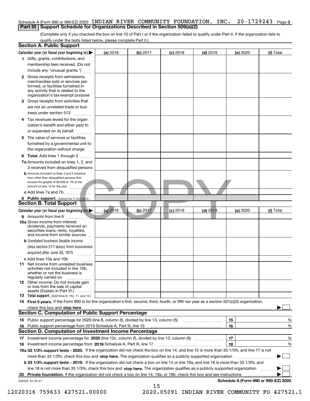### Schedule A (Form 990 or 990-EZ) 2020 INDIAN RIVER COMMUNITY FOUNDATION, INC. 20–1729243 <sub>Page 3</sub><br>I Part III I Support Schedule for Organizations Described in Section 509(a)(2) **Part III** | Support Schedule for Organizations Described in Section 509(a)(2)

(Complete only if you checked the box on line 10 of Part I or if the organization failed to qualify under Part II. If the organization fails to qualify under the tests listed below, please complete Part II.)

| <b>Section A. Public Support</b>                                                                                                                                                                                               |          |          |            |            |          |                                      |
|--------------------------------------------------------------------------------------------------------------------------------------------------------------------------------------------------------------------------------|----------|----------|------------|------------|----------|--------------------------------------|
| Calendar year (or fiscal year beginning in)                                                                                                                                                                                    | (a) 2016 | (b) 2017 | $(c)$ 2018 | $(d)$ 2019 | (e) 2020 | (f) Total                            |
| 1 Gifts, grants, contributions, and                                                                                                                                                                                            |          |          |            |            |          |                                      |
| membership fees received. (Do not                                                                                                                                                                                              |          |          |            |            |          |                                      |
| include any "unusual grants.")                                                                                                                                                                                                 |          |          |            |            |          |                                      |
| <b>2</b> Gross receipts from admissions,<br>merchandise sold or services per-<br>formed, or facilities furnished in<br>any activity that is related to the<br>organization's tax-exempt purpose                                |          |          |            |            |          |                                      |
| 3 Gross receipts from activities that<br>are not an unrelated trade or bus-                                                                                                                                                    |          |          |            |            |          |                                      |
| iness under section 513                                                                                                                                                                                                        |          |          |            |            |          |                                      |
| 4 Tax revenues levied for the organ-<br>ization's benefit and either paid to                                                                                                                                                   |          |          |            |            |          |                                      |
| or expended on its behalf                                                                                                                                                                                                      |          |          |            |            |          |                                      |
| 5 The value of services or facilities<br>furnished by a governmental unit to                                                                                                                                                   |          |          |            |            |          |                                      |
| the organization without charge                                                                                                                                                                                                |          |          |            |            |          |                                      |
| <b>6 Total.</b> Add lines 1 through 5<br>7a Amounts included on lines 1, 2, and<br>3 received from disqualified persons                                                                                                        |          |          |            |            |          |                                      |
| <b>b</b> Amounts included on lines 2 and 3 received<br>from other than disqualified persons that<br>exceed the greater of \$5,000 or 1% of the                                                                                 |          |          |            |            |          |                                      |
| c Add lines 7a and 7b $\ldots$                                                                                                                                                                                                 |          |          |            |            |          |                                      |
| 8 Public support. (Subtract line 7c from line 6.)<br><b>Section B. Total Support</b>                                                                                                                                           |          |          |            |            |          |                                      |
| Calendar year (or fiscal year beginning in)                                                                                                                                                                                    | (a) 2016 | (b) 2017 | $(c)$ 2018 | $(d)$ 2019 | (e) 2020 | (f) Total                            |
| <b>9</b> Amounts from line 6                                                                                                                                                                                                   |          |          |            |            |          |                                      |
| 10a Gross income from interest,<br>dividends, payments received on<br>securities loans, rents, royalties,<br>and income from similar sources                                                                                   |          |          |            |            |          |                                      |
| <b>b</b> Unrelated business taxable income<br>(less section 511 taxes) from businesses<br>acquired after June 30, 1975                                                                                                         |          |          |            |            |          |                                      |
| c Add lines 10a and 10b                                                                                                                                                                                                        |          |          |            |            |          |                                      |
| 11 Net income from unrelated business<br>activities not included in line 10b,<br>whether or not the business is<br>regularly carried on                                                                                        |          |          |            |            |          |                                      |
| <b>12</b> Other income. Do not include gain<br>or loss from the sale of capital<br>assets (Explain in Part VI.)                                                                                                                |          |          |            |            |          |                                      |
| <b>13</b> Total support. (Add lines 9, 10c, 11, and 12.)                                                                                                                                                                       |          |          |            |            |          |                                      |
| 14 First 5 years. If the Form 990 is for the organization's first, second, third, fourth, or fifth tax year as a section 501(c)(3) organization,                                                                               |          |          |            |            |          |                                      |
| check this box and stop here measured and contained a state of the state of the state of the state of the state of the state of the state of the state of the state of the state of the state of the state of the state of the |          |          |            |            |          |                                      |
| <b>Section C. Computation of Public Support Percentage</b>                                                                                                                                                                     |          |          |            |            |          |                                      |
| 15 Public support percentage for 2020 (line 8, column (f), divided by line 13, column (f))                                                                                                                                     |          |          |            |            | 15       | %                                    |
| 16 Public support percentage from 2019 Schedule A, Part III, line 15                                                                                                                                                           |          |          |            |            | 16       | %                                    |
| <b>Section D. Computation of Investment Income Percentage</b>                                                                                                                                                                  |          |          |            |            |          |                                      |
| 17 Investment income percentage for 2020 (line 10c, column (f), divided by line 13, column (f))<br>18 Investment income percentage from 2019 Schedule A, Part III, line 17                                                     |          |          |            |            | 17<br>18 | %<br>%                               |
| 19a 33 1/3% support tests - 2020. If the organization did not check the box on line 14, and line 15 is more than 33 1/3%, and line 17 is not                                                                                   |          |          |            |            |          |                                      |
| more than 33 1/3%, check this box and stop here. The organization qualifies as a publicly supported organization                                                                                                               |          |          |            |            |          |                                      |
| b 33 1/3% support tests - 2019. If the organization did not check a box on line 14 or line 19a, and line 16 is more than 33 1/3%, and                                                                                          |          |          |            |            |          |                                      |
| line 18 is not more than 33 1/3%, check this box and stop here. The organization qualifies as a publicly supported organization                                                                                                |          |          |            |            |          |                                      |
| 20 Private foundation. If the organization did not check a box on line 14, 19a, or 19b, check this box and see instructions                                                                                                    |          |          |            |            |          |                                      |
| 032023 01-25-21                                                                                                                                                                                                                |          |          |            |            |          | Schedule A (Form 990 or 990-EZ) 2020 |
|                                                                                                                                                                                                                                |          | 15       |            |            |          |                                      |

12020316 759633 427521.00000 2020.05091 INDIAN RIVER COMMUNITY FO 427521.1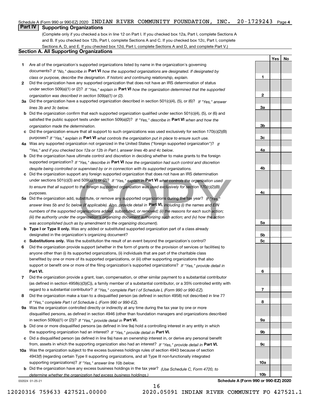## Schedule A (Form 990 or 990-EZ) 2020 INDIAN RIVER COMMUNITY FOUNDATION, INC. 20-1729243 <sub>Page 4</sub><br>I Part IV I Supporting Organizations

## **Part IV Supporting Organizations**

(Complete only if you checked a box in line 12 on Part I. If you checked box 12a, Part I, complete Sections A and B. If you checked box 12b, Part I, complete Sections A and C. If you checked box 12c, Part I, complete Sections A, D, and E. If you checked box 12d, Part I, complete Sections A and D, and complete Part V.)

### **Section A. All Supporting Organizations**

- **1** Are all of the organization's supported organizations listed by name in the organization's governing documents? If "No," describe in **Part VI** how the supported organizations are designated. If designated by *class or purpose, describe the designation. If historic and continuing relationship, explain.*
- **2** Did the organization have any supported organization that does not have an IRS determination of status under section 509(a)(1) or (2)? If "Yes," explain in Part VI how the organization determined that the supported *organization was described in section 509(a)(1) or (2).*
- **3a** Did the organization have a supported organization described in section 501(c)(4), (5), or (6)? If "Yes," answer *lines 3b and 3c below.*
- **b** Did the organization confirm that each supported organization qualified under section 501(c)(4), (5), or (6) and satisfied the public support tests under section 509(a)(2)? If "Yes," describe in **Part VI** when and how the *organization made the determination.*
- **c**Did the organization ensure that all support to such organizations was used exclusively for section 170(c)(2)(B) purposes? If "Yes," explain in **Part VI** what controls the organization put in place to ensure such use.
- **4a***If* Was any supported organization not organized in the United States ("foreign supported organization")? *"Yes," and if you checked box 12a or 12b in Part I, answer lines 4b and 4c below.*
- **b** Did the organization have ultimate control and discretion in deciding whether to make grants to the foreign supported organization? If "Yes," describe in **Part VI** how the organization had such control and discretion *despite being controlled or supervised by or in connection with its supported organizations.*
- **c** Did the organization support any foreign supported organization that does not have an IRS determination *to ensure that all support to the foreign supported organization was used exclusively for section 170(c)(2)(B) purposes.*
- under sections 501(c)(3) and 509(a)(1) or (2)? If "Yes," explain in **Part VI** what controls the organization used<br>to ensure that all support to the foreign supported organization was used exclusively for section 170(c)(2)( **5a***If "Yes,"* Did the organization add, substitute, or remove any supported organizations during the tax year? answer lines 5b and 5c below (if applicable). Also, provide detail in **Part VI,** including (i) the names and EIN *numbers of the supported organizations added, substituted, or removed; (ii) the reasons for each such action; (iii) the authority under the organization's organizing document authorizing such action; and (iv) how the action was accomplished (such as by amendment to the organizing document).*
- **b** Type I or Type II only. Was any added or substituted supported organization part of a class already designated in the organization's organizing document?
- **cSubstitutions only.**  Was the substitution the result of an event beyond the organization's control?
- **6** Did the organization provide support (whether in the form of grants or the provision of services or facilities) to **Part VI.** *If "Yes," provide detail in* support or benefit one or more of the filing organization's supported organizations? anyone other than (i) its supported organizations, (ii) individuals that are part of the charitable class benefited by one or more of its supported organizations, or (iii) other supporting organizations that also
- **7**Did the organization provide a grant, loan, compensation, or other similar payment to a substantial contributor *If "Yes," complete Part I of Schedule L (Form 990 or 990-EZ).* regard to a substantial contributor? (as defined in section 4958(c)(3)(C)), a family member of a substantial contributor, or a 35% controlled entity with
- **8** Did the organization make a loan to a disqualified person (as defined in section 4958) not described in line 7? *If "Yes," complete Part I of Schedule L (Form 990 or 990-EZ).*
- **9a** Was the organization controlled directly or indirectly at any time during the tax year by one or more in section 509(a)(1) or (2))? If "Yes," *provide detail in* <code>Part VI.</code> disqualified persons, as defined in section 4946 (other than foundation managers and organizations described
- **b** Did one or more disqualified persons (as defined in line 9a) hold a controlling interest in any entity in which the supporting organization had an interest? If "Yes," provide detail in P**art VI**.
- **c**Did a disqualified person (as defined in line 9a) have an ownership interest in, or derive any personal benefit from, assets in which the supporting organization also had an interest? If "Yes," provide detail in P**art VI.**
- **10a** Was the organization subject to the excess business holdings rules of section 4943 because of section supporting organizations)? If "Yes," answer line 10b below. 4943(f) (regarding certain Type II supporting organizations, and all Type III non-functionally integrated
- **b** Did the organization have any excess business holdings in the tax year? (Use Schedule C, Form 4720, to *determine whether the organization had excess business holdings.)*

16

032024 01-25-21

**Schedule A (Form 990 or 990-EZ) 2020**

**Yes No**

**1**

**2**

**3a**

**3b**

**3c**

**4a**

**4b**

**4c**

**5a**

**5b5c**

**6**

**7**

**8**

**9a**

**9b**

**9c**

**10a**

**10b**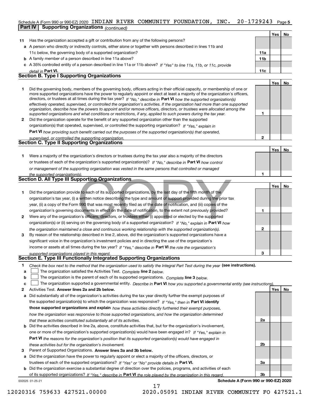#### **5** Schedule A (Form 990 or 990-EZ) 2020 INDIAN RIVER COMMUNITY FOUNDATION, INC. 20-1729243 Page<br>I Part IV | Supporting Organizations / ... ...

|              | <b>Supporting Organizations (continued)</b><br>Part IV                                                                                                                                                                                                    |                 |     |    |
|--------------|-----------------------------------------------------------------------------------------------------------------------------------------------------------------------------------------------------------------------------------------------------------|-----------------|-----|----|
|              |                                                                                                                                                                                                                                                           |                 | Yes | No |
| 11           | Has the organization accepted a gift or contribution from any of the following persons?                                                                                                                                                                   |                 |     |    |
|              | a A person who directly or indirectly controls, either alone or together with persons described in lines 11b and                                                                                                                                          |                 |     |    |
|              | 11c below, the governing body of a supported organization?                                                                                                                                                                                                | 11a             |     |    |
|              | <b>b</b> A family member of a person described in line 11a above?                                                                                                                                                                                         | 11 <sub>b</sub> |     |    |
|              | c A 35% controlled entity of a person described in line 11a or 11b above? If "Yes" to line 11a, 11b, or 11c, provide                                                                                                                                      |                 |     |    |
|              | detail in Part VI.                                                                                                                                                                                                                                        | 11c             |     |    |
|              | <b>Section B. Type I Supporting Organizations</b>                                                                                                                                                                                                         |                 |     |    |
|              |                                                                                                                                                                                                                                                           |                 | Yes | No |
| 1            | Did the governing body, members of the governing body, officers acting in their official capacity, or membership of one or                                                                                                                                |                 |     |    |
|              | more supported organizations have the power to regularly appoint or elect at least a majority of the organization's officers,                                                                                                                             |                 |     |    |
|              | directors, or trustees at all times during the tax year? If "No," describe in Part VI how the supported organization(s)<br>effectively operated, supervised, or controlled the organization's activities. If the organization had more than one supported |                 |     |    |
|              | organization, describe how the powers to appoint and/or remove officers, directors, or trustees were allocated among the                                                                                                                                  |                 |     |    |
|              | supported organizations and what conditions or restrictions, if any, applied to such powers during the tax year.                                                                                                                                          | 1               |     |    |
| 2            | Did the organization operate for the benefit of any supported organization other than the supported                                                                                                                                                       |                 |     |    |
|              | organization(s) that operated, supervised, or controlled the supporting organization? If "Yes," explain in                                                                                                                                                |                 |     |    |
|              | Part VI how providing such benefit carried out the purposes of the supported organization(s) that operated,                                                                                                                                               |                 |     |    |
|              | supervised, or controlled the supporting organization.                                                                                                                                                                                                    | $\mathbf{2}$    |     |    |
|              | Section C. Type II Supporting Organizations                                                                                                                                                                                                               |                 |     |    |
|              |                                                                                                                                                                                                                                                           |                 | Yes | No |
| 1.           | Were a majority of the organization's directors or trustees during the tax year also a majority of the directors                                                                                                                                          |                 |     |    |
|              | or trustees of each of the organization's supported organization(s)? If "No," describe in Part VI how control                                                                                                                                             |                 |     |    |
|              | or management of the supporting organization was vested in the same persons that controlled or managed                                                                                                                                                    |                 |     |    |
|              | the supported organization(s).                                                                                                                                                                                                                            | 1               |     |    |
|              | Section D. All Type III Supporting Organizations                                                                                                                                                                                                          |                 |     |    |
|              |                                                                                                                                                                                                                                                           |                 | Yes | No |
| 1            | Did the organization provide to each of its supported organizations, by the last day of the fifth month of the                                                                                                                                            |                 |     |    |
|              | organization's tax year, (i) a written notice describing the type and amount of support provided during the prior tax                                                                                                                                     |                 |     |    |
|              | year, (ii) a copy of the Form 990 that was most recently filed as of the date of notification, and (iii) copies of the                                                                                                                                    |                 |     |    |
|              | organization's governing documents in effect on the date of notification, to the extent not previously provided?                                                                                                                                          | 1               |     |    |
| $\mathbf{2}$ | Were any of the organization's officers, directors, or trustees either (i) appointed or elected by the supported                                                                                                                                          |                 |     |    |
|              | organization(s) or (ii) serving on the governing body of a supported organization? If "No," explain in Part VI how                                                                                                                                        |                 |     |    |
|              | the organization maintained a close and continuous working relationship with the supported organization(s).                                                                                                                                               | 2               |     |    |
| 3            | By reason of the relationship described in line 2, above, did the organization's supported organizations have a                                                                                                                                           |                 |     |    |
|              | significant voice in the organization's investment policies and in directing the use of the organization's                                                                                                                                                |                 |     |    |
|              | income or assets at all times during the tax year? If "Yes," describe in Part VI the role the organization's                                                                                                                                              |                 |     |    |
|              | supported organizations played in this regard.                                                                                                                                                                                                            |                 |     |    |
|              | Section E. Type III Functionally Integrated Supporting Organizations                                                                                                                                                                                      |                 |     |    |
| 1            | Check the box next to the method that the organization used to satisfy the Integral Part Test during the year (see instructions).                                                                                                                         |                 |     |    |
| а            | The organization satisfied the Activities Test. Complete line 2 below.                                                                                                                                                                                    |                 |     |    |
| b            | The organization is the parent of each of its supported organizations. Complete line 3 below.                                                                                                                                                             |                 |     |    |
| с            | The organization supported a governmental entity. Describe in Part VI how you supported a governmental entity (see instructions)                                                                                                                          |                 |     |    |
| 2            | Activities Test. Answer lines 2a and 2b below.                                                                                                                                                                                                            |                 | Yes | No |
| а            | Did substantially all of the organization's activities during the tax year directly further the exempt purposes of                                                                                                                                        |                 |     |    |
|              | the supported organization(s) to which the organization was responsive? If "Yes," then in Part VI identify                                                                                                                                                |                 |     |    |
|              | those supported organizations and explain how these activities directly furthered their exempt purposes,                                                                                                                                                  |                 |     |    |
|              | how the organization was responsive to those supported organizations, and how the organization determined                                                                                                                                                 |                 |     |    |
|              | that these activities constituted substantially all of its activities.                                                                                                                                                                                    | 2a              |     |    |
| b            | Did the activities described in line 2a, above, constitute activities that, but for the organization's involvement,                                                                                                                                       |                 |     |    |
|              | one or more of the organization's supported organization(s) would have been engaged in? If "Yes," explain in                                                                                                                                              |                 |     |    |
|              | <b>Part VI</b> the reasons for the organization's position that its supported organization(s) would have engaged in                                                                                                                                       |                 |     |    |
|              | these activities but for the organization's involvement.                                                                                                                                                                                                  | 2b              |     |    |
| 3            | Parent of Supported Organizations. Answer lines 3a and 3b below.                                                                                                                                                                                          |                 |     |    |
|              | a Did the organization have the power to regularly appoint or elect a majority of the officers, directors, or                                                                                                                                             |                 |     |    |

trustees of each of the supported organizations? If "Yes" or "No" provide details in P**art VI.** 

**b** Did the organization exercise a substantial degree of direction over the policies, programs, and activities of each **Part VI**  *If "Yes," describe in the role played by the organization in this regard.* of its supported organizations?

17

032025 01-25-21

**Schedule A (Form 990 or 990-EZ) 2020**

**3a**

**3b**

12020316 759633 427521.00000 2020.05091 INDIAN RIVER COMMUNITY FO 427521.1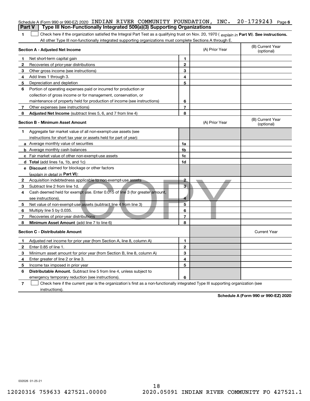| <b>Part V</b> | Schedule A (Form 990 or 990-EZ) 2020 INDIAN RIVER COMMUNITY FOUNDATION, INC. 20-1729243<br>Type III Non-Functionally Integrated 509(a)(3) Supporting Organizations |                |                | Page 6                         |
|---------------|--------------------------------------------------------------------------------------------------------------------------------------------------------------------|----------------|----------------|--------------------------------|
| 1             | Check here if the organization satisfied the Integral Part Test as a qualifying trust on Nov. 20, 1970 (explain in Part VI). See instructions.                     |                |                |                                |
|               | All other Type III non-functionally integrated supporting organizations must complete Sections A through E.                                                        |                |                |                                |
|               | <b>Section A - Adjusted Net Income</b>                                                                                                                             |                | (A) Prior Year | (B) Current Year<br>(optional) |
| 1             | Net short-term capital gain                                                                                                                                        | 1              |                |                                |
| 2             | Recoveries of prior-year distributions                                                                                                                             | $\mathbf{2}$   |                |                                |
| 3             | Other gross income (see instructions)                                                                                                                              | 3              |                |                                |
| 4             | Add lines 1 through 3.                                                                                                                                             | 4              |                |                                |
| 5             | Depreciation and depletion                                                                                                                                         | 5              |                |                                |
| 6             | Portion of operating expenses paid or incurred for production or                                                                                                   |                |                |                                |
|               | collection of gross income or for management, conservation, or                                                                                                     |                |                |                                |
|               | maintenance of property held for production of income (see instructions)                                                                                           | 6              |                |                                |
| 7             | Other expenses (see instructions)                                                                                                                                  | $\overline{7}$ |                |                                |
| 8             | <b>Adjusted Net Income</b> (subtract lines 5, 6, and 7 from line 4)                                                                                                | 8              |                |                                |
|               | <b>Section B - Minimum Asset Amount</b>                                                                                                                            |                | (A) Prior Year | (B) Current Year<br>(optional) |
| 1             | Aggregate fair market value of all non-exempt-use assets (see                                                                                                      |                |                |                                |
|               | instructions for short tax year or assets held for part of year):                                                                                                  |                |                |                                |
|               | <b>a</b> Average monthly value of securities                                                                                                                       | 1a             |                |                                |
|               | <b>b</b> Average monthly cash balances                                                                                                                             | 1b             |                |                                |
|               | c Fair market value of other non-exempt-use assets                                                                                                                 | 1c             |                |                                |
|               | <b>d</b> Total (add lines 1a, 1b, and 1c)                                                                                                                          | 1d             |                |                                |
|               | e Discount claimed for blockage or other factors                                                                                                                   |                |                |                                |
|               | (explain in detail in Part VI):                                                                                                                                    |                |                |                                |
| 2             | Acquisition indebtedness applicable to non-exempt-use assets                                                                                                       | $\overline{2}$ |                |                                |
| 3             | Subtract line 2 from line 1d.                                                                                                                                      | 3              |                |                                |
| 4             | Cash deemed held for exempt use. Enter 0.015 of line 3 (for greater amount,                                                                                        |                |                |                                |
|               | see instructions).                                                                                                                                                 | 4              |                |                                |
| 5             | Net value of non-exempt-use assets (subtract line 4 from line 3)                                                                                                   | 5              |                |                                |
| 6             | Multiply line 5 by 0.035.                                                                                                                                          | 6              |                |                                |
| 7             | Recoveries of prior-year distributions                                                                                                                             | 7              |                |                                |
| 8             | Minimum Asset Amount (add line 7 to line 6)                                                                                                                        | 8              |                |                                |
|               | <b>Section C - Distributable Amount</b>                                                                                                                            |                |                | <b>Current Year</b>            |
| 1.            | Adjusted net income for prior year (from Section A, line 8, column A)                                                                                              | 1              |                |                                |
| 2             | Enter 0.85 of line 1.                                                                                                                                              | 2              |                |                                |
| 3             | Minimum asset amount for prior year (from Section B, line 8, column A)                                                                                             | 3              |                |                                |
| 4             | Enter greater of line 2 or line 3.                                                                                                                                 | 4              |                |                                |
| 5             | Income tax imposed in prior year                                                                                                                                   | 5              |                |                                |
| 6             | Distributable Amount. Subtract line 5 from line 4, unless subject to                                                                                               |                |                |                                |
|               | emergency temporary reduction (see instructions).                                                                                                                  | 6              |                |                                |
| 7             | Check here if the current year is the organization's first as a non-functionally integrated Type III supporting organization (see                                  |                |                |                                |

instructions).

**Schedule A (Form 990 or 990-EZ) 2020**

032026 01-25-21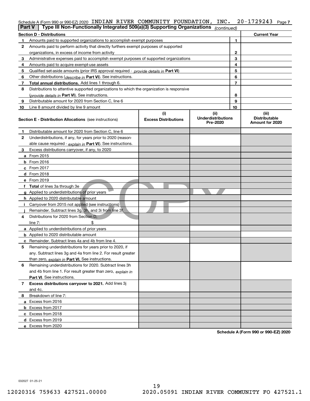|    | Schedule A (Form 990 or 990-EZ) 2020 INDIAN RIVER COMMUNITY FOUNDATION,<br>Type III Non-Functionally Integrated 509(a)(3) Supporting Organizations<br><b>Part V</b> |   |                                    | INC.                                          |    | 20-1729243<br>Page 7                             |  |  |
|----|---------------------------------------------------------------------------------------------------------------------------------------------------------------------|---|------------------------------------|-----------------------------------------------|----|--------------------------------------------------|--|--|
|    | (continued)<br><b>Current Year</b><br><b>Section D - Distributions</b>                                                                                              |   |                                    |                                               |    |                                                  |  |  |
| 1. | Amounts paid to supported organizations to accomplish exempt purposes                                                                                               |   |                                    |                                               | 1  |                                                  |  |  |
| 2  | Amounts paid to perform activity that directly furthers exempt purposes of supported                                                                                |   |                                    |                                               |    |                                                  |  |  |
|    | organizations, in excess of income from activity                                                                                                                    | 2 |                                    |                                               |    |                                                  |  |  |
| З. | Administrative expenses paid to accomplish exempt purposes of supported organizations                                                                               |   |                                    |                                               | 3  |                                                  |  |  |
| 4  | Amounts paid to acquire exempt-use assets                                                                                                                           |   |                                    |                                               | 4  |                                                  |  |  |
| 5  | Qualified set-aside amounts (prior IRS approval required - provide details in Part VI)                                                                              |   |                                    |                                               | 5  |                                                  |  |  |
| 6  | Other distributions ( <i>describe in</i> Part VI). See instructions.                                                                                                |   |                                    |                                               | 6  |                                                  |  |  |
| 7  | Total annual distributions. Add lines 1 through 6.                                                                                                                  |   |                                    |                                               | 7  |                                                  |  |  |
| 8  | Distributions to attentive supported organizations to which the organization is responsive                                                                          |   |                                    |                                               |    |                                                  |  |  |
|    | (provide details in Part VI). See instructions.                                                                                                                     |   |                                    |                                               | 8  |                                                  |  |  |
| 9  | Distributable amount for 2020 from Section C, line 6                                                                                                                |   |                                    |                                               | 9  |                                                  |  |  |
| 10 | Line 8 amount divided by line 9 amount                                                                                                                              |   |                                    |                                               | 10 |                                                  |  |  |
|    | <b>Section E - Distribution Allocations</b> (see instructions)                                                                                                      |   | (i)<br><b>Excess Distributions</b> | (ii)<br><b>Underdistributions</b><br>Pre-2020 |    | (iii)<br><b>Distributable</b><br>Amount for 2020 |  |  |
| 1. | Distributable amount for 2020 from Section C, line 6                                                                                                                |   |                                    |                                               |    |                                                  |  |  |
| 2  | Underdistributions, if any, for years prior to 2020 (reason-                                                                                                        |   |                                    |                                               |    |                                                  |  |  |
|    | able cause required - explain in Part VI). See instructions.                                                                                                        |   |                                    |                                               |    |                                                  |  |  |
| 3  | Excess distributions carryover, if any, to 2020                                                                                                                     |   |                                    |                                               |    |                                                  |  |  |
|    | a From 2015                                                                                                                                                         |   |                                    |                                               |    |                                                  |  |  |
|    | <b>b</b> From 2016                                                                                                                                                  |   |                                    |                                               |    |                                                  |  |  |
|    | $c$ From 2017                                                                                                                                                       |   |                                    |                                               |    |                                                  |  |  |
|    | d From 2018                                                                                                                                                         |   |                                    |                                               |    |                                                  |  |  |
|    | e From 2019                                                                                                                                                         |   |                                    |                                               |    |                                                  |  |  |
|    | f Total of lines 3a through 3e                                                                                                                                      |   |                                    |                                               |    |                                                  |  |  |
|    | g Applied to underdistributions of prior years                                                                                                                      |   |                                    |                                               |    |                                                  |  |  |
|    | <b>h</b> Applied to 2020 distributable amount                                                                                                                       |   |                                    |                                               |    |                                                  |  |  |
|    | i Carryover from 2015 not applied (see instructions)                                                                                                                |   |                                    |                                               |    |                                                  |  |  |
|    | Remainder. Subtract lines 3g, 3h, and 3i from line 3f.                                                                                                              |   |                                    |                                               |    |                                                  |  |  |
| 4  | Distributions for 2020 from Section D.                                                                                                                              |   |                                    |                                               |    |                                                  |  |  |
|    | line $7:$                                                                                                                                                           |   |                                    |                                               |    |                                                  |  |  |
|    | a Applied to underdistributions of prior years                                                                                                                      |   |                                    |                                               |    |                                                  |  |  |
|    | <b>b</b> Applied to 2020 distributable amount                                                                                                                       |   |                                    |                                               |    |                                                  |  |  |
|    | <b>c</b> Remainder. Subtract lines 4a and 4b from line 4.                                                                                                           |   |                                    |                                               |    |                                                  |  |  |
|    | Remaining underdistributions for years prior to 2020, if                                                                                                            |   |                                    |                                               |    |                                                  |  |  |
|    | any. Subtract lines 3g and 4a from line 2. For result greater                                                                                                       |   |                                    |                                               |    |                                                  |  |  |
|    | than zero, explain in Part VI. See instructions.                                                                                                                    |   |                                    |                                               |    |                                                  |  |  |
| 6  | Remaining underdistributions for 2020. Subtract lines 3h                                                                                                            |   |                                    |                                               |    |                                                  |  |  |
|    | and 4b from line 1. For result greater than zero, explain in                                                                                                        |   |                                    |                                               |    |                                                  |  |  |
|    | <b>Part VI.</b> See instructions.<br>Excess distributions carryover to 2021. Add lines 3j                                                                           |   |                                    |                                               |    |                                                  |  |  |
| 7  | and 4c.                                                                                                                                                             |   |                                    |                                               |    |                                                  |  |  |
| 8  | Breakdown of line 7:                                                                                                                                                |   |                                    |                                               |    |                                                  |  |  |
|    | a Excess from 2016                                                                                                                                                  |   |                                    |                                               |    |                                                  |  |  |
|    | <b>b</b> Excess from 2017                                                                                                                                           |   |                                    |                                               |    |                                                  |  |  |
|    | c Excess from 2018                                                                                                                                                  |   |                                    |                                               |    |                                                  |  |  |
|    | d Excess from 2019                                                                                                                                                  |   |                                    |                                               |    |                                                  |  |  |
|    |                                                                                                                                                                     |   |                                    |                                               |    |                                                  |  |  |

**Schedule A (Form 990 or 990-EZ) 2020**

032027 01-25-21

**e**Excess from 2020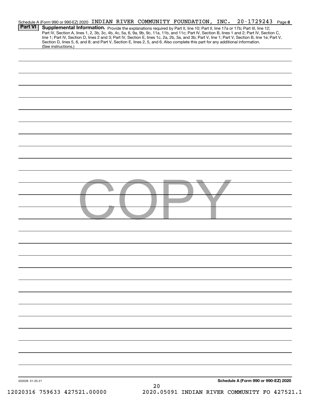| <b>Part VI</b>  | $20 - 1729243$ Page 8<br>Schedule A (Form 990 or 990-EZ) 2020 INDIAN RIVER COMMUNITY FOUNDATION, INC.<br>Supplemental Information. Provide the explanations required by Part II, line 10; Part II, line 17a or 17b; Part III, line 12;<br>Part IV, Section A, lines 1, 2, 3b, 3c, 4b, 4c, 5a, 6, 9a, 9b, 9c, 11a, 11b, and 11c; Part IV, Section B, lines 1 and 2; Part IV, Section C,<br>line 1; Part IV, Section D, lines 2 and 3; Part IV, Section E, lines 1c, 2a, 2b, 3a, and 3b; Part V, line 1; Part V, Section B, line 1e; Part V,<br>Section D, lines 5, 6, and 8; and Part V, Section E, lines 2, 5, and 6. Also complete this part for any additional information. |
|-----------------|-------------------------------------------------------------------------------------------------------------------------------------------------------------------------------------------------------------------------------------------------------------------------------------------------------------------------------------------------------------------------------------------------------------------------------------------------------------------------------------------------------------------------------------------------------------------------------------------------------------------------------------------------------------------------------|
|                 | (See instructions.)                                                                                                                                                                                                                                                                                                                                                                                                                                                                                                                                                                                                                                                           |
|                 |                                                                                                                                                                                                                                                                                                                                                                                                                                                                                                                                                                                                                                                                               |
|                 |                                                                                                                                                                                                                                                                                                                                                                                                                                                                                                                                                                                                                                                                               |
|                 |                                                                                                                                                                                                                                                                                                                                                                                                                                                                                                                                                                                                                                                                               |
|                 |                                                                                                                                                                                                                                                                                                                                                                                                                                                                                                                                                                                                                                                                               |
|                 |                                                                                                                                                                                                                                                                                                                                                                                                                                                                                                                                                                                                                                                                               |
|                 |                                                                                                                                                                                                                                                                                                                                                                                                                                                                                                                                                                                                                                                                               |
|                 |                                                                                                                                                                                                                                                                                                                                                                                                                                                                                                                                                                                                                                                                               |
|                 |                                                                                                                                                                                                                                                                                                                                                                                                                                                                                                                                                                                                                                                                               |
|                 |                                                                                                                                                                                                                                                                                                                                                                                                                                                                                                                                                                                                                                                                               |
|                 |                                                                                                                                                                                                                                                                                                                                                                                                                                                                                                                                                                                                                                                                               |
|                 |                                                                                                                                                                                                                                                                                                                                                                                                                                                                                                                                                                                                                                                                               |
|                 |                                                                                                                                                                                                                                                                                                                                                                                                                                                                                                                                                                                                                                                                               |
|                 |                                                                                                                                                                                                                                                                                                                                                                                                                                                                                                                                                                                                                                                                               |
|                 |                                                                                                                                                                                                                                                                                                                                                                                                                                                                                                                                                                                                                                                                               |
|                 |                                                                                                                                                                                                                                                                                                                                                                                                                                                                                                                                                                                                                                                                               |
|                 |                                                                                                                                                                                                                                                                                                                                                                                                                                                                                                                                                                                                                                                                               |
|                 |                                                                                                                                                                                                                                                                                                                                                                                                                                                                                                                                                                                                                                                                               |
|                 |                                                                                                                                                                                                                                                                                                                                                                                                                                                                                                                                                                                                                                                                               |
|                 |                                                                                                                                                                                                                                                                                                                                                                                                                                                                                                                                                                                                                                                                               |
|                 |                                                                                                                                                                                                                                                                                                                                                                                                                                                                                                                                                                                                                                                                               |
|                 |                                                                                                                                                                                                                                                                                                                                                                                                                                                                                                                                                                                                                                                                               |
|                 |                                                                                                                                                                                                                                                                                                                                                                                                                                                                                                                                                                                                                                                                               |
| 032028 01-25-21 | Schedule A (Form 990 or 990-EZ) 2020<br>20                                                                                                                                                                                                                                                                                                                                                                                                                                                                                                                                                                                                                                    |

12020316 759633 427521.00000 2020.05091 INDIAN RIVER COMMUNITY FO 427521.1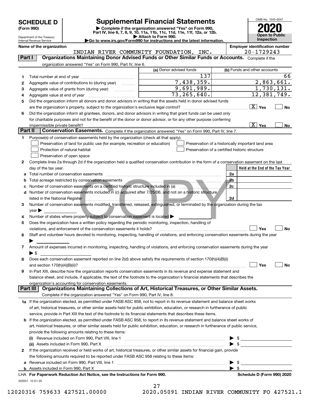| <b>SCHEDULE D</b> |  |
|-------------------|--|
|-------------------|--|

| (Form 990) |  |
|------------|--|
|------------|--|

## **Supplemental Financial Statements**

(Form 990)<br>
Pepartment of the Treasury<br>
Department of the Treasury<br>
Department of the Treasury<br>
Department of the Treasury<br> **Co to www.irs.gov/Form990 for instructions and the latest information.**<br> **Co to www.irs.gov/Form9** 



Department of the Treasury Internal Revenue Service

**Name of the organization Employer identification number**

|          | INDIAN RIVER COMMUNITY FOUNDATION, INC.                                                                                                        |                         |     | 20-1729243                                         |
|----------|------------------------------------------------------------------------------------------------------------------------------------------------|-------------------------|-----|----------------------------------------------------|
| Part I   | Organizations Maintaining Donor Advised Funds or Other Similar Funds or Accounts. Complete if the                                              |                         |     |                                                    |
|          | organization answered "Yes" on Form 990, Part IV, line 6.                                                                                      |                         |     |                                                    |
|          |                                                                                                                                                | (a) Donor advised funds |     | (b) Funds and other accounts                       |
| 1        |                                                                                                                                                |                         | 137 | 66                                                 |
| 2        | Aggregate value of contributions to (during year)                                                                                              | 7,438,359.              |     | 2,863,661.                                         |
| з        |                                                                                                                                                | 9,691,989.              |     | 1,730,131.                                         |
| 4        |                                                                                                                                                | 73, 265, 640.           |     | 12,381,749.                                        |
| 5        | Did the organization inform all donors and donor advisors in writing that the assets held in donor advised funds                               |                         |     |                                                    |
|          |                                                                                                                                                |                         |     | $\boxed{\text{X}}$ Yes<br>No                       |
|          | Did the organization inform all grantees, donors, and donor advisors in writing that grant funds can be used only                              |                         |     |                                                    |
| 6        |                                                                                                                                                |                         |     |                                                    |
|          | for charitable purposes and not for the benefit of the donor or donor advisor, or for any other purpose conferring                             |                         |     | $\boxed{\text{X}}$ Yes                             |
| Part II  | impermissible private benefit?                                                                                                                 |                         |     | No                                                 |
|          | Conservation Easements. Complete if the organization answered "Yes" on Form 990, Part IV, line 7.                                              |                         |     |                                                    |
| 1        | Purpose(s) of conservation easements held by the organization (check all that apply).                                                          |                         |     |                                                    |
|          | Preservation of land for public use (for example, recreation or education)                                                                     |                         |     | Preservation of a historically important land area |
|          | Protection of natural habitat                                                                                                                  |                         |     | Preservation of a certified historic structure     |
|          | Preservation of open space                                                                                                                     |                         |     |                                                    |
| 2        | Complete lines 2a through 2d if the organization held a qualified conservation contribution in the form of a conservation easement on the last |                         |     |                                                    |
|          | day of the tax year.                                                                                                                           |                         |     | Held at the End of the Tax Year                    |
| а        | Total number of conservation easements                                                                                                         |                         |     | 2a                                                 |
|          | Total acreage restricted by conservation easements                                                                                             |                         |     | 2 <sub>b</sub>                                     |
|          | Number of conservation easements on a certified historic structure included in (a)                                                             |                         |     | 2c                                                 |
| d        | Number of conservation easements included in (c) acquired after 7/25/06, and not on a historic structure                                       |                         |     |                                                    |
|          | listed in the National Register                                                                                                                |                         |     | 2d                                                 |
| з        | Number of conservation easements modified, transferred, released, extinguished, or terminated by the organization during the tax               |                         |     |                                                    |
|          | $\vee$ ear                                                                                                                                     |                         |     |                                                    |
| 4        | Number of states where property subject to conservation easement is located >                                                                  |                         |     |                                                    |
| 5        | Does the organization have a written policy regarding the periodic monitoring, inspection, handling of                                         |                         |     |                                                    |
|          | violations, and enforcement of the conservation easements it holds?                                                                            |                         |     | Yes<br>No                                          |
| 6        | Staff and volunteer hours devoted to monitoring, inspecting, handling of violations, and enforcing conservation easements during the year      |                         |     |                                                    |
|          |                                                                                                                                                |                         |     |                                                    |
| 7.       | Amount of expenses incurred in monitoring, inspecting, handling of violations, and enforcing conservation easements during the year            |                         |     |                                                    |
|          | $\blacktriangleright$ \$                                                                                                                       |                         |     |                                                    |
| 8        | Does each conservation easement reported on line 2(d) above satisfy the requirements of section 170(h)(4)(B)(i)                                |                         |     |                                                    |
|          |                                                                                                                                                |                         |     | Yes<br>No                                          |
| 9        | In Part XIII, describe how the organization reports conservation easements in its revenue and expense statement and                            |                         |     |                                                    |
|          | balance sheet, and include, if applicable, the text of the footnote to the organization's financial statements that describes the              |                         |     |                                                    |
|          | organization's accounting for conservation easements.                                                                                          |                         |     |                                                    |
| Part III | Organizations Maintaining Collections of Art, Historical Treasures, or Other Similar Assets.                                                   |                         |     |                                                    |
|          | Complete if the organization answered "Yes" on Form 990, Part IV, line 8.                                                                      |                         |     |                                                    |
|          | 1a If the organization elected, as permitted under FASB ASC 958, not to report in its revenue statement and balance sheet works                |                         |     |                                                    |
|          | of art, historical treasures, or other similar assets held for public exhibition, education, or research in furtherance of public              |                         |     |                                                    |
|          | service, provide in Part XIII the text of the footnote to its financial statements that describes these items.                                 |                         |     |                                                    |
|          | b If the organization elected, as permitted under FASB ASC 958, to report in its revenue statement and balance sheet works of                  |                         |     |                                                    |
|          | art, historical treasures, or other similar assets held for public exhibition, education, or research in furtherance of public service,        |                         |     |                                                    |
|          | provide the following amounts relating to these items:                                                                                         |                         |     |                                                    |
|          |                                                                                                                                                |                         |     |                                                    |
|          |                                                                                                                                                |                         |     |                                                    |
|          | (ii) Assets included in Form 990, Part X                                                                                                       |                         |     |                                                    |
| 2        | If the organization received or held works of art, historical treasures, or other similar assets for financial gain, provide                   |                         |     |                                                    |
|          | the following amounts required to be reported under FASB ASC 958 relating to these items:                                                      |                         |     |                                                    |
| а        |                                                                                                                                                |                         |     | \$                                                 |
|          |                                                                                                                                                |                         |     | $\blacktriangleright$ s                            |
|          | LHA For Paperwork Reduction Act Notice, see the Instructions for Form 990.                                                                     |                         |     | Schedule D (Form 990) 2020                         |
|          | 032051 12-01-20                                                                                                                                |                         |     |                                                    |



12020316 759633 427521.00000 2020.05091 INDIAN RIVER COMMUNITY FO 427521.1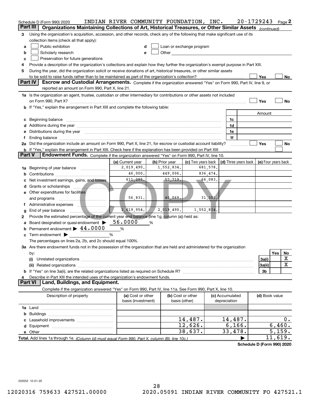|                | Schedule D (Form 990) 2020                                                                                                                                                                                                     | INDIAN RIVER COMMUNITY FOUNDATION, INC. |                        |                                                                                                                                                                                                                               |  |                      | 20-1729243     | Page 2              |
|----------------|--------------------------------------------------------------------------------------------------------------------------------------------------------------------------------------------------------------------------------|-----------------------------------------|------------------------|-------------------------------------------------------------------------------------------------------------------------------------------------------------------------------------------------------------------------------|--|----------------------|----------------|---------------------|
| Part III       | Organizations Maintaining Collections of Art, Historical Treasures, or Other Similar Assets (continued)                                                                                                                        |                                         |                        |                                                                                                                                                                                                                               |  |                      |                |                     |
| 3              | Using the organization's acquisition, accession, and other records, check any of the following that make significant use of its                                                                                                |                                         |                        |                                                                                                                                                                                                                               |  |                      |                |                     |
|                | collection items (check all that apply):                                                                                                                                                                                       |                                         |                        |                                                                                                                                                                                                                               |  |                      |                |                     |
| a              | Public exhibition                                                                                                                                                                                                              | d                                       |                        | Loan or exchange program                                                                                                                                                                                                      |  |                      |                |                     |
| b              | Scholarly research                                                                                                                                                                                                             | е                                       |                        | Other and the contract of the contract of the contract of the contract of the contract of the contract of the contract of the contract of the contract of the contract of the contract of the contract of the contract of the |  |                      |                |                     |
| c              | Preservation for future generations                                                                                                                                                                                            |                                         |                        |                                                                                                                                                                                                                               |  |                      |                |                     |
| 4              | Provide a description of the organization's collections and explain how they further the organization's exempt purpose in Part XIII.                                                                                           |                                         |                        |                                                                                                                                                                                                                               |  |                      |                |                     |
| 5              | During the year, did the organization solicit or receive donations of art, historical treasures, or other similar assets                                                                                                       |                                         |                        |                                                                                                                                                                                                                               |  |                      |                |                     |
|                |                                                                                                                                                                                                                                |                                         |                        |                                                                                                                                                                                                                               |  |                      | Yes            | No                  |
|                | Part IV<br>Escrow and Custodial Arrangements. Complete if the organization answered "Yes" on Form 990, Part IV, line 9, or                                                                                                     |                                         |                        |                                                                                                                                                                                                                               |  |                      |                |                     |
|                | reported an amount on Form 990, Part X, line 21.                                                                                                                                                                               |                                         |                        |                                                                                                                                                                                                                               |  |                      |                |                     |
|                | 1a Is the organization an agent, trustee, custodian or other intermediary for contributions or other assets not included                                                                                                       |                                         |                        |                                                                                                                                                                                                                               |  |                      |                |                     |
|                |                                                                                                                                                                                                                                |                                         |                        |                                                                                                                                                                                                                               |  |                      | Yes            | No                  |
|                | b If "Yes," explain the arrangement in Part XIII and complete the following table:                                                                                                                                             |                                         |                        |                                                                                                                                                                                                                               |  |                      |                |                     |
|                |                                                                                                                                                                                                                                |                                         |                        |                                                                                                                                                                                                                               |  |                      | Amount         |                     |
|                | c Beginning balance                                                                                                                                                                                                            |                                         |                        |                                                                                                                                                                                                                               |  | 1c                   |                |                     |
|                |                                                                                                                                                                                                                                |                                         |                        |                                                                                                                                                                                                                               |  | 1d                   |                |                     |
|                | Distributions during the year manufactured and continuum and contact the year manufactured and contact the year                                                                                                                |                                         |                        |                                                                                                                                                                                                                               |  | 1e                   |                |                     |
|                | Ending balance manufactured and contract the contract of the contract of the contract of the contract of the contract of the contract of the contract of the contract of the contract of the contract of the contract of the c |                                         |                        |                                                                                                                                                                                                                               |  | 1f                   |                |                     |
|                | 2a Did the organization include an amount on Form 990, Part X, line 21, for escrow or custodial account liability?                                                                                                             |                                         |                        |                                                                                                                                                                                                                               |  |                      | Yes            | No                  |
| <b>Part V</b>  | <b>b</b> If "Yes," explain the arrangement in Part XIII. Check here if the explanation has been provided on Part XIII                                                                                                          |                                         |                        |                                                                                                                                                                                                                               |  |                      |                |                     |
|                | Endowment Funds. Complete if the organization answered "Yes" on Form 990, Part IV, line 10.                                                                                                                                    |                                         |                        |                                                                                                                                                                                                                               |  |                      |                |                     |
|                |                                                                                                                                                                                                                                | (a) Current year                        | (b) Prior year         | (c) Two years back                                                                                                                                                                                                            |  | (d) Three years back |                | (e) Four years back |
|                | 1a Beginning of year balance                                                                                                                                                                                                   | 2,019,490.<br>46,000.                   | 1,552,834.<br>449,006. | 681,578.<br>836,474.                                                                                                                                                                                                          |  |                      |                |                     |
|                |                                                                                                                                                                                                                                | 611,295.                                |                        | -66,083.                                                                                                                                                                                                                      |  |                      |                |                     |
|                | Net investment earnings, gains, and losses                                                                                                                                                                                     |                                         | 57,719.                |                                                                                                                                                                                                                               |  |                      |                |                     |
| d              |                                                                                                                                                                                                                                |                                         |                        |                                                                                                                                                                                                                               |  |                      |                |                     |
|                | e Other expenditures for facilities                                                                                                                                                                                            | 56,831.                                 | 40,069.                | 31,301                                                                                                                                                                                                                        |  |                      |                |                     |
|                | and programs                                                                                                                                                                                                                   |                                         |                        |                                                                                                                                                                                                                               |  |                      |                |                     |
| Ť.             |                                                                                                                                                                                                                                | 2,619,954.                              | 2,019,490.             | 1,552,834.                                                                                                                                                                                                                    |  |                      |                |                     |
| g              | End of year balance<br>Provide the estimated percentage of the current year end balance (line 1g, column (a)) held as:                                                                                                         |                                         |                        |                                                                                                                                                                                                                               |  |                      |                |                     |
| 2              | Board designated or quasi-endowment >                                                                                                                                                                                          | 56.0000                                 | %                      |                                                                                                                                                                                                                               |  |                      |                |                     |
|                | Permanent endowment > 44.0000                                                                                                                                                                                                  | %                                       |                        |                                                                                                                                                                                                                               |  |                      |                |                     |
| b              | Term endowment $\blacktriangleright$                                                                                                                                                                                           | %                                       |                        |                                                                                                                                                                                                                               |  |                      |                |                     |
|                | The percentages on lines 2a, 2b, and 2c should equal 100%.                                                                                                                                                                     |                                         |                        |                                                                                                                                                                                                                               |  |                      |                |                     |
|                | 3a Are there endowment funds not in the possession of the organization that are held and administered for the organization                                                                                                     |                                         |                        |                                                                                                                                                                                                                               |  |                      |                |                     |
|                | by:                                                                                                                                                                                                                            |                                         |                        |                                                                                                                                                                                                                               |  |                      |                | Yes<br>No           |
|                | (i)                                                                                                                                                                                                                            |                                         |                        |                                                                                                                                                                                                                               |  |                      | 3a(i)          | х                   |
|                | (ii)                                                                                                                                                                                                                           |                                         |                        |                                                                                                                                                                                                                               |  |                      | 3a(ii)         | х                   |
|                |                                                                                                                                                                                                                                |                                         |                        |                                                                                                                                                                                                                               |  |                      | 3b             |                     |
| 4              | Describe in Part XIII the intended uses of the organization's endowment funds.                                                                                                                                                 |                                         |                        |                                                                                                                                                                                                                               |  |                      |                |                     |
| <b>Part VI</b> | Land, Buildings, and Equipment.                                                                                                                                                                                                |                                         |                        |                                                                                                                                                                                                                               |  |                      |                |                     |
|                | Complete if the organization answered "Yes" on Form 990, Part IV, line 11a. See Form 990, Part X, line 10.                                                                                                                     |                                         |                        |                                                                                                                                                                                                                               |  |                      |                |                     |
|                | Description of property                                                                                                                                                                                                        | (a) Cost or other                       |                        | (b) Cost or other                                                                                                                                                                                                             |  | (c) Accumulated      | (d) Book value |                     |
|                |                                                                                                                                                                                                                                | basis (investment)                      |                        | basis (other)                                                                                                                                                                                                                 |  | depreciation         |                |                     |
|                |                                                                                                                                                                                                                                |                                         |                        |                                                                                                                                                                                                                               |  |                      |                |                     |
|                |                                                                                                                                                                                                                                |                                         |                        |                                                                                                                                                                                                                               |  |                      |                |                     |
|                |                                                                                                                                                                                                                                |                                         |                        | 14,487.                                                                                                                                                                                                                       |  | 14,487.              |                | $0$ .               |
|                |                                                                                                                                                                                                                                |                                         |                        | 12,626.                                                                                                                                                                                                                       |  | 6, 166.              |                | 6,460.              |
|                |                                                                                                                                                                                                                                |                                         |                        | 38,637.                                                                                                                                                                                                                       |  | 33,478.              |                | 5,159.              |
|                |                                                                                                                                                                                                                                |                                         |                        |                                                                                                                                                                                                                               |  |                      |                | 11,619.             |

032052 12-01-20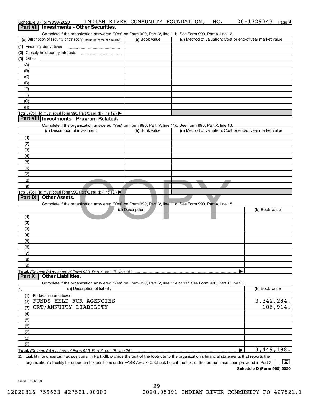| Schedule D (Form 990) 2020<br>Part VII Investments - Other Securities.                                                                               | INDIAN RIVER COMMUNITY FOUNDATION, | 20-1729243<br>INC.<br>Page $3$                            |
|------------------------------------------------------------------------------------------------------------------------------------------------------|------------------------------------|-----------------------------------------------------------|
| Complete if the organization answered "Yes" on Form 990, Part IV, line 11b. See Form 990, Part X, line 12.                                           |                                    |                                                           |
| (a) Description of security or category (including name of security)                                                                                 | (b) Book value                     | (c) Method of valuation: Cost or end-of-year market value |
| (1) Financial derivatives                                                                                                                            |                                    |                                                           |
|                                                                                                                                                      |                                    |                                                           |
| $(3)$ Other                                                                                                                                          |                                    |                                                           |
| (A)                                                                                                                                                  |                                    |                                                           |
| (B)                                                                                                                                                  |                                    |                                                           |
| (C)                                                                                                                                                  |                                    |                                                           |
| (D)                                                                                                                                                  |                                    |                                                           |
| (E)                                                                                                                                                  |                                    |                                                           |
| (F)                                                                                                                                                  |                                    |                                                           |
| (G)                                                                                                                                                  |                                    |                                                           |
| (H)                                                                                                                                                  |                                    |                                                           |
| Total. (Col. (b) must equal Form 990, Part X, col. (B) line 12.) $\blacktriangleright$<br>Part VIII Investments - Program Related.                   |                                    |                                                           |
| Complete if the organization answered "Yes" on Form 990, Part IV, line 11c. See Form 990, Part X, line 13.                                           |                                    |                                                           |
| (a) Description of investment                                                                                                                        | (b) Book value                     | (c) Method of valuation: Cost or end-of-year market value |
| (1)                                                                                                                                                  |                                    |                                                           |
| (2)                                                                                                                                                  |                                    |                                                           |
| (3)                                                                                                                                                  |                                    |                                                           |
| (4)                                                                                                                                                  |                                    |                                                           |
| (5)                                                                                                                                                  |                                    |                                                           |
| (6)                                                                                                                                                  |                                    |                                                           |
| (7)                                                                                                                                                  |                                    |                                                           |
| (8)                                                                                                                                                  |                                    |                                                           |
| (9)                                                                                                                                                  |                                    |                                                           |
| Total. (Col. (b) must equal Form 990, Part X, col. (B) line $13.$ )<br>Part IX<br><b>Other Assets.</b>                                               |                                    |                                                           |
|                                                                                                                                                      |                                    |                                                           |
| Complete if the organization answered "Yes" on Form 990, Part IV, line 11d. See Form 990, Part X, line 15.                                           | (a) Description                    | (b) Book value                                            |
| (1)                                                                                                                                                  |                                    |                                                           |
|                                                                                                                                                      |                                    |                                                           |
| (2)<br>(3)                                                                                                                                           |                                    |                                                           |
| (4)                                                                                                                                                  |                                    |                                                           |
| (5)                                                                                                                                                  |                                    |                                                           |
| (6)                                                                                                                                                  |                                    |                                                           |
| (7)                                                                                                                                                  |                                    |                                                           |
| (8)                                                                                                                                                  |                                    |                                                           |
| (9)                                                                                                                                                  |                                    |                                                           |
| Total. (Column (b) must equal Form 990. Part X, col. (B) line 15.)<br><b>Other Liabilities.</b><br>Part X                                            |                                    |                                                           |
| Complete if the organization answered "Yes" on Form 990, Part IV, line 11e or 11f. See Form 990, Part X, line 25.                                    |                                    |                                                           |
| (a) Description of liability<br>1.                                                                                                                   |                                    | (b) Book value                                            |
| (1)<br>Federal income taxes                                                                                                                          |                                    |                                                           |
| FUNDS HELD FOR AGENCIES<br>(2)                                                                                                                       |                                    | 3,342,284.                                                |
| CRT/ANNUITY LIABILITY<br>(3)                                                                                                                         |                                    | 106,914.                                                  |
| (4)                                                                                                                                                  |                                    |                                                           |
| (5)                                                                                                                                                  |                                    |                                                           |
| (6)                                                                                                                                                  |                                    |                                                           |
| (7)                                                                                                                                                  |                                    |                                                           |
| (8)                                                                                                                                                  |                                    |                                                           |
| (9)                                                                                                                                                  |                                    |                                                           |
| Total. (Column (b) must equal Form 990, Part X, col. (B) line 25.)                                                                                   |                                    | 3,449,198.                                                |
| 2. Liability for uncertain tax positions. In Part XIII, provide the text of the footnote to the organization's financial statements that reports the |                                    |                                                           |
| organization's liability for uncertain tax positions under FASB ASC 740. Check here if the text of the footnote has been provided in Part XIII       |                                    | $\mathbf{X}$                                              |

032053 12-01-20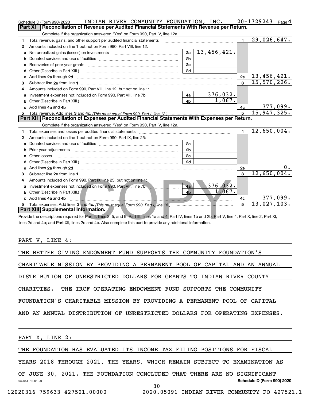|        | INDIAN RIVER COMMUNITY FOUNDATION, INC.<br>Schedule D (Form 990) 2020                                                                                                                                                                                                            |                |                     |                         | 20-1729243<br>Page 4          |  |  |
|--------|----------------------------------------------------------------------------------------------------------------------------------------------------------------------------------------------------------------------------------------------------------------------------------|----------------|---------------------|-------------------------|-------------------------------|--|--|
|        | Reconciliation of Revenue per Audited Financial Statements With Revenue per Return.<br><b>Part XI</b><br>Complete if the organization answered "Yes" on Form 990, Part IV, line 12a.                                                                                             |                |                     |                         |                               |  |  |
|        | Total revenue, gains, and other support per audited financial statements                                                                                                                                                                                                         |                |                     | $\mathbf{1}$            | 29,026,647.                   |  |  |
| 1      | Amounts included on line 1 but not on Form 990, Part VIII, line 12:                                                                                                                                                                                                              |                |                     |                         |                               |  |  |
| 2<br>a |                                                                                                                                                                                                                                                                                  | 2a             | 1 <u>3,456,421.</u> |                         |                               |  |  |
|        |                                                                                                                                                                                                                                                                                  | 2 <sub>b</sub> |                     |                         |                               |  |  |
|        |                                                                                                                                                                                                                                                                                  | 2c             |                     |                         |                               |  |  |
| c<br>d | Other (Describe in Part XIII.)                                                                                                                                                                                                                                                   | 2d             |                     |                         |                               |  |  |
| е      | Add lines 2a through 2d                                                                                                                                                                                                                                                          |                |                     | 2e                      | 13, 456, 421.                 |  |  |
|        |                                                                                                                                                                                                                                                                                  |                |                     | $\overline{\mathbf{3}}$ | 15,570,226.                   |  |  |
| з<br>4 | Amounts included on Form 990, Part VIII, line 12, but not on line 1:                                                                                                                                                                                                             |                |                     |                         |                               |  |  |
| a      | Investment expenses not included on Form 990, Part VIII, line 7b                                                                                                                                                                                                                 | 4a             | 376,032.            |                         |                               |  |  |
|        |                                                                                                                                                                                                                                                                                  | 4 <sub>b</sub> | 1,067.              |                         |                               |  |  |
|        | Add lines 4a and 4b                                                                                                                                                                                                                                                              |                |                     | 4с                      |                               |  |  |
|        |                                                                                                                                                                                                                                                                                  |                |                     | 5                       | $\frac{377,099}{15,947,325}$  |  |  |
|        | Part XII   Reconciliation of Expenses per Audited Financial Statements With Expenses per Return.                                                                                                                                                                                 |                |                     |                         |                               |  |  |
|        | Complete if the organization answered "Yes" on Form 990, Part IV, line 12a.                                                                                                                                                                                                      |                |                     |                         |                               |  |  |
| 1      |                                                                                                                                                                                                                                                                                  |                |                     | $\mathbf{1}$            | 12,650,004.                   |  |  |
| 2      | Amounts included on line 1 but not on Form 990, Part IX, line 25:                                                                                                                                                                                                                |                |                     |                         |                               |  |  |
| a      |                                                                                                                                                                                                                                                                                  | 2a             |                     |                         |                               |  |  |
| b      |                                                                                                                                                                                                                                                                                  | 2 <sub>b</sub> |                     |                         |                               |  |  |
|        | Other losses                                                                                                                                                                                                                                                                     | 2c             |                     |                         |                               |  |  |
|        | Other (Describe in Part XIII.) <b>Construction Construction</b> Chern Construction Chern Chern Chern Chern Chern Chern                                                                                                                                                           | 2d             |                     |                         |                               |  |  |
| е      | Add lines 2a through 2d <b>contained a contained a contained a contained a</b> contained a contact the state of the state of the state of the state of the state of the state of the state of the state of the state of the state o                                              |                |                     | 2e                      | 0.                            |  |  |
| з      |                                                                                                                                                                                                                                                                                  |                |                     | $\mathbf{3}$            | 12,650,004.                   |  |  |
| 4      | Amounts included on Form 990, Part IX, line 25, but not on line 1:                                                                                                                                                                                                               |                |                     |                         |                               |  |  |
|        | Investment expenses not included on Form 990, Part VIII, line 7b                                                                                                                                                                                                                 | 4a             | 376,032.            |                         |                               |  |  |
| b      | Other (Describe in Part XIII.) <b>All and Server Contract Contract Contract Contract Contract Contract Contract Contract Contract Contract Contract Contract Contract Contract Contract Contract Contract Contract Contract Cont</b>                                             | 4 <sub>b</sub> | 1,067.              |                         |                               |  |  |
|        | Add lines 4a and 4b                                                                                                                                                                                                                                                              |                |                     | 4с                      | $\frac{377,099}{13,027,103.}$ |  |  |
| 5      |                                                                                                                                                                                                                                                                                  |                |                     | 5                       |                               |  |  |
|        | Part XIII Supplemental Information.                                                                                                                                                                                                                                              |                |                     |                         |                               |  |  |
|        | Provide the descriptions required for Part II, lines 3, 5, and 9; Part III, lines 1a and 4; Part IV, lines 1b and 2b; Part V, line 4; Part X, line 2; Part XI,<br>lines 2d and 4b; and Part XII, lines 2d and 4b. Also complete this part to provide any additional information. |                |                     |                         |                               |  |  |

PART V, LINE 4:

THE BETTER GIVING ENDOWMENT FUND SUPPORTS THE COMMUNITY FOUNDATION'S

CHARITABLE MISSION BY PROVIDING A PERMANENT POOL OF CAPITAL AND AN ANNUAL

DISTRIBUTION OF UNRESTRICTED DOLLARS FOR GRANTS TO INDIAN RIVER COUNTY

CHARITIES. THE IRCF OPERATING ENDOWMENT FUND SUPPORTS THE COMMUNITY

FOUNDATION'S CHARITABLE MISSION BY PROVIDING A PERMANENT POOL OF CAPITAL

AND AN ANNUAL DISTRIBUTION OF UNRESTRICTED DOLLARS FOR OPERATING EXPENSES.

PART X, LINE 2:

THE FOUNDATION HAS EVALUATED ITS INCOME TAX FILING POSITIONS FOR FISCAL

YEARS 2018 THROUGH 2021, THE YEARS, WHICH REMAIN SUBJECT TO EXAMINATION AS

032054 12-01-20 **Schedule D (Form 990) 2020** OF JUNE 30, 2021. THE FOUNDATION CONCLUDED THAT THERE ARE NO SIGNIFICANT

30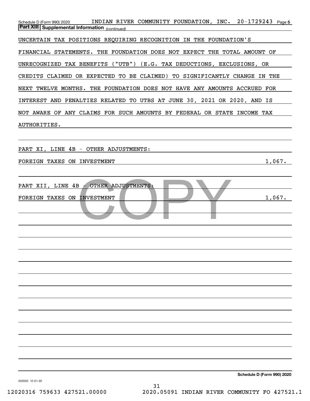| Schedule D (Form 990) 2020 INDIAN RIVER COMMUNITY FOUNDATION, INC. 20-1729243 Page 5<br><b>Part XIII Supplemental Information</b> (continued) |
|-----------------------------------------------------------------------------------------------------------------------------------------------|
| UNCERTAIN TAX POSITIONS REQUIRING RECOGNITION IN THE FOUNDATION'S                                                                             |
| FINANCIAL STATEMENTS. THE FOUNDATION DOES NOT EXPECT THE TOTAL AMOUNT OF                                                                      |
| UNRECOGNIZED TAX BENEFITS ("UTB") (E.G. TAX DEDUCTIONS, EXCLUSIONS, OR                                                                        |
| CREDITS CLAIMED OR EXPECTED TO BE CLAIMED) TO SIGNIFICANTLY CHANGE IN THE                                                                     |
| NEXT TWELVE MONTHS. THE FOUNDATION DOES NOT HAVE ANY AMOUNTS ACCRUED FOR                                                                      |
| INTEREST AND PENALTIES RELATED TO UTBS AT JUNE 30, 2021 OR 2020, AND IS                                                                       |
| NOT AWARE OF ANY CLAIMS FOR SUCH AMOUNTS BY FEDERAL OR STATE INCOME TAX                                                                       |
| AUTHORITIES.                                                                                                                                  |
|                                                                                                                                               |
| PART XI, LINE 4B - OTHER ADJUSTMENTS:                                                                                                         |
| 1,067.<br>FOREIGN TAXES ON INVESTMENT                                                                                                         |
| PART XII, LINE 4B - OTHER ADJUSTMENTS:<br>1,067.<br>FOREIGN TAXES ON INVESTMENT                                                               |
|                                                                                                                                               |
|                                                                                                                                               |
|                                                                                                                                               |
|                                                                                                                                               |
|                                                                                                                                               |
|                                                                                                                                               |
|                                                                                                                                               |
|                                                                                                                                               |

032055 12-01-20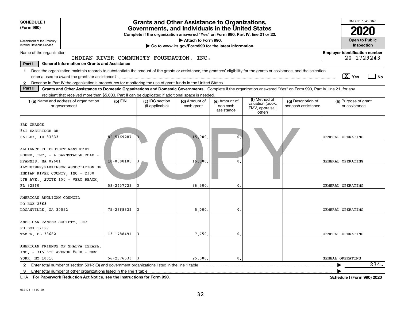| <b>SCHEDULE I</b><br>(Form 990)                                                                                                                                                                                                                                                      |                                                     | <b>Grants and Other Assistance to Organizations,</b><br>Governments, and Individuals in the United States<br>Complete if the organization answered "Yes" on Form 990, Part IV, line 21 or 22. |                                                                              |                                         |                                                                |                                          | OMB No. 1545-0047                     |  |  |
|--------------------------------------------------------------------------------------------------------------------------------------------------------------------------------------------------------------------------------------------------------------------------------------|-----------------------------------------------------|-----------------------------------------------------------------------------------------------------------------------------------------------------------------------------------------------|------------------------------------------------------------------------------|-----------------------------------------|----------------------------------------------------------------|------------------------------------------|---------------------------------------|--|--|
| Department of the Treasury<br>Internal Revenue Service                                                                                                                                                                                                                               |                                                     |                                                                                                                                                                                               | Attach to Form 990.<br>Go to www.irs.gov/Form990 for the latest information. |                                         |                                                                |                                          | <b>Open to Public</b><br>Inspection   |  |  |
| Name of the organization                                                                                                                                                                                                                                                             |                                                     |                                                                                                                                                                                               |                                                                              |                                         |                                                                |                                          | <b>Employer identification number</b> |  |  |
| $20 - 1729243$<br>INDIAN RIVER COMMUNITY FOUNDATION, INC.                                                                                                                                                                                                                            |                                                     |                                                                                                                                                                                               |                                                                              |                                         |                                                                |                                          |                                       |  |  |
| Part I                                                                                                                                                                                                                                                                               | <b>General Information on Grants and Assistance</b> |                                                                                                                                                                                               |                                                                              |                                         |                                                                |                                          |                                       |  |  |
| Does the organization maintain records to substantiate the amount of the grants or assistance, the grantees' eligibility for the grants or assistance, and the selection<br>$\mathbf 1$                                                                                              |                                                     |                                                                                                                                                                                               |                                                                              |                                         |                                                                |                                          | $\sqrt{X}$ Yes<br>l No                |  |  |
| Describe in Part IV the organization's procedures for monitoring the use of grant funds in the United States.<br>$\mathbf{2}$                                                                                                                                                        |                                                     |                                                                                                                                                                                               |                                                                              |                                         |                                                                |                                          |                                       |  |  |
| Part II<br>Grants and Other Assistance to Domestic Organizations and Domestic Governments. Complete if the organization answered "Yes" on Form 990, Part IV, line 21, for any<br>recipient that received more than \$5,000. Part II can be duplicated if additional space is needed. |                                                     |                                                                                                                                                                                               |                                                                              |                                         |                                                                |                                          |                                       |  |  |
| 1 (a) Name and address of organization<br>or government                                                                                                                                                                                                                              | $(b)$ EIN                                           | (c) IRC section<br>(if applicable)                                                                                                                                                            | (d) Amount of<br>cash grant                                                  | (e) Amount of<br>non-cash<br>assistance | (f) Method of<br>valuation (book,<br>FMV, appraisal,<br>other) | (g) Description of<br>noncash assistance | (h) Purpose of grant<br>or assistance |  |  |
| 3RD CHANCE<br>541 EASTRIDGE DR<br>HAILEY, ID 83333                                                                                                                                                                                                                                   | 82-5169287                                          |                                                                                                                                                                                               | 15,000.                                                                      | $0^-$                                   |                                                                |                                          | GENERAL OPERATING                     |  |  |
| ALLIANCE TO PROTECT NANTUCKET<br>SOUND, INC. - 4 BARNSTABLE ROAD -<br>HYANNIS, MA 02601                                                                                                                                                                                              | 10-0008105                                          |                                                                                                                                                                                               | 15,000                                                                       | 0                                       |                                                                |                                          | GENERAL OPERATING                     |  |  |
| ALZHEIMER/PARKINSON ASSOCIATION OF<br>INDIAN RIVER COUNTY, INC - 2300<br>5TH AVE., SUITE 150 - VERO BEACH,                                                                                                                                                                           |                                                     |                                                                                                                                                                                               |                                                                              |                                         |                                                                |                                          |                                       |  |  |
| FL 32960                                                                                                                                                                                                                                                                             | 59-2437723                                          |                                                                                                                                                                                               | 36,500,                                                                      | 0                                       |                                                                |                                          | GENERAL OPERATING                     |  |  |
| AMERICAN ANGLICAN COUNCIL<br>PO BOX 2868                                                                                                                                                                                                                                             | 75-2668339                                          |                                                                                                                                                                                               | 5,000                                                                        | $\mathbf{0}$                            |                                                                |                                          | GENERAL OPERATING                     |  |  |
| LOGANVILLE, GA 30052                                                                                                                                                                                                                                                                 |                                                     |                                                                                                                                                                                               |                                                                              |                                         |                                                                |                                          |                                       |  |  |
| AMERICAN CANCER SOCIETY, INC<br>PO BOX 17127<br>TAMPA, FL 33682                                                                                                                                                                                                                      | 13-1788491                                          |                                                                                                                                                                                               | 7,750,                                                                       | $\mathbf{0}$                            |                                                                |                                          | GENERAL OPERATING                     |  |  |
|                                                                                                                                                                                                                                                                                      |                                                     |                                                                                                                                                                                               |                                                                              |                                         |                                                                |                                          |                                       |  |  |
|                                                                                                                                                                                                                                                                                      | AMERICAN FRIENDS OF SHALVA ISRAEL.                  |                                                                                                                                                                                               |                                                                              |                                         |                                                                |                                          |                                       |  |  |
| INC. - 315 5TH AVENUE #608 - NEW<br>YORK, NY 10016                                                                                                                                                                                                                                   | 56-2676533                                          |                                                                                                                                                                                               | 25,000.                                                                      | $\mathbf{0}$ .                          |                                                                |                                          | GENEAL OPERATING                      |  |  |
| 2 Enter total number of section 501(c)(3) and government organizations listed in the line 1 table                                                                                                                                                                                    |                                                     |                                                                                                                                                                                               |                                                                              |                                         |                                                                |                                          | 234.                                  |  |  |
| 3 Enter total number of other organizations listed in the line 1 table                                                                                                                                                                                                               |                                                     |                                                                                                                                                                                               |                                                                              |                                         |                                                                |                                          |                                       |  |  |

**For Paperwork Reduction Act Notice, see the Instructions for Form 990. Schedule I (Form 990) 2020** LHA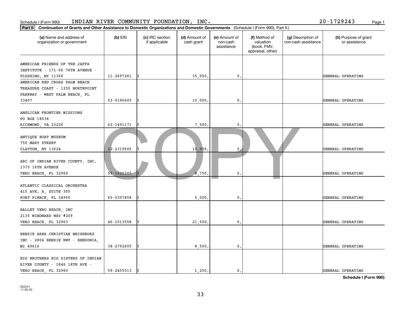| Schedule I (Form 990)                                                                                                                       |                | INDIAN RIVER COMMUNITY FOUNDATION, INC. |                             |                                         |                                                                |                                           | 20-1729243<br>Page 1                  |
|---------------------------------------------------------------------------------------------------------------------------------------------|----------------|-----------------------------------------|-----------------------------|-----------------------------------------|----------------------------------------------------------------|-------------------------------------------|---------------------------------------|
| Part II<br>Continuation of Grants and Other Assistance to Domestic Organizations and Domestic Governments (Schedule I (Form 990), Part II.) |                |                                         |                             |                                         |                                                                |                                           |                                       |
| (a) Name and address of<br>organization or government                                                                                       | $(b)$ EIN      | (c) IRC section<br>if applicable        | (d) Amount of<br>cash grant | (e) Amount of<br>non-cash<br>assistance | (f) Method of<br>valuation<br>(book, FMV,<br>appraisal, other) | (g) Description of<br>non-cash assistance | (h) Purpose of grant<br>or assistance |
| AMERICAN FRIENDS OF THE JAFFA<br>INSTITUTE - 171-06 76TH AVENUE -                                                                           |                |                                         |                             |                                         |                                                                |                                           |                                       |
| FLUSHING, NY 11366                                                                                                                          | 11-2697261     | I٩                                      | 35,000                      | 0.                                      |                                                                |                                           | GENERAL OPERATING                     |
| AMERICAN RED CROSS PALM BEACH<br>TREASURE COAST - 1250 NORTHPOINT<br>PARKWAY - WEST PALM BEACH, FL                                          |                |                                         |                             |                                         |                                                                |                                           |                                       |
| 33407                                                                                                                                       | 53-0196605     |                                         | 10,000                      | 0.                                      |                                                                |                                           | GENERAL OPERATING                     |
| ANGLICAN FRONTIER MISSIONS<br>PO BOX 18038                                                                                                  |                |                                         |                             |                                         |                                                                |                                           |                                       |
| RICHMOND, VA 23226                                                                                                                          | 62-1491171     |                                         | 7,500                       | 0.                                      |                                                                |                                           | GENERAL OPERATING                     |
| ANTIQUE BOAT MUSEUM<br>750 MARY STREET<br>CLAYTON, NY 13624                                                                                 | 22-2319606     |                                         | 10,000.                     | 0                                       |                                                                |                                           | GENERAL OPERATING                     |
| ARC OF INDIAN RIVER COUNTY, INC.<br>1375 16TH AVENUE<br>VERO BEACH, FL 32960                                                                | $59 - 1626205$ |                                         | 8,750                       | $\mathbf{0}$ .                          |                                                                |                                           | GENERAL OPERATING                     |
| ATLANTIC CLASSICAL ORCHESTRA<br>415 AVE. A, SUITE 305<br>FORT PIERCE, FL 34950                                                              | 65-0307858     |                                         | 5,000                       | 0.                                      |                                                                |                                           | GENERAL OPERATING                     |
| BALLET VERO BEACH, INC<br>2135 WINDWARD WAY #209<br>VERO BEACH, FL 32963                                                                    | 46-1513558     |                                         | 21,500                      | 0.                                      |                                                                |                                           | GENERAL OPERATING                     |
| BENZIE AREA CHRISTIAN NEIGHBORS<br>INC - 2804 BENZIE HWY - BENZONIA,<br>MI 49616                                                            | 38-2792605     |                                         | 8,500                       | 0.                                      |                                                                |                                           | GENERAL OPERATING                     |
| BIG BROTHERS BIG SISTERS OF INDIAN<br>RIVER COUNTY - 1846 18TH AVE -                                                                        | 59-2455513     |                                         | 1,250.                      | $\mathfrak o$ .                         |                                                                |                                           | GENERAL OPERATING                     |
| VERO BEACH, FL 32960                                                                                                                        |                |                                         |                             |                                         |                                                                |                                           |                                       |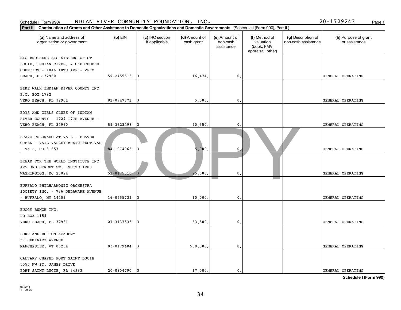| Schedule I (Form 990)                                                                                                                      |                | INDIAN RIVER COMMUNITY FOUNDATION, INC. |                             |                                         |                                                                |                                           | 20-1729243<br>Page 1                  |
|--------------------------------------------------------------------------------------------------------------------------------------------|----------------|-----------------------------------------|-----------------------------|-----------------------------------------|----------------------------------------------------------------|-------------------------------------------|---------------------------------------|
| Part II   Continuation of Grants and Other Assistance to Domestic Organizations and Domestic Governments (Schedule I (Form 990), Part II.) |                |                                         |                             |                                         |                                                                |                                           |                                       |
| (a) Name and address of<br>organization or government                                                                                      | $(b)$ EIN      | (c) IRC section<br>if applicable        | (d) Amount of<br>cash grant | (e) Amount of<br>non-cash<br>assistance | (f) Method of<br>valuation<br>(book, FMV,<br>appraisal, other) | (g) Description of<br>non-cash assistance | (h) Purpose of grant<br>or assistance |
| BIG BROTHERS BIG SISTERS OF ST.                                                                                                            |                |                                         |                             |                                         |                                                                |                                           |                                       |
| LUCIE, INDIAN RIVER, & OKEECHOBEE                                                                                                          |                |                                         |                             |                                         |                                                                |                                           |                                       |
| COUNTIES - 1846 18TH AVE - VERO                                                                                                            |                |                                         |                             |                                         |                                                                |                                           |                                       |
| <b>BEACH, FL 32960</b>                                                                                                                     | 59-2455513     | 13                                      | 16,474.                     | 0.                                      |                                                                |                                           | GENERAL OPERATING                     |
| BIKE WALK INDIAN RIVER COUNTY INC<br>P.O. BOX 1792                                                                                         |                |                                         |                             |                                         |                                                                |                                           |                                       |
| VERO BEACH, FL 32961                                                                                                                       | 81-0947771     | 13                                      | 5,000                       | $\mathbf{0}$ .                          |                                                                |                                           | GENERAL OPERATING                     |
| BOYS AND GIRLS CLUBS OF INDIAN<br>RIVER COUNTY - 1729 17TH AVENUE                                                                          |                |                                         |                             |                                         |                                                                |                                           |                                       |
| VERO BEACH, FL 32960                                                                                                                       | 59-3623298     |                                         | 90,350                      | 0.                                      |                                                                |                                           | GENERAL OPERATING                     |
| BRAVO COLORADO AT VAIL - BEAVER<br>CREEK - VAIL VALLEY MUSIC FESTIVAL<br>$-$ VAIL, CO 81657                                                | 84-1074065     |                                         | 5,000                       | $\mathbf{0}$                            |                                                                |                                           | GENERAL OPERATING                     |
| BREAD FOR THE WORLD INSTITUTE INC<br>425 3RD STREET SW, SUITE 1200<br>WASHINGTON, DC 20024                                                 | $51 - 0175510$ |                                         | 25,000                      | $\mathbf{0}$ .                          |                                                                |                                           | GENERAL OPERATING                     |
| BUFFALO PHILHARMONIC ORCHESTRA<br>SOCIETY INC. - 786 DELAWARE AVENUE<br>- BUFFALO, NY 14209                                                | 16-0755739     |                                         | 10,000                      | $\mathfrak o$ .                         |                                                                |                                           | GENERAL OPERATING                     |
| BUGGY BUNCH INC.<br>PO BOX 1154<br>VERO BEACH, FL 32961                                                                                    | 27-3137533     | 13                                      | 63,500                      | $\mathbf{0}$ .                          |                                                                |                                           | GENERAL OPERATING                     |
|                                                                                                                                            |                |                                         |                             |                                         |                                                                |                                           |                                       |
| BURR AND BURTON ACADEMY<br>57 SEMINARY AVENUE                                                                                              |                |                                         |                             |                                         |                                                                |                                           |                                       |
| MANCHESTER, VT 05254                                                                                                                       | $03 - 0179404$ |                                         | 500,000                     | $\mathbf{0}$ .                          |                                                                |                                           | GENERAL OPERATING                     |
| CALVARY CHAPEL PORT SAINT LUCIE<br>5555 NW ST. JAMES DRIVE<br>PORT SAINT LUCIE, FL 34983                                                   | 20-0904790     | 13                                      | 17,000.                     | $\mathfrak o$ .                         |                                                                |                                           | GENERAL OPERATING                     |
|                                                                                                                                            |                |                                         |                             |                                         |                                                                |                                           |                                       |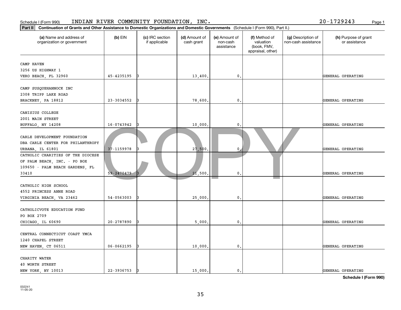| Schedule I (Form 990)                                                                                         |                                                                                                                                  | INDIAN RIVER COMMUNITY FOUNDATION, INC. |                             |                                         |                                                                |                                           | 20-1729243<br>Page 1                  |  |  |
|---------------------------------------------------------------------------------------------------------------|----------------------------------------------------------------------------------------------------------------------------------|-----------------------------------------|-----------------------------|-----------------------------------------|----------------------------------------------------------------|-------------------------------------------|---------------------------------------|--|--|
| Part II                                                                                                       | Continuation of Grants and Other Assistance to Domestic Organizations and Domestic Governments (Schedule I (Form 990), Part II.) |                                         |                             |                                         |                                                                |                                           |                                       |  |  |
| (a) Name and address of<br>organization or government                                                         | $(b)$ EIN                                                                                                                        | (c) IRC section<br>if applicable        | (d) Amount of<br>cash grant | (e) Amount of<br>non-cash<br>assistance | (f) Method of<br>valuation<br>(book, FMV,<br>appraisal, other) | (g) Description of<br>non-cash assistance | (h) Purpose of grant<br>or assistance |  |  |
| CAMP HAVEN                                                                                                    |                                                                                                                                  |                                         |                             |                                         |                                                                |                                           |                                       |  |  |
| 3256 US HIGHWAY 1                                                                                             |                                                                                                                                  |                                         |                             |                                         |                                                                |                                           |                                       |  |  |
| VERO BEACH, FL 32960                                                                                          | 45-4235195                                                                                                                       | 13                                      | 13,400                      | 0.                                      |                                                                |                                           | GENERAL OPERATING                     |  |  |
| CAMP SUSQUEHANNOCK INC<br>2308 TRIPP LAKE ROAD                                                                |                                                                                                                                  |                                         |                             |                                         |                                                                |                                           |                                       |  |  |
| BRACKNEY, PA 18812                                                                                            | 23-3034552                                                                                                                       |                                         | 78,600                      | $^{\circ}$ .                            |                                                                |                                           | GENERAL OPERATING                     |  |  |
| CANISIUS COLLEGE<br>2001 MAIN STREET                                                                          |                                                                                                                                  |                                         |                             |                                         |                                                                |                                           |                                       |  |  |
| BUFFALO, NY 14208                                                                                             | 16-0743942                                                                                                                       |                                         | 10,000                      | 0.                                      |                                                                |                                           | GENERAL OPERATING                     |  |  |
| CARLE DEVELOPMENT FOUNDATION<br>DBA CARLE CENTER FOR PHILANTHROPY<br>URBANA, IL 61801                         | 37-1159978                                                                                                                       |                                         | 27,500.                     | $\mathbf{0}$                            |                                                                |                                           | GENERAL OPERATING                     |  |  |
| CATHOLIC CHARITIES OF THE DIOCESE<br>OF PALM BEACH, INC. - PO BOX<br>109650 - PALM BEACH GARDENS, FL<br>33410 | 59-2470479                                                                                                                       |                                         | 21,500                      | 0.                                      |                                                                |                                           | GENERAL OPERATING                     |  |  |
| CATHOLIC HIGH SCHOOL<br>4552 PRINCESS ANNE ROAD<br>VIRGINIA BEACH, VA 23462                                   | 54-0563003                                                                                                                       |                                         | 25,000                      | 0.                                      |                                                                |                                           | GENERAL OPERATING                     |  |  |
| CATHOLICVOTE EDUCATION FUND<br>PO BOX 2709                                                                    |                                                                                                                                  |                                         |                             |                                         |                                                                |                                           |                                       |  |  |
| CHICAGO, IL 60690                                                                                             | 20-2787890                                                                                                                       | 13                                      | 5,000                       | $\mathfrak{o}$ .                        |                                                                |                                           | GENERAL OPERATING                     |  |  |
| CENTRAL CONNECTICUT COAST YMCA<br>1240 CHAPEL STREET<br>NEW HAVEN, CT 06511                                   | 06-0662195                                                                                                                       | 13                                      | 10,000                      | $\mathfrak{o}$ .                        |                                                                |                                           | GENERAL OPERATING                     |  |  |
| CHARITY WATER<br>40 WORTH STREET                                                                              |                                                                                                                                  |                                         |                             |                                         |                                                                |                                           |                                       |  |  |
| NEW YORK, NY 10013                                                                                            | 22-3936753                                                                                                                       |                                         | 15,000.                     | $\mathbf{0}$ .                          |                                                                |                                           | GENERAL OPERATING                     |  |  |
|                                                                                                               |                                                                                                                                  |                                         |                             |                                         |                                                                |                                           |                                       |  |  |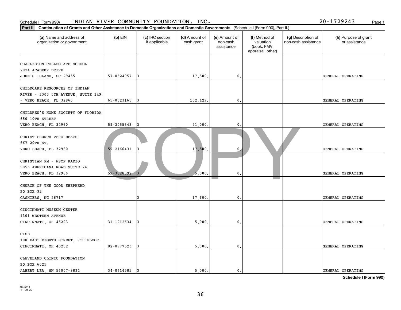| Schedule I (Form 990)                                                                         |                                                                                                                                  | INDIAN RIVER COMMUNITY FOUNDATION, INC. |                             |                                         |                                                                |                                           | 20-1729243<br>Page 1                  |  |  |
|-----------------------------------------------------------------------------------------------|----------------------------------------------------------------------------------------------------------------------------------|-----------------------------------------|-----------------------------|-----------------------------------------|----------------------------------------------------------------|-------------------------------------------|---------------------------------------|--|--|
| Part II                                                                                       | Continuation of Grants and Other Assistance to Domestic Organizations and Domestic Governments (Schedule I (Form 990), Part II.) |                                         |                             |                                         |                                                                |                                           |                                       |  |  |
| (a) Name and address of<br>organization or government                                         | $(b)$ EIN                                                                                                                        | (c) IRC section<br>if applicable        | (d) Amount of<br>cash grant | (e) Amount of<br>non-cash<br>assistance | (f) Method of<br>valuation<br>(book, FMV,<br>appraisal, other) | (g) Description of<br>non-cash assistance | (h) Purpose of grant<br>or assistance |  |  |
| CHARLESTON COLLEGIATE SCHOOL<br>2024 ACADEMY DRIVE<br>JOHN'S ISLAND, SC 29455                 | 57-0524957                                                                                                                       | 13                                      | 17,500                      | 0.                                      |                                                                |                                           | GENERAL OPERATING                     |  |  |
| CHILDCARE RESOURCES OF INDIAN<br>RIVER - 2300 5TH AVENUE, SUITE 149<br>- VERO BEACH, FL 32960 | 65-0523165                                                                                                                       | 13                                      | 102,429                     | $\mathbf{0}$ .                          |                                                                |                                           | GENERAL OPERATING                     |  |  |
| CHILDREN'S HOME SOCIETY OF FLORIDA<br>650 10TH STREET<br>VERO BEACH, FL 32960                 | 59-3055343                                                                                                                       |                                         | 41,000                      | $\mathsf{0}$ .                          |                                                                |                                           | GENERAL OPERATING                     |  |  |
| CHRIST CHURCH VERO BEACH<br>667 20TH ST.<br>VERO BEACH, FL 32960                              | 59-2166431                                                                                                                       |                                         | 17,500                      | $\mathbf{0}$                            |                                                                |                                           | GENERAL OPERATING                     |  |  |
| CHRISTIAN FM - WSCF RADIO<br>9055 AMERICANA ROAD SUITE 24<br>VERO BEACH, FL 32966             | 59-3028392-                                                                                                                      |                                         | 5,000                       | $\mathbf{0}$ .                          |                                                                |                                           | GENERAL OPERATING                     |  |  |
| CHURCH OF THE GOOD SHEPHERD<br>PO BOX 32<br>CASHIERS, NC 28717                                |                                                                                                                                  |                                         | 17,600                      | $\mathbf 0$ .                           |                                                                |                                           | GENERAL OPERATING                     |  |  |
| CINCINNATI MUSEUM CENTER<br>1301 WESTERN AVENUE<br>CINCINNATI, OH 45203                       | 31-1212634                                                                                                                       |                                         | 5,000                       | 0.                                      |                                                                |                                           | GENERAL OPERATING                     |  |  |
| CISE<br>100 EAST EIGHTH STREET, 7TH FLOOR<br>CINCINNATI, OH 45202                             | 82-0977523                                                                                                                       |                                         | 5,000                       | 0.                                      |                                                                |                                           | GENERAL OPERATING                     |  |  |
| CLEVELAND CLINIC FOUNDATION<br>PO BOX 6025<br>ALBERT LEA, MN 56007-9832                       | 34-0714585                                                                                                                       |                                         | 5,000.                      | $\mathbf{0}$ .                          |                                                                |                                           | GENERAL OPERATING                     |  |  |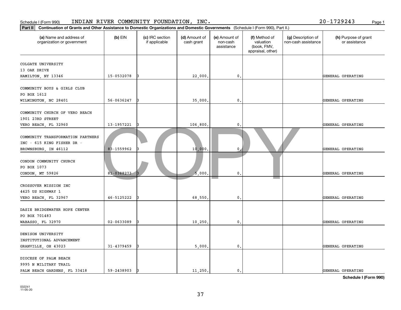| Schedule I (Form 990)                                                                                                                       |             | INDIAN RIVER COMMUNITY FOUNDATION, INC. |                             |                                         |                                                                |                                           | 20-1729243<br>Page 1                  |
|---------------------------------------------------------------------------------------------------------------------------------------------|-------------|-----------------------------------------|-----------------------------|-----------------------------------------|----------------------------------------------------------------|-------------------------------------------|---------------------------------------|
| Part II<br>Continuation of Grants and Other Assistance to Domestic Organizations and Domestic Governments (Schedule I (Form 990), Part II.) |             |                                         |                             |                                         |                                                                |                                           |                                       |
| (a) Name and address of<br>organization or government                                                                                       | $(b)$ EIN   | (c) IRC section<br>if applicable        | (d) Amount of<br>cash grant | (e) Amount of<br>non-cash<br>assistance | (f) Method of<br>valuation<br>(book, FMV,<br>appraisal, other) | (g) Description of<br>non-cash assistance | (h) Purpose of grant<br>or assistance |
| COLGATE UNIVERSITY                                                                                                                          |             |                                         |                             |                                         |                                                                |                                           |                                       |
| 13 OAK DRIVE<br>HAMILTON, NY 13346                                                                                                          | 15-0532078  |                                         | 22,000                      | 0.                                      |                                                                |                                           | GENERAL OPERATING                     |
| COMMUNITY BOYS & GIRLS CLUB<br>PO BOX 1612                                                                                                  |             |                                         |                             |                                         |                                                                |                                           |                                       |
| WILMINGTON, NC 28401                                                                                                                        | 56-0636247  |                                         | 35,000                      | $\mathbf{0}$ .                          |                                                                |                                           | GENERAL OPERATING                     |
| COMMUNITY CHURCH OF VERO BEACH<br>1901 23RD STREET                                                                                          |             |                                         |                             |                                         |                                                                |                                           |                                       |
| VERO BEACH, FL 32960                                                                                                                        | 13-1957221  |                                         | 106,800                     | 0.                                      |                                                                |                                           | GENERAL OPERATING                     |
| COMMUNITY TRANSFORMATION PARTNERS<br>INC - 615 KING FISHER DR -<br>BROWNSBURG, IN 46112                                                     | 83-1559962  |                                         | 10,000                      | $\mathbf{0}$                            |                                                                |                                           | GENERAL OPERATING                     |
| CONDON COMMUNITY CHURCH<br>PO BOX 1073<br>CONDON, MT 59826                                                                                  | 81-0388273- |                                         | 5,000                       | $\mathfrak{o}$ .                        |                                                                |                                           | GENERAL OPERATING                     |
| CROSSOVER MISSION INC<br>4425 US HIGHWAY 1                                                                                                  | 46-5125222  |                                         | 68,550                      | $\mathbf 0$ .                           |                                                                |                                           | GENERAL OPERATING                     |
| VERO BEACH, FL 32967                                                                                                                        |             |                                         |                             |                                         |                                                                |                                           |                                       |
| DASIE BRIDGEWATER HOPE CENTER<br>PO BOX 701483                                                                                              |             |                                         |                             |                                         |                                                                |                                           |                                       |
| WABASSO, FL 32970                                                                                                                           | 02-0633089  |                                         | 10,250                      | 0.                                      |                                                                |                                           | GENERAL OPERATING                     |
| DENISON UNIVERSITY<br>INSTITUTIONAL ADVANCEMENT                                                                                             |             |                                         |                             |                                         |                                                                |                                           |                                       |
| GRANVILLE, OH 43023                                                                                                                         | 31-4379459  |                                         | 5,000                       | $\mathfrak{o}$ .                        |                                                                |                                           | GENERAL OPERATING                     |
| DIOCESE OF PALM BEACH<br>9995 N MILITARY TRAIL                                                                                              |             |                                         |                             |                                         |                                                                |                                           |                                       |
| PALM BEACH GARDENS, FL 33418                                                                                                                | 59-2438903  |                                         | 11,250.                     | $\mathfrak o$ .                         |                                                                |                                           | GENERAL OPERATING                     |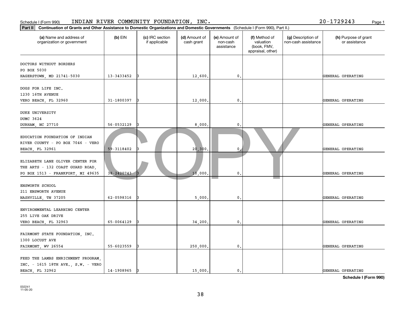| $ $ Part II $ $<br>Continuation of Grants and Other Assistance to Domestic Organizations and Domestic Governments (Schedule I (Form 990), Part II.) |                |                                  |                             |                                         |                                                                |                                           |                                       |
|-----------------------------------------------------------------------------------------------------------------------------------------------------|----------------|----------------------------------|-----------------------------|-----------------------------------------|----------------------------------------------------------------|-------------------------------------------|---------------------------------------|
| (a) Name and address of<br>organization or government                                                                                               | $(b)$ EIN      | (c) IRC section<br>if applicable | (d) Amount of<br>cash grant | (e) Amount of<br>non-cash<br>assistance | (f) Method of<br>valuation<br>(book, FMV,<br>appraisal, other) | (g) Description of<br>non-cash assistance | (h) Purpose of grant<br>or assistance |
| DOCTORS WITHOUT BORDERS<br>PO BOX 5030<br>HAGERSTOWN, MD 21741-5030                                                                                 | 13-3433452     |                                  | 12,600                      | $\mathfrak o$ .                         |                                                                |                                           | GENERAL OPERATING                     |
| DOGS FOR LIFE INC.<br>1230 16TH AVENUE<br>VERO BEACH, FL 32960                                                                                      | 31-1800397     |                                  | 12,000                      | $\mathbf{0}$ .                          |                                                                |                                           | GENERAL OPERATING                     |
| DUKE UNIVERSITY<br>DUMC 3624<br>DURHAM, NC 27710                                                                                                    | 56-0532129     |                                  | 8,000                       | 0.                                      |                                                                |                                           | GENERAL OPERATING                     |
| EDUCATION FOUNDATION OF INDIAN<br>RIVER COUNTY - PO BOX 7046 - VERO<br><b>BEACH, FL 32961</b>                                                       | 59-3118402     |                                  | 20,300                      | 0                                       |                                                                |                                           | GENERAL OPERATING                     |
| ELIZABETH LANE OLIVER CENTER FOR<br>THE ARTS - 132 COAST GUARD ROAD,<br>PO BOX 1513 - FRANKFORT, MI 49635                                           | $38 - 2420743$ |                                  | 10,000                      | $\mathbf{0}$                            |                                                                |                                           | GENERAL OPERATING                     |
| ENSWORTH SCHOOL<br>211 ENSWORTH AVENUE<br>NASHVILLE, TN 37205                                                                                       | 62-0598316     |                                  | 5,000                       | $\mathbf{0}$ .                          |                                                                |                                           | GENERAL OPERATING                     |
| ENVIRONMENTAL LEARNING CENTER<br>255 LIVE OAK DRIVE<br>VERO BEACH, FL 32963                                                                         | 65-0064129     |                                  | 34,200                      | 0.                                      |                                                                |                                           | GENERAL OPERATING                     |
| FAIRMONT STATE FOUNDATION, INC.<br>1300 LOCUST AVE<br>FAIRMONT, WV 26554                                                                            | 55-6023559     |                                  | 250,000                     | $\mathfrak o$ .                         |                                                                |                                           | GENERAL OPERATING                     |
| FEED THE LAMBS ENRICHMENT PROGRAM,<br>INC. - 1615 18TH AVE., S.W. - VERO<br><b>BEACH, FL 32962</b>                                                  | 14-1908965     |                                  | 15,000.                     | $\mathbf{0}$ .                          |                                                                |                                           | GENERAL OPERATING                     |

### Schedule I (Form 990) INDIAN RIVER COMMUNITY FOUNDATION, INC. Page 1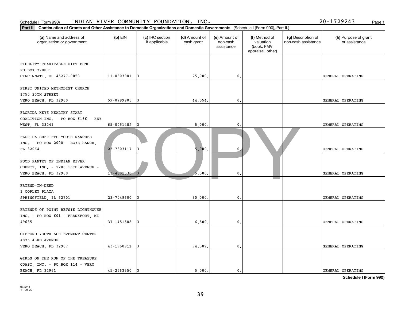| Part II<br>Continuation of Grants and Other Assistance to Domestic Organizations and Domestic Governments (Schedule I (Form 990), Part II.) |                |                                  |                             |                                         |                                                                |                                           |                                       |
|---------------------------------------------------------------------------------------------------------------------------------------------|----------------|----------------------------------|-----------------------------|-----------------------------------------|----------------------------------------------------------------|-------------------------------------------|---------------------------------------|
| (a) Name and address of<br>organization or government                                                                                       | $(b)$ EIN      | (c) IRC section<br>if applicable | (d) Amount of<br>cash grant | (e) Amount of<br>non-cash<br>assistance | (f) Method of<br>valuation<br>(book, FMV,<br>appraisal, other) | (g) Description of<br>non-cash assistance | (h) Purpose of grant<br>or assistance |
| FIDELITY CHARITABLE GIFT FUND<br>PO BOX 770001<br>CINCINNATI, OH 45277-0053                                                                 | 11-0303001     |                                  | 25,000.                     | $\mathbf 0$ .                           |                                                                |                                           | GENERAL OPERATING                     |
| FIRST UNITED METHODIST CHURCH<br>1750 20TH STREET<br>VERO BEACH, FL 32960                                                                   | 59-0799905     |                                  | 44,554                      | 0.                                      |                                                                |                                           | GENERAL OPERATING                     |
| FLORIDA KEYS HEALTHY START<br>COALITION INC. - PO BOX 6166 - KEY<br>WEST, FL 33041                                                          | 65-0051482     |                                  | 5,000                       | 0                                       |                                                                |                                           | GENERAL OPERATING                     |
| FLORIDA SHERIFFS YOUTH RANCHES<br>INC. - PO BOX 2000 - BOYS RANCH,<br>FL 32064                                                              | 23-7303117     |                                  | 5.000                       | $\mathbf 0$                             |                                                                |                                           | GENERAL OPERATING                     |
| FOOD PANTRY OF INDIAN RIVER<br>COUNTY, INC. - 2206 16TH AVENUE -<br>VERO BEACH, FL 32960                                                    | $13 - 4301530$ |                                  | 5.500                       | 0.                                      |                                                                |                                           | GENERAL OPERATING                     |
| FRIEND-IN-DEED<br>1 COPLEY PLAZA<br>SPRINGFIELD, IL 62701                                                                                   | 23-7049600     |                                  | 30,000                      | $\mathbf{0}$ .                          |                                                                |                                           | GENERAL OPERATING                     |
| FRIENDS OF POINT BETSIE LIGHTHOUSE<br>INC. - PO BOX 601 - FRANKFORT, MI<br>49635                                                            | 37-1451508     |                                  | 6,500                       | $\mathbf{0}$ .                          |                                                                |                                           | GENERAL OPERATING                     |
| GIFFORD YOUTH ACHIEVEMENT CENTER<br>4875 43RD AVENUE<br>VERO BEACH, FL 32967                                                                | 43-1950911     |                                  | 94,387.                     | 0.                                      |                                                                |                                           | GENERAL OPERATING                     |
| GIRLS ON THE RUN OF THE TREASURE<br>COAST, INC. - PO BOX 114 - VERO<br><b>BEACH, FL 32961</b>                                               | 45-2563350     |                                  | 5,000.                      | $\mathbf{0}$ .                          |                                                                |                                           | GENERAL OPERATING                     |

### Schedule I (Form 990) INDIAN RIVER COMMUNITY FOUNDATION, INC. Page 1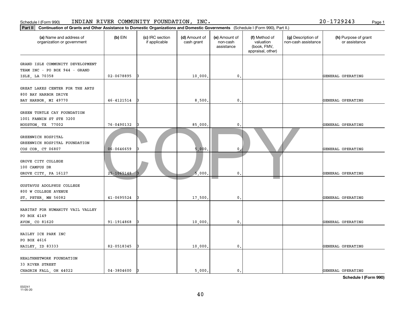| Schedule I (Form 990)                                                                                                                    |                | INDIAN RIVER COMMUNITY FOUNDATION, INC. |                             |                                         |                                                                |                                           | 20-1729243<br>Page 1                  |
|------------------------------------------------------------------------------------------------------------------------------------------|----------------|-----------------------------------------|-----------------------------|-----------------------------------------|----------------------------------------------------------------|-------------------------------------------|---------------------------------------|
| Part II Continuation of Grants and Other Assistance to Domestic Organizations and Domestic Governments (Schedule I (Form 990), Part II.) |                |                                         |                             |                                         |                                                                |                                           |                                       |
| (a) Name and address of<br>organization or government                                                                                    | $(b)$ EIN      | (c) IRC section<br>if applicable        | (d) Amount of<br>cash grant | (e) Amount of<br>non-cash<br>assistance | (f) Method of<br>valuation<br>(book, FMV,<br>appraisal, other) | (g) Description of<br>non-cash assistance | (h) Purpose of grant<br>or assistance |
| GRAND ISLE COMMUNITY DEVELOPMENT<br>TEAM INC - PO BOX 944 - GRAND<br>ISLE, LA 70358                                                      | 02-0678895     | I٩                                      | 10,000                      | $^{\circ}$ .                            |                                                                |                                           | GENERAL OPERATING                     |
| GREAT LAKES CENTER FOR THE ARTS<br>800 BAY HARBOR DRIVE<br>BAY HARBOR, MI 49770                                                          | 46-4121514     |                                         | 8,500                       | $^{\circ}$ .                            |                                                                |                                           | GENERAL OPERATING                     |
| GREEN TURTLE CAY FOUNDATION<br>1001 FANNIN ST STE 3200<br>HOUSTON, TX 77002                                                              | 76-0490132     |                                         | 85,000                      | 0.                                      |                                                                |                                           | GENERAL OPERATING                     |
| GREENWICH HOSPITAL<br>GREENWICH HOSPITAL FOUNDATION<br>COS COB, CT 06807                                                                 | 06-0646659     |                                         | 5,000                       | $\mathbf{0}$                            |                                                                |                                           | GENERAL OPERATING                     |
| GROVE CITY COLLEGE<br>100 CAMPUS DR<br>GROVE CITY, PA 16127                                                                              | $25 - 1065148$ |                                         | 5,000                       | $\mathbf{0}$ .                          |                                                                |                                           | GENERAL OPERATING                     |
| GUSTAVUS ADOLPHUS COLLEGE<br>800 W COLLEGE AVENUE<br>ST. PETER, MN 56082                                                                 | 41-0695524     |                                         | 17,500                      | 0.                                      |                                                                |                                           | GENERAL OPERATING                     |
| HABITAT FOR HUMANITY VAIL VALLEY<br>PO BOX 4149<br>AVON, CO 81620                                                                        | 91-1914868     |                                         | 10,000                      | $^{\circ}$ .                            |                                                                |                                           | GENERAL OPERATING                     |
| HAILEY ICE PARK INC<br>PO BOX 4616<br>HAILEY, ID 83333                                                                                   | 82-0518345     | 13                                      | 10,000                      | $\mathfrak{o}$ .                        |                                                                |                                           | GENERAL OPERATING                     |
| HEALTHNETWORK FOUNDATION<br>33 RIVER STREET<br>CHAGRIN FALL, OH 44022                                                                    | $04 - 3804600$ | 13                                      | 5,000.                      | $\mathfrak o$ .                         |                                                                |                                           | GENERAL OPERATING                     |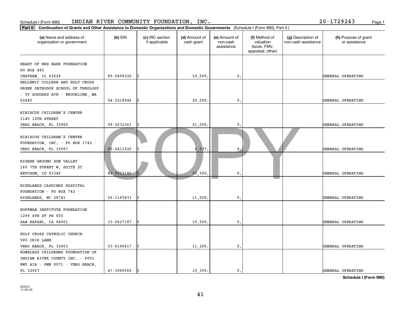| Schedule I (Form 990)                                                                                                                        |            | INDIAN RIVER COMMUNITY FOUNDATION, INC. |                             |                                         |                                                                |                                           | 20-1729243<br>Page 1                  |
|----------------------------------------------------------------------------------------------------------------------------------------------|------------|-----------------------------------------|-----------------------------|-----------------------------------------|----------------------------------------------------------------|-------------------------------------------|---------------------------------------|
| Part II <br>Continuation of Grants and Other Assistance to Domestic Organizations and Domestic Governments (Schedule I (Form 990), Part II.) |            |                                         |                             |                                         |                                                                |                                           |                                       |
| (a) Name and address of<br>organization or government                                                                                        | $(b)$ EIN  | (c) IRC section<br>if applicable        | (d) Amount of<br>cash grant | (e) Amount of<br>non-cash<br>assistance | (f) Method of<br>valuation<br>(book, FMV,<br>appraisal, other) | (g) Description of<br>non-cash assistance | (h) Purpose of grant<br>or assistance |
| HEART OF WES BARR FOUNDATION<br>PO BOX 482                                                                                                   |            |                                         |                             |                                         |                                                                |                                           |                                       |
| CHATHAM, IL 62629                                                                                                                            | 85-0498320 |                                         | 10,000                      | 0.                                      |                                                                |                                           | GENERAL OPERATING                     |
| HELLENIC COLLEGE AND HOLY CROSS<br>GREEK ORTHODOX SCHOOL OF THEOLOGY<br>- 50 GODDARD AVE - BROOKLINE, MA                                     |            |                                         |                             |                                         |                                                                |                                           |                                       |
| 02445                                                                                                                                        | 04-2218946 |                                         | 25,000                      | 0.                                      |                                                                |                                           | GENERAL OPERATING                     |
| HIBISCUS CHILDREN'S CENTER<br>1145 12TH STREET                                                                                               |            |                                         |                             |                                         |                                                                |                                           |                                       |
| VERO BEACH, FL 32960                                                                                                                         | 59-2632361 |                                         | 21,000                      | 0.                                      |                                                                |                                           | GENERAL OPERATING                     |
| HIBISCUS CHILDREN'S CENTER<br>FOUNDATION, INC. - PO BOX 1742 -<br>VERO BEACH, FL 32967                                                       | 65-0411920 |                                         | 6,537                       | $\mathbf{0}$                            |                                                                |                                           | GENERAL OPERATING                     |
| HIGHER GROUND SUN VALLEY<br>160 7TH STREET W, SUITE 2C<br>KETCHUM, ID 83340                                                                  | 82-0512146 |                                         | 25,500                      | $\mathfrak{o}$ .                        |                                                                |                                           | GENERAL OPERATING                     |
| HIGHLANDS-CASHIERS HOSPITAL<br>FOUNDATION - PO BOX 742 -<br>HIGHLANDS, NC 28741                                                              | 56-1165833 |                                         | 11,000                      | $\mathfrak o$ .                         |                                                                |                                           | GENERAL OPERATING                     |
| HOFFMAN INSTITUTE FOUNDATION<br>1299 4TH ST PH 600                                                                                           |            |                                         |                             |                                         |                                                                |                                           |                                       |
| SAN RAFAEL, CA 94901                                                                                                                         | 33-0627187 |                                         | 10,000                      | $\mathbf{0}$ .                          |                                                                |                                           | GENERAL OPERATING                     |
| HOLY CROSS CATHOLIC CHURCH<br>500 IRIS LANE                                                                                                  |            |                                         |                             |                                         |                                                                |                                           |                                       |
| VERO BEACH, FL 32963                                                                                                                         | 53-0196617 |                                         | 11,200                      | 0.                                      |                                                                |                                           | GENERAL OPERATING                     |
| HOMELESS CHILDRENS FOUNDATION OF<br>INDIAN RIVER COUNTY INC. - 6001<br>HWY AIA - PMB 8071 - VERO BEACH,                                      |            |                                         |                             |                                         |                                                                |                                           |                                       |
| FL 32963                                                                                                                                     | 47-3060566 |                                         | 10,350.                     | $\mathbf{0}$ .                          |                                                                |                                           | GENERAL OPERATING                     |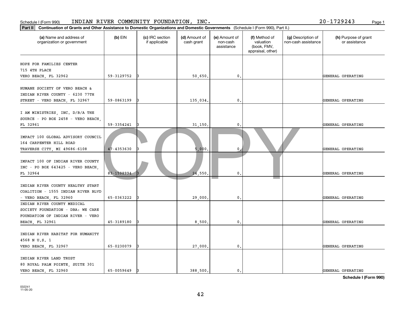| Part II                                                                                                                         | Continuation of Grants and Other Assistance to Domestic Organizations and Domestic Governments (Schedule I (Form 990), Part II.) |                                  |                             |                                         |                                                                |                                           |                                       |  |  |
|---------------------------------------------------------------------------------------------------------------------------------|----------------------------------------------------------------------------------------------------------------------------------|----------------------------------|-----------------------------|-----------------------------------------|----------------------------------------------------------------|-------------------------------------------|---------------------------------------|--|--|
| (a) Name and address of<br>organization or government                                                                           | $(b)$ EIN                                                                                                                        | (c) IRC section<br>if applicable | (d) Amount of<br>cash grant | (e) Amount of<br>non-cash<br>assistance | (f) Method of<br>valuation<br>(book, FMV,<br>appraisal, other) | (g) Description of<br>non-cash assistance | (h) Purpose of grant<br>or assistance |  |  |
| HOPE FOR FAMILIES CENTER<br>715 4TH PLACE<br>VERO BEACH, FL 32962                                                               | 59-3129752                                                                                                                       |                                  | 50,650.                     | $\mathfrak o$ .                         |                                                                |                                           | GENERAL OPERATING                     |  |  |
| HUMANE SOCIETY OF VERO BEACH &<br>INDIAN RIVER COUNTY - 6230 77TH<br>STREET - VERO BEACH, FL 32967                              | 59-0863199                                                                                                                       | R                                | 135,034.                    | $\mathbf{0}$ .                          |                                                                |                                           | GENERAL OPERATING                     |  |  |
| I AM MINISTRIES, INC. D/B/A THE<br>SOURCE - PO BOX 2458 - VERO BEACH,<br>FL 32961                                               | 59-3354241                                                                                                                       |                                  | 31, 150.                    | 0                                       |                                                                |                                           | GENERAL OPERATING                     |  |  |
| IMPACT 100 GLOBAL ADVISORY COUNCIL<br>164 CARPENTER HILL ROAD<br>TRAVERSE CITY, MI 49686-6108                                   | 47-4353630                                                                                                                       |                                  | 5.000                       | $\mathbf 0$                             |                                                                |                                           | GENERAL OPERATING                     |  |  |
| IMPACT 100 OF INDIAN RIVER COUNTY<br>$INC - PO$ BOX $643425 - VERO$ BEACH,<br>FL 32964                                          | 83-1598994                                                                                                                       |                                  | 24,550                      | $\mathbf{0}$                            |                                                                |                                           | GENERAL OPERATING                     |  |  |
| INDIAN RIVER COUNTY HEALTHY START<br>COALITION - 1555 INDIAN RIVER BLVD<br>- VERO BEACH, FL 32960                               | 65-0363222                                                                                                                       |                                  | 29,000                      | $\mathbf{0}$ .                          |                                                                |                                           | GENERAL OPERATING                     |  |  |
| INDIAN RIVER COUNTY MEDICAL<br>SOCIETY FOUNDATION - DBA: WE CARE<br>FOUNDATION OF INDIAN RIVER - VERO<br><b>BEACH, FL 32961</b> | 45-3189180                                                                                                                       |                                  | 8,500                       | $\mathbf{0}$ .                          |                                                                |                                           | GENERAL OPERATING                     |  |  |
| INDIAN RIVER HABITAT FOR HUMANITY<br>4568 N U.S. 1<br>VERO BEACH, FL 32967                                                      | 65-0230079                                                                                                                       |                                  | 27,000.                     | $\mathfrak o$ .                         |                                                                |                                           | GENERAL OPERATING                     |  |  |
| INDIAN RIVER LAND TRUST<br>80 ROYAL PALM POINTE, SUITE 301<br>VERO BEACH, FL 32960                                              | 65-0059649                                                                                                                       |                                  | 388,500.                    | $\mathbf{0}$ .                          |                                                                |                                           | GENERAL OPERATING                     |  |  |

### Schedule I (Form 990) INDIAN RIVER COMMUNITY FOUNDATION, INC. Page 1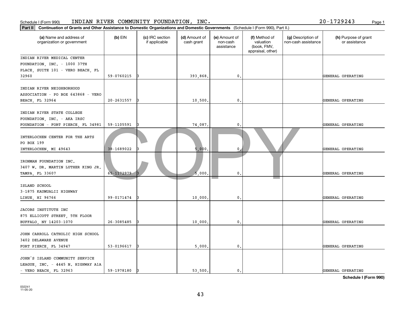| Schedule I (Form 990)                                                            |                                                                                                                                  | INDIAN RIVER COMMUNITY FOUNDATION, INC. |                             |                                         |                                                                |                                           | 20-1729243<br>Page 1                  |  |  |
|----------------------------------------------------------------------------------|----------------------------------------------------------------------------------------------------------------------------------|-----------------------------------------|-----------------------------|-----------------------------------------|----------------------------------------------------------------|-------------------------------------------|---------------------------------------|--|--|
| Part II                                                                          | Continuation of Grants and Other Assistance to Domestic Organizations and Domestic Governments (Schedule I (Form 990), Part II.) |                                         |                             |                                         |                                                                |                                           |                                       |  |  |
| (a) Name and address of<br>organization or government                            | $(b)$ EIN                                                                                                                        | (c) IRC section<br>if applicable        | (d) Amount of<br>cash grant | (e) Amount of<br>non-cash<br>assistance | (f) Method of<br>valuation<br>(book, FMV,<br>appraisal, other) | (g) Description of<br>non-cash assistance | (h) Purpose of grant<br>or assistance |  |  |
| INDIAN RIVER MEDICAL CENTER                                                      |                                                                                                                                  |                                         |                             |                                         |                                                                |                                           |                                       |  |  |
| FOUNDATION, INC. - 1000 37TH<br>PLACE, SUITE 101 - VERO BEACH, FL                |                                                                                                                                  |                                         |                             |                                         |                                                                |                                           |                                       |  |  |
| 32960                                                                            | 59-0760215                                                                                                                       | 13                                      | 393,868                     | 0.                                      |                                                                |                                           | GENERAL OPERATING                     |  |  |
|                                                                                  |                                                                                                                                  |                                         |                             |                                         |                                                                |                                           |                                       |  |  |
| INDIAN RIVER NEIGHBORHOOD                                                        |                                                                                                                                  |                                         |                             |                                         |                                                                |                                           |                                       |  |  |
| ASSOCIATION - PO BOX 643868 - VERO                                               |                                                                                                                                  |                                         |                             |                                         |                                                                |                                           |                                       |  |  |
| BEACH, FL 32964                                                                  | 20-2631557                                                                                                                       | 13                                      | 10,500.                     | $\mathbf{0}$ .                          |                                                                |                                           | GENERAL OPERATING                     |  |  |
| INDIAN RIVER STATE COLLEGE                                                       |                                                                                                                                  |                                         |                             |                                         |                                                                |                                           |                                       |  |  |
| FOUNDATION, INC. - AKA IRSC                                                      |                                                                                                                                  |                                         |                             |                                         |                                                                |                                           |                                       |  |  |
| FOUNDATION - FORT PIERCE, FL 34981                                               | 59-1105591                                                                                                                       |                                         | 74,087.                     | $\mathsf{0}$ .                          |                                                                |                                           | GENERAL OPERATING                     |  |  |
| INTERLOCHEN CENTER FOR THE ARTS<br>PO BOX 199                                    |                                                                                                                                  |                                         |                             |                                         |                                                                |                                           |                                       |  |  |
| INTERLOCHEN, MI 49643                                                            | 38-1689022                                                                                                                       |                                         | 5,000                       | $\mathbf{0}$                            |                                                                |                                           | GENERAL OPERATING                     |  |  |
| IRONMAN FOUNDATION INC.<br>3407 W. DR. MARTIN LUTHER KING JR.<br>TAMPA, FL 33607 | 65-1172979-                                                                                                                      |                                         | 5,000                       | $\mathbf{0}$ .                          |                                                                |                                           | GENERAL OPERATING                     |  |  |
|                                                                                  |                                                                                                                                  |                                         |                             |                                         |                                                                |                                           |                                       |  |  |
| ISLAND SCHOOL                                                                    |                                                                                                                                  |                                         |                             |                                         |                                                                |                                           |                                       |  |  |
| 3-1875 KAUMUALII HIGHWAY<br>LIHUE, HI 96766                                      | 99-0171474                                                                                                                       |                                         | 10,000                      | $\mathfrak o$ .                         |                                                                |                                           | GENERAL OPERATING                     |  |  |
|                                                                                  |                                                                                                                                  |                                         |                             |                                         |                                                                |                                           |                                       |  |  |
| JACOBS INSTITUTE INC                                                             |                                                                                                                                  |                                         |                             |                                         |                                                                |                                           |                                       |  |  |
| 875 ELLICOTT STREET, 5TH FLOOR                                                   |                                                                                                                                  |                                         |                             |                                         |                                                                |                                           |                                       |  |  |
| BUFFALO, NY 14203-1070                                                           | $26 - 3085485$                                                                                                                   |                                         | 10,000                      | 0.                                      |                                                                |                                           | GENERAL OPERATING                     |  |  |
|                                                                                  |                                                                                                                                  |                                         |                             |                                         |                                                                |                                           |                                       |  |  |
| JOHN CARROLL CATHOLIC HIGH SCHOOL                                                |                                                                                                                                  |                                         |                             |                                         |                                                                |                                           |                                       |  |  |
| 3402 DELAWARE AVENUE<br>FORT PIERCE, FL 34947                                    | 53-0196617                                                                                                                       | IЗ                                      | 5,000                       | 0.                                      |                                                                |                                           | GENERAL OPERATING                     |  |  |
|                                                                                  |                                                                                                                                  |                                         |                             |                                         |                                                                |                                           |                                       |  |  |
| JOHN'S ISLAND COMMUNITY SERVICE                                                  |                                                                                                                                  |                                         |                             |                                         |                                                                |                                           |                                       |  |  |
| LEAGUE, INC. - 4445 N. HIGHWAY A1A                                               |                                                                                                                                  |                                         |                             |                                         |                                                                |                                           |                                       |  |  |
| - VERO BEACH, FL 32963                                                           | 59-1978180                                                                                                                       | 13                                      | 53,500.                     | $\mathbf{0}$ .                          |                                                                |                                           | GENERAL OPERATING                     |  |  |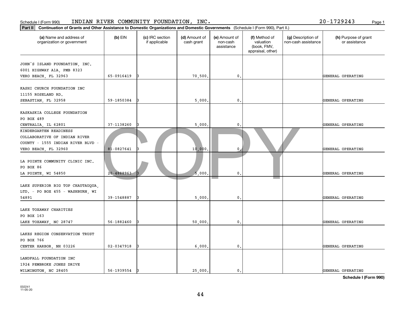| Part II<br>Continuation of Grants and Other Assistance to Domestic Organizations and Domestic Governments (Schedule I (Form 990), Part II.) |                |                                  |                             |                                         |                                                                |                                           |                                       |
|---------------------------------------------------------------------------------------------------------------------------------------------|----------------|----------------------------------|-----------------------------|-----------------------------------------|----------------------------------------------------------------|-------------------------------------------|---------------------------------------|
| (a) Name and address of<br>organization or government                                                                                       | $(b)$ EIN      | (c) IRC section<br>if applicable | (d) Amount of<br>cash grant | (e) Amount of<br>non-cash<br>assistance | (f) Method of<br>valuation<br>(book, FMV,<br>appraisal, other) | (g) Description of<br>non-cash assistance | (h) Purpose of grant<br>or assistance |
| JOHN'S ISLAND FOUNDATION, INC.<br>6001 HIGHWAY A1A, PMB 8323<br>VERO BEACH, FL 32963                                                        | 65-0916419     |                                  | 70,500.                     | $\mathbf 0$ .                           |                                                                |                                           | GENERAL OPERATING                     |
| KASHI CHURCH FOUNDATION INC<br>11155 ROSELAND RD.<br>SEBASTIAN, FL 32958                                                                    | 59-1850384     |                                  | 5,000                       | $\mathbf{0}$ .                          |                                                                |                                           | GENERAL OPERATING                     |
| KASKASKIA COLLEGE FOUNDATION<br>PO BOX 489<br>CENTRALIA, IL 62801                                                                           | 37-1138260     |                                  | 5,000                       | 0                                       |                                                                |                                           | GENERAL OPERATING                     |
| KINDERGARTEN READINESS<br>COLLABORATIVE OF INDIAN RIVER<br>COUNTY - 1555 INDIAN RIVER BLVD -<br>VERO BEACH, FL 32960                        | 81-0827641     |                                  | 10,000                      | $\mathbf 0$                             |                                                                |                                           | GENERAL OPERATING                     |
| LA POINTE COMMUNITY CLINIC INC.<br>PO BOX 86<br>LA POINTE, WI 54850                                                                         | $20 - 4888963$ |                                  | 5.000                       | 0.                                      |                                                                |                                           | GENERAL OPERATING                     |
| LAKE SUPERIOR BIG TOP CHAUTAUQUA,<br>LTD. - PO BOX 455 - WASHBURN, WI<br>54891                                                              | 39-1548887     |                                  | 5,000                       | $\mathbf{0}$ .                          |                                                                |                                           | GENERAL OPERATING                     |
| LAKE TOXAWAY CHARITIES<br>PO BOX 163<br>LAKE TOXAWAY, NC 28747                                                                              | 56-1882460     |                                  | 50,000                      | $\mathbf{0}$ .                          |                                                                |                                           | GENERAL OPERATING                     |
| LAKES REGION CONSERVATION TRUST<br>PO BOX 766<br>CENTER HARBOR, NH 03226                                                                    | $02 - 0347918$ |                                  | 6,000                       | 0.                                      |                                                                |                                           | GENERAL OPERATING                     |
| LANDFALL FOUNDATION INC<br>1924 PEMBROKE JONES DRIVE<br>WILMINGTON, NC 28405                                                                | 56-1939554     |                                  | 25,000                      | $\mathbf{0}$ .                          |                                                                |                                           | GENERAL OPERATING                     |

Schedule I (Form 990) INDIAN RIVER COMMUNITY FOUNDATION, INC. Page 1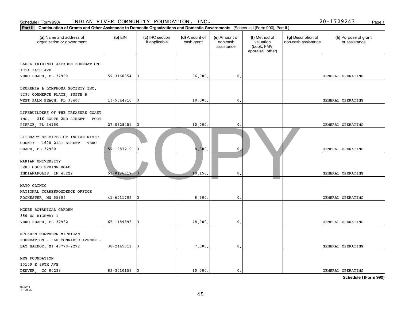| INDIAN RIVER COMMUNITY FOUNDATION, INC.<br>20-1729243<br>Schedule I (Form 990)<br>Page 1                                                    |                |                                  |                             |                                         |                                                                |                                           |                                       |  |  |
|---------------------------------------------------------------------------------------------------------------------------------------------|----------------|----------------------------------|-----------------------------|-----------------------------------------|----------------------------------------------------------------|-------------------------------------------|---------------------------------------|--|--|
| Continuation of Grants and Other Assistance to Domestic Organizations and Domestic Governments (Schedule I (Form 990), Part II.)<br>Part II |                |                                  |                             |                                         |                                                                |                                           |                                       |  |  |
| (a) Name and address of<br>organization or government                                                                                       | $(b)$ EIN      | (c) IRC section<br>if applicable | (d) Amount of<br>cash grant | (e) Amount of<br>non-cash<br>assistance | (f) Method of<br>valuation<br>(book, FMV,<br>appraisal, other) | (g) Description of<br>non-cash assistance | (h) Purpose of grant<br>or assistance |  |  |
| LAURA (RIDING) JACKSON FOUNDATION<br>1914 14TH AVE<br>VERO BEACH, FL 32960                                                                  | 59-3160354     |                                  | 96,000                      | 0.                                      |                                                                |                                           | GENERAL OPERATING                     |  |  |
| LEUKEMIA & LYMPHOMA SOCIETY INC.<br>3230 COMMERCE PLACE, SUITE B<br>WEST PALM BEACH, FL 33407                                               | 13-5644916     |                                  | 18,500.                     | 0.                                      |                                                                |                                           | GENERAL OPERATING                     |  |  |
| LIFEBUILDERS OF THE TREASURE COAST<br>INC. - 216 SOUTH 2ND STREET - FORT<br>PIERCE, FL 34950                                                | 27-0628451     |                                  | 10,000                      | 0,                                      |                                                                |                                           | GENERAL OPERATING                     |  |  |
| LITERACY SERVICES OF INDIAN RIVER<br>COUNTY - 1600 21ST STREET - VERO<br><b>BEACH, FL 32960</b>                                             | 59-1987210     |                                  | 8,300                       | $\mathbf{0}$                            |                                                                |                                           | GENERAL OPERATING                     |  |  |
| MARIAN UNIVERSITY<br>3200 COLD SPRING ROAD<br>INDIANAPOLIS, IN 46222                                                                        | 53-0196617     |                                  | 10, 150                     | $\mathbf{0}$                            |                                                                |                                           | GENERAL OPERATING                     |  |  |
| MAYO CLINIC<br>NATIONAL CORRESPONDENCE OFFICE<br>ROCHESTER, MN 55902                                                                        | $41 - 6011702$ |                                  | 8,500                       | 0.                                      |                                                                |                                           | GENERAL OPERATING                     |  |  |
| MCKEE BOTANICAL GARDEN<br>350 US HIGHWAY 1<br>VERO BEACH, FL 32962                                                                          | 65-1189895     |                                  | 78,000                      | 0.                                      |                                                                |                                           | GENERAL OPERATING                     |  |  |
| MCLAREN NORTHERN MICHIGAN<br>FOUNDATION - 360 CONNABLE AVENUE -<br>BAY HARBOR, MI 49770-2272                                                | 38-2445611     |                                  | 7,000                       | 0.                                      |                                                                |                                           | GENERAL OPERATING                     |  |  |
| MEG FOUNDATION<br>10169 E 28TH AVE<br>DENVER, CO 80238                                                                                      | 82-3010153     |                                  | 10,000.                     | $\mathbf{0}$ .                          |                                                                |                                           | GENERAL OPERATING                     |  |  |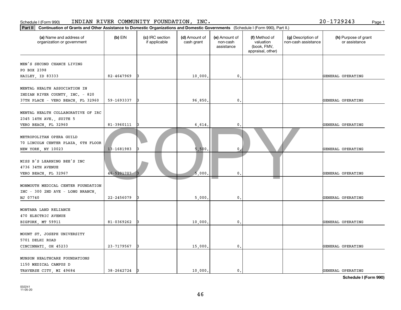| Schedule I (Form 990)                                                                                |                                                                                                                                  | INDIAN RIVER COMMUNITY FOUNDATION, INC. |                             |                                         |                                                                |                                           | 20-1729243<br>Page 1                  |  |  |
|------------------------------------------------------------------------------------------------------|----------------------------------------------------------------------------------------------------------------------------------|-----------------------------------------|-----------------------------|-----------------------------------------|----------------------------------------------------------------|-------------------------------------------|---------------------------------------|--|--|
| Part II                                                                                              | Continuation of Grants and Other Assistance to Domestic Organizations and Domestic Governments (Schedule I (Form 990), Part II.) |                                         |                             |                                         |                                                                |                                           |                                       |  |  |
| (a) Name and address of<br>organization or government                                                | $(b)$ EIN                                                                                                                        | (c) IRC section<br>if applicable        | (d) Amount of<br>cash grant | (e) Amount of<br>non-cash<br>assistance | (f) Method of<br>valuation<br>(book, FMV,<br>appraisal, other) | (g) Description of<br>non-cash assistance | (h) Purpose of grant<br>or assistance |  |  |
| MEN'S SECOND CHANCE LIVING<br>PO BOX 2398<br>HAILEY, ID 83333                                        | 82-4647969                                                                                                                       |                                         | 10,000                      | 0.                                      |                                                                |                                           | GENERAL OPERATING                     |  |  |
| MENTAL HEALTH ASSOCIATION IN<br>INDIAN RIVER COUNTY, INC. - 820<br>37TH PLACE - VERO BEACH, FL 32960 | 59-1693337                                                                                                                       |                                         | 96,850                      | $\mathbf{0}$ .                          |                                                                |                                           | GENERAL OPERATING                     |  |  |
| MENTAL HEALTH COLLABORATIVE OF IRC<br>2345 14TH AVE., SUITE 5<br>VERO BEACH, FL 32960                | 81-3960111                                                                                                                       |                                         | 6,614                       | $\mathbf{0}$ .                          |                                                                |                                           | GENERAL OPERATING                     |  |  |
| METROPOLITAN OPERA GUILD<br>70 LINCOLN CENTER PLAZA, 6TH FLOOR<br>NEW YORK, NY 10023                 | 13-1681983                                                                                                                       |                                         | 5,500                       | $\mathbf 0$                             |                                                                |                                           | GENERAL OPERATING                     |  |  |
| MISS B'S LEARNING BEE'S INC<br>4736 34TH AVENUE<br>VERO BEACH, FL 32967                              | 46-5201707                                                                                                                       |                                         | 5,000                       | $\mathbf{0}$                            |                                                                |                                           | GENERAL OPERATING                     |  |  |
| MONMOUTH MEDICAL CENTER FOUNDATION<br>INC - 300 2ND AVE - LONG BRANCH,<br>NJ 07740                   | $22 - 2456079$                                                                                                                   |                                         | 5,000                       | $\mathbf{0}$ .                          |                                                                |                                           | GENERAL OPERATING                     |  |  |
| MONTANA LAND RELIANCE<br>470 ELECTRIC AVENUE<br>BIGFORK, MT 59911                                    | 81-0369262                                                                                                                       |                                         | 10,000                      | $\mathbf{0}$ .                          |                                                                |                                           | GENERAL OPERATING                     |  |  |
| MOUNT ST. JOSEPH UNIVERSITY<br>5701 DELHI ROAD<br>CINCINNATI, OH 45233                               | 23-7179567                                                                                                                       |                                         | 15,000                      | 0.                                      |                                                                |                                           | GENERAL OPERATING                     |  |  |
| MUNSON HEALTHCARE FOUNDATIONS<br>1150 MEDICAL CAMPUS D<br>TRAVERSE CITY, MI 49684                    | 38-2642724                                                                                                                       |                                         | 10,000.                     | $\mathsf{o}\,$ .                        |                                                                |                                           | GENERAL OPERATING                     |  |  |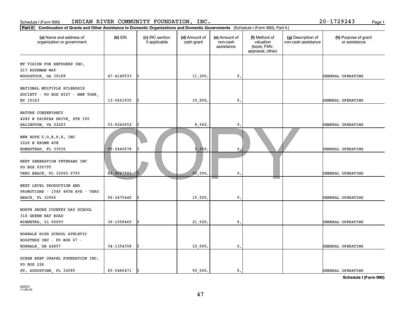| Part II                                                                                  | Continuation of Grants and Other Assistance to Domestic Organizations and Domestic Governments (Schedule I (Form 990), Part II.) |                                  |                             |                                         |                                                                |                                           |                                       |  |  |
|------------------------------------------------------------------------------------------|----------------------------------------------------------------------------------------------------------------------------------|----------------------------------|-----------------------------|-----------------------------------------|----------------------------------------------------------------|-------------------------------------------|---------------------------------------|--|--|
| (a) Name and address of<br>organization or government                                    | $(b)$ EIN                                                                                                                        | (c) IRC section<br>if applicable | (d) Amount of<br>cash grant | (e) Amount of<br>non-cash<br>assistance | (f) Method of<br>valuation<br>(book, FMV,<br>appraisal, other) | (g) Description of<br>non-cash assistance | (h) Purpose of grant<br>or assistance |  |  |
| MY VISION FOR REFUGEES INC.<br>217 ROSEMAN WAY<br>WOODSTOCK, GA 30188                    | 47-4140533                                                                                                                       |                                  | 11,200.                     | $\mathbf{0}$ .                          |                                                                |                                           | GENERAL OPERATING                     |  |  |
| NATIONAL MULTIPLE SCLEROSIS<br>SOCIETY - PO BOX 4527 - NEW YORK,<br>NY 10163             | 13-5661935                                                                                                                       | 13                               | 10,000                      | $\mathbf{0}$                            |                                                                |                                           | GENERAL OPERATING                     |  |  |
| NATURE CONSERVANCY<br>4245 N FAIRFAX DRIVE, STE 100<br>ARLINGTON, VA 22203               | 53-0242652                                                                                                                       |                                  | 8,560.                      | $\mathbf{0}$                            |                                                                |                                           | GENERAL OPERATING                     |  |  |
| NEW HOPE C.O.R.P.S. INC<br>1020 N KROME AVE<br>HOMESTEAD, FL 33030                       | 65-0440678                                                                                                                       |                                  | 5,000                       | 0                                       |                                                                |                                           | GENERAL OPERATING                     |  |  |
| NEXT GENERATION VETERANS INC<br>PO BOX 650795<br>VERO BEACH, FL 32965-0795               | 82-4557985                                                                                                                       |                                  | 25,000                      | $\mathbf{0}$                            |                                                                |                                           | GENERAL OPERATING                     |  |  |
| NEXT LEVEL PRODUCTION AND<br>PROMOTIONS - 1545 46TH AVE - VERO<br><b>BEACH, FL 32966</b> | 56-2475445                                                                                                                       |                                  | 10,000                      | $\mathbf{0}$ .                          |                                                                |                                           | GENERAL OPERATING                     |  |  |
| NORTH SHORE COUNTRY DAY SCHOOL<br>310 GREEN BAY ROAD<br>WINNETKA, IL 60093               | 36-1558460                                                                                                                       | 13                               | 21,020.                     | 0.                                      |                                                                |                                           | GENERAL OPERATING                     |  |  |
| NORWALK HIGH SCHOOL ATHLETIC<br>BOOSTERS INC - PO BOX 67 -<br>NORWALK, OH 44857          | 34-1354358                                                                                                                       | 13                               | 10,000.                     | $\mathbf{0}$ .                          |                                                                |                                           | GENERAL OPERATING                     |  |  |
| OCEAN REEF CHAPEL FOUNDATION INC.<br>PO BOX 226<br>ST. AUGUSTINE, FL 32085               | 65-0486471                                                                                                                       | 13                               | 50,000.                     | $\mathbf{0}$ .                          |                                                                |                                           | GENERAL OPERATING                     |  |  |

### Schedule I (Form 990) INDIAN RIVER COMMUNITY FOUNDATION, INC. Page 1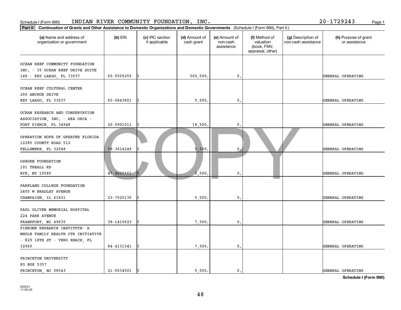| Schedule I (Form 990)                                                                                                                       |                | INDIAN RIVER COMMUNITY FOUNDATION, INC. |                             |                                         |                                                                |                                           | 20-1729243<br>Page 1                  |
|---------------------------------------------------------------------------------------------------------------------------------------------|----------------|-----------------------------------------|-----------------------------|-----------------------------------------|----------------------------------------------------------------|-------------------------------------------|---------------------------------------|
| Continuation of Grants and Other Assistance to Domestic Organizations and Domestic Governments (Schedule I (Form 990), Part II.)<br>Part II |                |                                         |                             |                                         |                                                                |                                           |                                       |
| (a) Name and address of<br>organization or government                                                                                       | $(b)$ EIN      | (c) IRC section<br>if applicable        | (d) Amount of<br>cash grant | (e) Amount of<br>non-cash<br>assistance | (f) Method of<br>valuation<br>(book, FMV,<br>appraisal, other) | (g) Description of<br>non-cash assistance | (h) Purpose of grant<br>or assistance |
| OCEAN REEF COMMUNITY FOUNDATION<br>INC. - 35 OCEAN REEF DRIVE SUITE<br>148 - KEY LARGO, FL 33037                                            | 65-0509255     | I٩                                      | 500,000                     | 0.                                      |                                                                |                                           | GENERAL OPERATING                     |
| OCEAN REEF CULTURAL CENTER<br>200 ANCHOR DRIVE<br>KEY LARGO, FL 33037                                                                       | 65-0843801     | 13                                      | 5,000                       | 0.                                      |                                                                |                                           | GENERAL OPERATING                     |
| OCEAN RESEARCH AND CONSERVATION<br>ASSOCIATION, INC. - AKA ORCA -<br>FORT PIERCE, FL 34948                                                  | 20-0901011     | IЗ                                      | 18,500                      | $\mathsf{o}\,.$                         |                                                                |                                           | GENERAL OPERATING                     |
| OPERATION HOPE OF GREATER FLORIDA<br>12285 COUNTY ROAD 512<br>FELLSMERE, FL 32948                                                           | 59-3614249     |                                         | 5,500                       | $\mathbf{0}$                            |                                                                |                                           | GENERAL OPERATING                     |
| OSBORN FOUNDATION<br>101 THEALL RD<br>RYE, NY 10580                                                                                         | 47-4600665     |                                         | 5,500                       | $\mathfrak{o}$ .                        |                                                                |                                           | GENERAL OPERATING                     |
| PARKLAND COLLEGE FOUNDATION<br>2400 W BRADLEY AVENUE<br>CHAMPAIGN, IL 61821                                                                 | 23-7025130     |                                         | 5,000                       | $\mathsf{0}$ .                          |                                                                |                                           | GENERAL OPERATING                     |
| PAUL OLIVER MEMORIAL HOSPITAL<br>224 PARK AVENUE<br>FRANKFORT, MI 49635                                                                     | 38-1415623     |                                         | 7,500                       | 0.                                      |                                                                |                                           | GENERAL OPERATING                     |
| PIERONE RESEARCH INSTITUTE- A<br>WHOLE FAMILY HEALTH CTR INITIATIVE<br>- 829 18TH ST - VERO BEACH, FL<br>32960                              | 84-4131341     | 13                                      | 7,500                       | $\mathbf{0}$ .                          |                                                                |                                           | GENERAL OPERATING                     |
| PRINCETON UNIVERSITY<br>PO BOX 5357<br>PRINCETON, NJ 08543                                                                                  | $21 - 0634501$ | l3                                      | 5,000.                      | $\mathbf{0}$ .                          |                                                                |                                           | GENERAL OPERATING                     |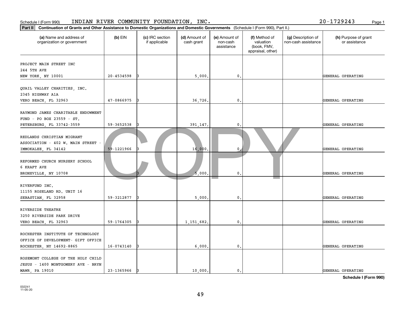| Schedule I (Form 990)                                                                                                                       |            | INDIAN RIVER COMMUNITY FOUNDATION, INC. |                             |                                         |                                                                |                                           | 20-1729243<br>Page 1                  |  |
|---------------------------------------------------------------------------------------------------------------------------------------------|------------|-----------------------------------------|-----------------------------|-----------------------------------------|----------------------------------------------------------------|-------------------------------------------|---------------------------------------|--|
| Continuation of Grants and Other Assistance to Domestic Organizations and Domestic Governments (Schedule I (Form 990), Part II.)<br>Part II |            |                                         |                             |                                         |                                                                |                                           |                                       |  |
| (a) Name and address of<br>organization or government                                                                                       | $(b)$ EIN  | (c) IRC section<br>if applicable        | (d) Amount of<br>cash grant | (e) Amount of<br>non-cash<br>assistance | (f) Method of<br>valuation<br>(book, FMV,<br>appraisal, other) | (g) Description of<br>non-cash assistance | (h) Purpose of grant<br>or assistance |  |
| PROJECT MAIN STREET INC<br>244 5TH AVE<br>NEW YORK, NY 10001                                                                                | 20-4534598 |                                         | 5,000                       | 0.                                      |                                                                |                                           | GENERAL OPERATING                     |  |
| QUAIL VALLEY CHARITIES, INC.<br>2345 HIGHWAY A1A<br>VERO BEACH, FL 32963                                                                    | 47-0866975 |                                         | 36,726.                     | 0.                                      |                                                                |                                           | GENERAL OPERATING                     |  |
| RAYMOND JAMES CHARITABLE ENDOWMENT<br>FUND - PO BOX 23559 - ST.<br>PETERSBURG, FL 33742-3559                                                | 59-3652538 |                                         | 391,147.                    | 0.                                      |                                                                |                                           | GENERAL OPERATING                     |  |
| REDLANDS CHRISTIAN MIGRANT<br>ASSOCIATION - 402 W. MAIN STREET -<br>IMMOKALEE, FL 34142                                                     | 59-1221966 |                                         | 16,000                      | $\mathbf{0}$                            |                                                                |                                           | GENERAL OPERATING                     |  |
| REFORMED CHURCH NURSERY SCHOOL<br>6 KRAFT AVE<br>BRONXVILLE, NY 10708                                                                       |            |                                         | 5.000                       | 0.                                      |                                                                |                                           | GENERAL OPERATING                     |  |
| RIVERFUND INC.<br>11155 ROSELAND RD. UNIT 16<br>SEBASTIAN, FL 32958                                                                         | 59-3212877 |                                         | 5,000                       | $\mathfrak o$ .                         |                                                                |                                           | GENERAL OPERATING                     |  |
| RIVERSIDE THEATRE<br>3250 RIVERSIDE PARK DRIVE<br>VERO BEACH FL 32963                                                                       | 59-1764305 |                                         | 1, 151, 682.                | 0.                                      |                                                                |                                           | GENERAL OPERATING                     |  |
| ROCHESTER INSTITUTE OF TECHNOLOGY<br>OFFICE OF DEVELOPMENT- GIFT OFFICE<br>ROCHESTER, NY 14692-8865                                         | 16-0743140 |                                         | 6,000                       | $\mathfrak{o}$ .                        |                                                                |                                           | GENERAL OPERATING                     |  |
| ROSEMONT COLLEGE OF THE HOLY CHILD<br>JESUS - 1400 MONTGOMERY AVE - BRYN<br>MAWR, PA 19010                                                  | 23-1365966 |                                         | 10,000.                     | $\mathbf{0}$ .                          |                                                                |                                           | GENERAL OPERATING                     |  |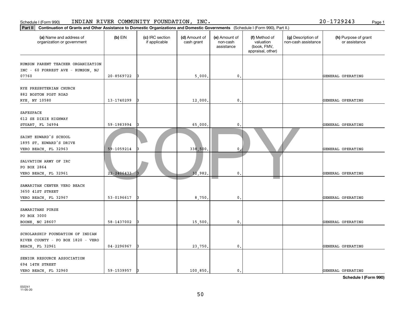| Part II<br>Continuation of Grants and Other Assistance to Domestic Organizations and Domestic Governments (Schedule I (Form 990), Part II.) |                |                                  |                             |                                         |                                                                |                                           |                                       |
|---------------------------------------------------------------------------------------------------------------------------------------------|----------------|----------------------------------|-----------------------------|-----------------------------------------|----------------------------------------------------------------|-------------------------------------------|---------------------------------------|
| (a) Name and address of<br>organization or government                                                                                       | $(b)$ EIN      | (c) IRC section<br>if applicable | (d) Amount of<br>cash grant | (e) Amount of<br>non-cash<br>assistance | (f) Method of<br>valuation<br>(book, FMV,<br>appraisal, other) | (g) Description of<br>non-cash assistance | (h) Purpose of grant<br>or assistance |
| RUMSON PARENT TEACHER ORGANIZATION<br>INC - 60 FORREST AVE - RUMSON, NJ                                                                     |                |                                  |                             |                                         |                                                                |                                           |                                       |
| 07760                                                                                                                                       | 20-8569722     |                                  | 5,000.                      | $\mathfrak o$ .                         |                                                                |                                           | GENERAL OPERATING                     |
| RYE PRESBYTERIAN CHURCH<br>882 BOSTON POST ROAD<br>RYE, NY 10580                                                                            | 13-1740299     | 13                               | 12,000                      | 0.                                      |                                                                |                                           | GENERAL OPERATING                     |
|                                                                                                                                             |                |                                  |                             |                                         |                                                                |                                           |                                       |
| SAFESPACE<br>612 SE DIXIE HIGHWAY                                                                                                           |                |                                  |                             |                                         |                                                                |                                           |                                       |
| STUART, FL 34994                                                                                                                            | 59-1983994     |                                  | 65,000.                     | $\mathbf{0}$                            |                                                                |                                           | GENERAL OPERATING                     |
| SAINT EDWARD'S SCHOOL<br>1895 ST. EDWARD'S DRIVE<br>VERO BEACH, FL 32963                                                                    | 59-1059214     |                                  | 338,500                     | $\mathbf{0}$                            |                                                                |                                           | GENERAL OPERATING                     |
| SALVATION ARMY OF IRC<br>PO BOX 2864<br>VERO BEACH, FL 32961                                                                                | $22 - 2406433$ |                                  | 32,982.                     | 0.                                      |                                                                |                                           | GENERAL OPERATING                     |
| SAMARITAN CENTER VERO BEACH<br>3650 41ST STREET                                                                                             |                |                                  |                             |                                         |                                                                |                                           |                                       |
| VERO BEACH, FL 32967                                                                                                                        | 53-0196617     |                                  | 8,750                       | $\mathfrak{o}$ .                        |                                                                |                                           | GENERAL OPERATING                     |
| SAMARITANS PURSE<br>PO BOX 3000                                                                                                             |                |                                  |                             |                                         |                                                                |                                           |                                       |
| BOONE, NC 28607                                                                                                                             | 58-1437002     | 13                               | 15,500.                     | $^{\circ}$ .                            |                                                                |                                           | GENERAL OPERATING                     |
| SCHOLARSHIP FOUNDATION OF INDIAN<br>RIVER COUNTY - PO BOX 1820 - VERO                                                                       |                |                                  |                             |                                         |                                                                |                                           |                                       |
| BEACH, FL 32961                                                                                                                             | 04-2296967     | 13                               | 23,750.                     | 0.                                      |                                                                |                                           | GENERAL OPERATING                     |
| SENIOR RESOURCE ASSOCIATION<br>694 14TH STREET                                                                                              |                |                                  |                             |                                         |                                                                |                                           |                                       |
| VERO BEACH, FL 32960                                                                                                                        | 59-1539957     | 13                               | 100,850.                    | $\mathbf{0}$ .                          |                                                                |                                           | GENERAL OPERATING                     |

Schedule I (Form 990) INDIAN RIVER COMMUNITY FOUNDATION, INC. Page 1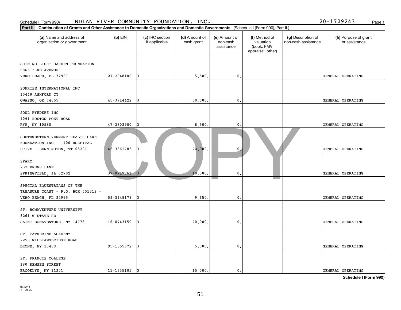| Schedule I (Form 990)                                                                                                                       |            | INDIAN RIVER COMMUNITY FOUNDATION, INC. |                             |                                         |                                                                |                                           | 20-1729243<br>Page 1                  |  |
|---------------------------------------------------------------------------------------------------------------------------------------------|------------|-----------------------------------------|-----------------------------|-----------------------------------------|----------------------------------------------------------------|-------------------------------------------|---------------------------------------|--|
| Continuation of Grants and Other Assistance to Domestic Organizations and Domestic Governments (Schedule I (Form 990), Part II.)<br>Part II |            |                                         |                             |                                         |                                                                |                                           |                                       |  |
| (a) Name and address of<br>organization or government                                                                                       | $(b)$ EIN  | (c) IRC section<br>if applicable        | (d) Amount of<br>cash grant | (e) Amount of<br>non-cash<br>assistance | (f) Method of<br>valuation<br>(book, FMV,<br>appraisal, other) | (g) Description of<br>non-cash assistance | (h) Purpose of grant<br>or assistance |  |
| SHINING LIGHT GARDEN FOUNDATION<br>6865 33RD AVENUE<br>VERO BEACH, FL 32967                                                                 | 27-2848106 |                                         | 5,500                       | 0.                                      |                                                                |                                           | GENERAL OPERATING                     |  |
| SONRISE INTERNATIONAL INC<br>10448 ASHFORD CT<br>OWASSO, OK 74055                                                                           | 45-3714422 |                                         | 30,000.                     | 0.                                      |                                                                |                                           | GENERAL OPERATING                     |  |
| SOUL RYEDERS INC<br>1091 BOSTON POST ROAD<br>RYE, NY 10580                                                                                  | 47-3803900 |                                         | 8,500                       | 0,                                      |                                                                |                                           | GENERAL OPERATING                     |  |
| SOUTHWESTERN VERMONT HEALTH CARE<br>FOUNDATION INC. - 100 HOSPITAL<br>DRIVE - BENNINGTON, VT 05201                                          | 45-3362785 |                                         | 20,000.                     | $\mathbf{0}$                            |                                                                |                                           | GENERAL OPERATING                     |  |
| SPARC<br>232 BRUNS LANE<br>SPRINGFIELD, IL 62702                                                                                            | 37-0717761 |                                         | 10,000                      | $\mathbf 0$ .                           |                                                                |                                           | GENERAL OPERATING                     |  |
| SPECIAL EQUESTRIANS OF THE<br>TREASURE COAST - P.O. BOX 651312 -<br>VERO BEACH, FL 32965                                                    | 59-3148178 |                                         | 9,650                       | 0.                                      |                                                                |                                           | GENERAL OPERATING                     |  |
| ST. BONAVENTURE UNIVERSITY<br>3261 W STATE RD<br>SAINT BONAVENTURE, NY 14778                                                                | 16-0743150 |                                         | 20,000                      | 0.                                      |                                                                |                                           | GENERAL OPERATING                     |  |
| ST. CATHERINE ACADEMY<br>2250 WILLIAMSBRIDGE ROAD<br>BRONX, NY 10469                                                                        | 95-1855672 |                                         | 5,000                       | 0.                                      |                                                                |                                           | GENERAL OPERATING                     |  |
| ST. FRANCIS COLLEGE<br>180 REMSEN STREET<br>BROOKLYN, NY 11201                                                                              | 11-1635105 |                                         | 15,000.                     | $\mathbf{0}$ .                          |                                                                |                                           | GENERAL OPERATING                     |  |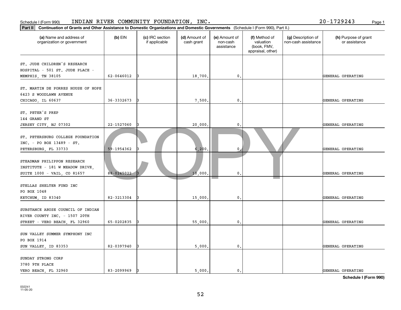| Schedule I (Form 990)                                                                                                                    |            | INDIAN RIVER COMMUNITY FOUNDATION, INC. |                             |                                         |                                                                |                                           | 20-1729243<br>Page 1                  |  |
|------------------------------------------------------------------------------------------------------------------------------------------|------------|-----------------------------------------|-----------------------------|-----------------------------------------|----------------------------------------------------------------|-------------------------------------------|---------------------------------------|--|
| Part II Continuation of Grants and Other Assistance to Domestic Organizations and Domestic Governments (Schedule I (Form 990), Part II.) |            |                                         |                             |                                         |                                                                |                                           |                                       |  |
| (a) Name and address of<br>organization or government                                                                                    | $(b)$ EIN  | (c) IRC section<br>if applicable        | (d) Amount of<br>cash grant | (e) Amount of<br>non-cash<br>assistance | (f) Method of<br>valuation<br>(book, FMV,<br>appraisal, other) | (g) Description of<br>non-cash assistance | (h) Purpose of grant<br>or assistance |  |
| ST. JUDE CHILDREN'S RESEARCH<br>HOSPITAL - 501 ST. JUDE PLACE -<br>MEMPHIS, TN 38105                                                     | 62-0646012 | 13                                      | 18,700                      | 0.                                      |                                                                |                                           | GENERAL OPERATING                     |  |
| ST. MARTIN DE PORRES HOUSE OF HOPE<br>6423 S WOODLAWN AVENUE<br>CHICAGO, IL 60637                                                        | 36-3332673 | 13                                      | 7,500                       | $\mathbf{0}$ .                          |                                                                |                                           | GENERAL OPERATING                     |  |
| ST. PETER'S PREP<br>144 GRAND ST<br>JERSEY CITY, NJ 07302                                                                                | 22-1527060 |                                         | 20,000                      | $\mathsf{o}\,.$                         |                                                                |                                           | GENERAL OPERATING                     |  |
| ST. PETERSBURG COLLEGE FOUNDATION<br>INC. - PO BOX 13489 - ST.<br>PETERSBURG, FL 33733                                                   | 59-1954362 |                                         | 6,200                       | $\mathbf{0}$                            |                                                                |                                           | GENERAL OPERATING                     |  |
| STEADMAN PHILIPPON RESEARCH<br>INSTITUTE - 181 W MEADOW DRIVE,<br>SUITE 1000 - VAIL, CO 81657                                            | 88-0245022 |                                         | 10,000                      | $\mathfrak{o}$ .                        |                                                                |                                           | GENERAL OPERATING                     |  |
| STELLAS SHELTER FUND INC<br>PO BOX 1048<br>KETCHUM, ID 83340                                                                             | 82-3213304 |                                         | 15,000                      | $\mathsf{0}$ .                          |                                                                |                                           | GENERAL OPERATING                     |  |
| SUBSTANCE ABUSE COUNCIL OF INDIAN<br>RIVER COUNTY INC. - 1507 20TH<br>STREET - VERO BEACH, FL 32960                                      | 65-0202835 |                                         | 55,000                      | 0.                                      |                                                                |                                           | GENERAL OPERATING                     |  |
| SUN VALLEY SUMMER SYMPHONY INC<br>PO BOX 1914<br>SUN VALLEY, ID 83353                                                                    | 82-0397940 |                                         | 5,000                       | $\mathbf{0}$ .                          |                                                                |                                           | GENERAL OPERATING                     |  |
| SUNDAY STRONG CORP<br>3780 9TH PLACE<br>VERO BEACH, FL 32960                                                                             | 83-2099969 |                                         | 5,000.                      | $\mathbf{0}$ .                          |                                                                |                                           | GENERAL OPERATING                     |  |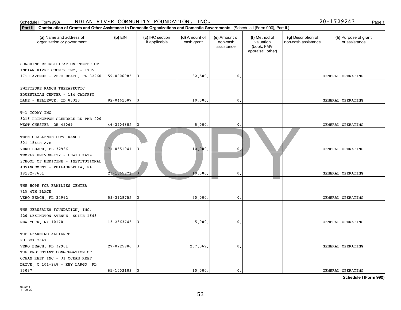| Part II   Continuation of Grants and Other Assistance to Domestic Organizations and Domestic Governments (Schedule I (Form 990), Part II.) |            |                                  |                             |                                         |                                                                |                                           |                                       |
|--------------------------------------------------------------------------------------------------------------------------------------------|------------|----------------------------------|-----------------------------|-----------------------------------------|----------------------------------------------------------------|-------------------------------------------|---------------------------------------|
| (a) Name and address of<br>organization or government                                                                                      | $(b)$ EIN  | (c) IRC section<br>if applicable | (d) Amount of<br>cash grant | (e) Amount of<br>non-cash<br>assistance | (f) Method of<br>valuation<br>(book, FMV,<br>appraisal, other) | (g) Description of<br>non-cash assistance | (h) Purpose of grant<br>or assistance |
| SUNSHINE REHABILITATION CENTER OF<br>INDIAN RIVER COUNTY INC. - 1705                                                                       |            |                                  |                             |                                         |                                                                |                                           |                                       |
| 17TH AVENUE - VERO BEACH, FL 32960                                                                                                         | 59-0806983 |                                  | 32,500.                     | $\mathbf{0}$ .                          |                                                                |                                           | GENERAL OPERATING                     |
| SWIFTSURE RANCH THERAPEUTIC<br>EQUESTRIAN CENTER - 114 CALYPSO<br>LANE - BELLEVUE, ID 83313                                                | 82-0461587 |                                  | 10,000                      | $\mathbf 0$ .                           |                                                                |                                           | GENERAL OPERATING                     |
| T-1 TODAY INC<br>8216 PRINCETON GLENDALE RD PMB 200<br>WEST CHESTER, OH 45069                                                              | 46-3704802 |                                  | 5,000                       | 0.                                      |                                                                |                                           | GENERAL OPERATING                     |
| TEEN CHALLENGE BOYS RANCH<br>801 154TH AVE<br>VERO BEACH, FL 32966                                                                         | 71-0551941 |                                  | 10,000                      | $\mathbf 0$                             |                                                                |                                           | GENERAL OPERATING                     |
| TEMPLE UNIVERSITY - LEWIS KATZ<br>SCHOOL OF MEDICINE - INSTITUTIONAL<br>ADVANCEMENT - PHILADELPHIA, PA<br>19182-7651                       | 23-1365971 |                                  | 10,000                      | $\mathbf{0}$                            |                                                                |                                           | GENERAL OPERATING                     |
| THE HOPE FOR FAMILIES CENTER<br>715 4TH PLACE<br>VERO BEACH, FL 32962                                                                      | 59-3129752 |                                  | 50,000                      | $\mathbf{0}$                            |                                                                |                                           | GENERAL OPERATING                     |
| THE JERUSALEM FOUNDATION, INC.<br>420 LEXINGTON AVENUE, SUITE 1645<br>NEW YORK, NY 10170                                                   | 13-2563745 |                                  | 5,000                       | 0.                                      |                                                                |                                           | GENERAL OPERATING                     |
| THE LEARNING ALLIANCE<br>PO BOX 2647                                                                                                       |            |                                  |                             |                                         |                                                                |                                           |                                       |
| VERO BEACH, FL 32961<br>THE PROTESTANT CONGREGATION OF<br>OCEAN REEF INC - 31 OCEAN REEF<br>DRIVE, C 101-248 - KEY LARGO, FL               | 27-0725986 |                                  | 207,867.                    | $\mathbf{0}$ .                          |                                                                |                                           | GENERAL OPERATING                     |
| 33037                                                                                                                                      | 65-1002109 |                                  | 10,000.                     | $\mathbf{0}$ .                          |                                                                |                                           | GENERAL OPERATING                     |

Schedule I (Form 990) INDIAN RIVER COMMUNITY FOUNDATION, INC. Page 1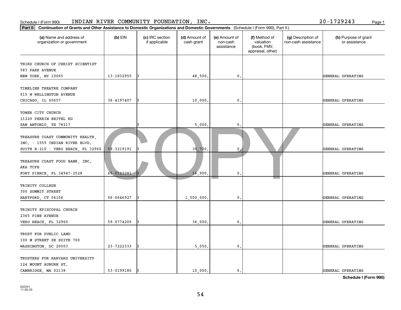| Part II                                                                                                  | Continuation of Grants and Other Assistance to Domestic Organizations and Domestic Governments (Schedule I (Form 990), Part II.) |                                  |                             |                                         |                                                                |                                           |                                       |  |  |
|----------------------------------------------------------------------------------------------------------|----------------------------------------------------------------------------------------------------------------------------------|----------------------------------|-----------------------------|-----------------------------------------|----------------------------------------------------------------|-------------------------------------------|---------------------------------------|--|--|
| (a) Name and address of<br>organization or government                                                    | $(b)$ EIN                                                                                                                        | (c) IRC section<br>if applicable | (d) Amount of<br>cash grant | (e) Amount of<br>non-cash<br>assistance | (f) Method of<br>valuation<br>(book, FMV,<br>appraisal, other) | (g) Description of<br>non-cash assistance | (h) Purpose of grant<br>or assistance |  |  |
| THIRD CHURCH OF CHRIST SCIENTIST<br>583 PARK AVENUE<br>NEW YORK, NY 10065                                | 13-1832955                                                                                                                       |                                  | 48,500                      | 0.                                      |                                                                |                                           | GENERAL OPERATING                     |  |  |
| TIMELINE THEATRE COMPANY<br>615 W WELLINGTON AVENUE<br>CHICAGO, IL 60657                                 | 36-4197407                                                                                                                       |                                  | 10,000                      | $\mathbf{0}$                            |                                                                |                                           | GENERAL OPERATING                     |  |  |
| TOWER CITY CHURCH<br>11220 PERRIN BEITEL RD<br>SAN ANTONIO, TX 78217                                     |                                                                                                                                  |                                  | 5,000                       | $\mathbf{0}$                            |                                                                |                                           | GENERAL OPERATING                     |  |  |
| TREASURE COAST COMMUNITY HEALTH,<br>INC. - 1555 INDIAN RIVER BLVD.<br>SUITE B-210 - VERO BEACH, FL 32960 | 59-3219191                                                                                                                       |                                  | 30,700                      | $\mathbf 0$                             |                                                                |                                           | GENERAL OPERATING                     |  |  |
| TREASURE COAST FOOD BANK, INC.<br>AKA TCFB<br>FORT PIERCE, FL 34947-2528                                 | 65-0123281                                                                                                                       |                                  | 16,900                      | $\mathbf 0$ .                           |                                                                |                                           | GENERAL OPERATING                     |  |  |
| TRINITY COLLEGE<br>300 SUMMIT STREET<br>HARTFORD, CT 06106                                               | 06-0646927                                                                                                                       |                                  | 1,500,000                   | $\mathbf{0}$ .                          |                                                                |                                           | GENERAL OPERATING                     |  |  |
| TRINITY EPISCOPAL CHURCH<br>2365 PINE AVENUE<br>VERO BEACH, FL 32960                                     | 59-0774209                                                                                                                       |                                  | 36,000                      | 0.                                      |                                                                |                                           | GENERAL OPERATING                     |  |  |
| TRUST FOR PUBLIC LAND<br>100 M STREET SE SUITE 700<br>WASHINGTON, DC 20003                               | 23-7222333                                                                                                                       |                                  | 5,050.                      | $\mathbf{0}$ .                          |                                                                |                                           | GENERAL OPERATING                     |  |  |
| TRUSTEES FOR HARVARD UNIVERSITY<br>124 MOUNT AUBURN ST.<br>CAMBRIDGE, MA 02138                           | 53-0199180                                                                                                                       |                                  | 10,000                      | $\mathfrak{o}$ .                        |                                                                |                                           | GENERAL OPERATING                     |  |  |

### Schedule I (Form 990) INDIAN RIVER COMMUNITY FOUNDATION, INC. Page 1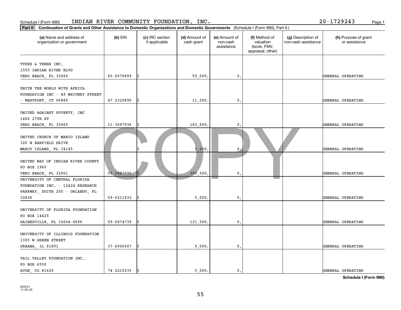| Schedule I (Form 990)                                                                                                                       |            | INDIAN RIVER COMMUNITY FOUNDATION, INC. |                             |                                         |                                                                |                                           | 20-1729243<br>Page 1                  |  |
|---------------------------------------------------------------------------------------------------------------------------------------------|------------|-----------------------------------------|-----------------------------|-----------------------------------------|----------------------------------------------------------------|-------------------------------------------|---------------------------------------|--|
| Continuation of Grants and Other Assistance to Domestic Organizations and Domestic Governments (Schedule I (Form 990), Part II.)<br>Part II |            |                                         |                             |                                         |                                                                |                                           |                                       |  |
| (a) Name and address of<br>organization or government                                                                                       | $(b)$ EIN  | (c) IRC section<br>if applicable        | (d) Amount of<br>cash grant | (e) Amount of<br>non-cash<br>assistance | (f) Method of<br>valuation<br>(book, FMV,<br>appraisal, other) | (g) Description of<br>non-cash assistance | (h) Purpose of grant<br>or assistance |  |
| TYKES & TEENS INC.<br>1555 INDIAN RIVER BLVD<br>VERO BEACH, FL 32960                                                                        | 65-0570899 |                                         | 55,000.                     | 0.                                      |                                                                |                                           | GENERAL OPERATING                     |  |
| UNITE THE WORLD WITH AFRICA<br>FOUNDATION INC - 49 WHITNEY STREET<br>$-$ WESTPORT, CT 06880                                                 | 47-2329890 |                                         | 11,000.                     | 0.                                      |                                                                |                                           | GENERAL OPERATING                     |  |
| UNITED AGAINST POVERTY, INC<br>1400 27TH ST<br>VERO BEACH, FL 32960                                                                         | 11-3697936 |                                         | 182,600.                    | 0.                                      |                                                                |                                           | GENERAL OPERATING                     |  |
| UNITED CHURCH OF MARCO ISLAND<br>320 N BARFIELD DRIVE<br>MARCO ISLAND, FL 34145                                                             |            |                                         | 5,000.                      | $\mathbf 0$                             |                                                                |                                           | GENERAL OPERATING                     |  |
| UNITED WAY OF INDIAN RIVER COUNTY<br>PO BOX 1960<br>VERO BEACH, FL 32961                                                                    | 59-1087090 |                                         | 300,500                     | $\mathbf{0}$ .                          |                                                                |                                           | GENERAL OPERATING                     |  |
| UNIVERSITY OF CENTRAL FLORIDA<br>FOUNDATION INC. - 12424 RESEARCH<br>PARKWAY, SUITE 250 - ORLANDO, FL<br>32826                              | 59-6211832 |                                         | 5,000.                      | 0.                                      |                                                                |                                           | GENERAL OPERATING                     |  |
| UNIVERSITY OF FLORIDA FOUNDATION<br>PO BOX 14425<br>GAINESVILLE, FL 32604-0696                                                              | 59-0974739 |                                         | 121,500.                    | 0.                                      |                                                                |                                           | GENERAL OPERATING                     |  |
| UNIVERSITY OF ILLINOIS FOUNDATION<br>1305 W GREEN STREET<br>URBANA, IL 61801                                                                | 37-6006007 |                                         | 5,000,                      | 0.                                      |                                                                |                                           | GENERAL OPERATING                     |  |
| VAIL VALLEY FOUNDATION INC.<br>PO BOX 6550<br>AVON, CO 81620                                                                                | 74-2215035 |                                         | 5,000.                      | $\mathbf{0}$ .                          |                                                                |                                           | GENERAL OPERATING                     |  |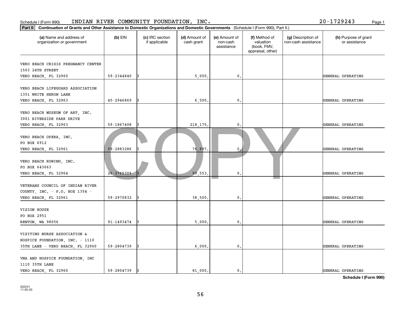| Part II                                                                                             | Continuation of Grants and Other Assistance to Domestic Organizations and Domestic Governments (Schedule I (Form 990), Part II.) |                                  |                             |                                         |                                                                |                                           |                                       |  |  |
|-----------------------------------------------------------------------------------------------------|----------------------------------------------------------------------------------------------------------------------------------|----------------------------------|-----------------------------|-----------------------------------------|----------------------------------------------------------------|-------------------------------------------|---------------------------------------|--|--|
| (a) Name and address of<br>organization or government                                               | $(b)$ EIN                                                                                                                        | (c) IRC section<br>if applicable | (d) Amount of<br>cash grant | (e) Amount of<br>non-cash<br>assistance | (f) Method of<br>valuation<br>(book, FMV,<br>appraisal, other) | (g) Description of<br>non-cash assistance | (h) Purpose of grant<br>or assistance |  |  |
| VERO BEACH CRISIS PREGNANCY CENTER<br>1503 24TH STREET<br>VERO BEACH, FL 32960                      | 59-2344840                                                                                                                       |                                  | 5,000                       | $\mathfrak o$ .                         |                                                                |                                           | GENERAL OPERATING                     |  |  |
| VERO BEACH LIFEGUARD ASSOCIATION<br>1351 WHITE HERON LANE<br>VERO BEACH, FL 32963                   | 45-2946869                                                                                                                       |                                  | 6,500                       | $\mathbf{0}$ .                          |                                                                |                                           | GENERAL OPERATING                     |  |  |
| VERO BEACH MUSEUM OF ART, INC.<br>3001 RIVERSIDE PARK DRIVE<br>VERO BEACH, FL 32963                 | 59-1867408                                                                                                                       |                                  | 218, 175.                   | 0                                       |                                                                |                                           | GENERAL OPERATING                     |  |  |
| VERO BEACH OPERA, INC.<br>PO BOX 6912<br>VERO BEACH, FL 32961                                       | 59-2883286                                                                                                                       |                                  | 76,897.                     | 0                                       |                                                                |                                           | GENERAL OPERATING                     |  |  |
| VERO BEACH ROWING, INC.<br>PO BOX 643063<br>VERO BEACH, FL 32964                                    | $26 - 2765309$                                                                                                                   |                                  | 99,553                      | $\mathbf{0}$                            |                                                                |                                           | GENERAL OPERATING                     |  |  |
| VETERANS COUNCIL OF INDIAN RIVER<br>COUNTY, INC. - P.O. BOX 1354 -<br>VERO BEACH, FL 32961          | 59-2970832                                                                                                                       |                                  | 38,500                      | $\mathbf{0}$ .                          |                                                                |                                           | GENERAL OPERATING                     |  |  |
| VISION HOUSE<br>PO BOX 2951<br>RENTON, WA 98056                                                     | 91-1493474                                                                                                                       |                                  | 5,000.                      | $\mathfrak o$ .                         |                                                                |                                           | GENERAL OPERATING                     |  |  |
| VISITING NURSE ASSOCIATION &<br>HOSPICE FOUNDATION, INC. - 1110<br>35TH LANE - VERO BEACH, FL 32960 | 59-2804739                                                                                                                       |                                  | 6,000.                      | $\mathsf{0}$ .                          |                                                                |                                           | GENERAL OPERATING                     |  |  |
| VNA AND HOSPICE FOUNDATION, INC<br>1110 35TH LANE<br>VERO BEACH, FL 32960                           | 59-2804739                                                                                                                       |                                  | 81,000.                     | 0.                                      |                                                                |                                           | GENERAL OPERATING                     |  |  |

### Schedule I (Form 990) INDIAN RIVER COMMUNITY FOUNDATION, INC. Page 1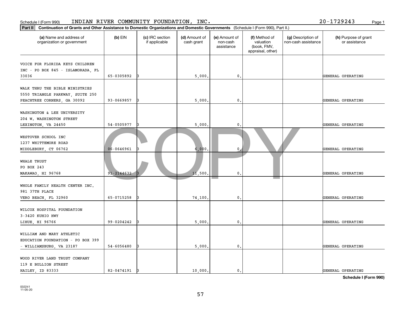| INDIAN RIVER COMMUNITY FOUNDATION, INC.<br>20-1729243<br>Schedule I (Form 990)<br>Page 1                                                    |                                                                                                                                                                                           |  |                                           |                                       |  |  |                   |  |
|---------------------------------------------------------------------------------------------------------------------------------------------|-------------------------------------------------------------------------------------------------------------------------------------------------------------------------------------------|--|-------------------------------------------|---------------------------------------|--|--|-------------------|--|
| Continuation of Grants and Other Assistance to Domestic Organizations and Domestic Governments (Schedule I (Form 990), Part II.)<br>Part II |                                                                                                                                                                                           |  |                                           |                                       |  |  |                   |  |
| (a) Name and address of<br>organization or government                                                                                       | (c) IRC section<br>(d) Amount of<br>$(b)$ EIN<br>(e) Amount of<br>(f) Method of<br>if applicable<br>cash grant<br>non-cash<br>valuation<br>assistance<br>(book, FMV,<br>appraisal, other) |  | (g) Description of<br>non-cash assistance | (h) Purpose of grant<br>or assistance |  |  |                   |  |
| VOICE FOR FLORIDA KEYS CHILDREN<br>INC - PO BOX 845 - ISLAMORADA, FL<br>33036                                                               | 65-0305892                                                                                                                                                                                |  | 5,000                                     | 0.                                    |  |  | GENERAL OPERATING |  |
| WALK THRU THE BIBLE MINISTRIES<br>5550 TRIANGLE PARKWAY, SUITE 250<br>PEACHTREE CORNERS, GA 30092                                           | 93-0669857                                                                                                                                                                                |  | 5,000.                                    | 0.                                    |  |  | GENERAL OPERATING |  |
| WASHINGTON & LEE UNIVERSITY<br>204 W. WASHINGTON STREET<br>LEXINGTON, VA 24450                                                              | 54-0505977                                                                                                                                                                                |  | 5,000.                                    | 0.                                    |  |  | GENERAL OPERATING |  |
| WESTOVER SCHOOL INC<br>1237 WHITTEMORE ROAD<br>MIDDLEBURY, CT 06762                                                                         | 06-0646961                                                                                                                                                                                |  | 6,000,                                    | $\mathbf{0}$                          |  |  | GENERAL OPERATING |  |
| <b>WHALE TRUST</b><br>PO BOX 243<br>MAKAWAO, HI 96768                                                                                       | $91 - 2144632$                                                                                                                                                                            |  | 11,500                                    | $\mathbf{0}$ .                        |  |  | GENERAL OPERATING |  |
| WHOLE FAMILY HEALTH CENTER INC.<br>981 37TH PLACE<br>VERO BEACH, FL 32960                                                                   | 65-0715258                                                                                                                                                                                |  | 74,100.                                   | 0.                                    |  |  | GENERAL OPERATING |  |
| WILCOX HOSPITAL FOUNDATION<br>3-3420 KUHIO HWY<br>LIHUE, HI 96766                                                                           | 99-0204242                                                                                                                                                                                |  | 5,000                                     | 0.                                    |  |  | GENERAL OPERATING |  |
| WILLIAM AND MARY ATHLETIC<br>EDUCATION FOUNDATION - PO BOX 399<br>- WILLIAMSBURG, VA 23187                                                  | 54-6056480                                                                                                                                                                                |  | 5,000                                     | 0.                                    |  |  | GENERAL OPERATING |  |
| WOOD RIVER LAND TRUST COMPANY<br>119 E BULLION STREET<br>HAILEY, ID 83333                                                                   | 82-0474191                                                                                                                                                                                |  | 10,000.                                   | 0.                                    |  |  | GENERAL OPERATING |  |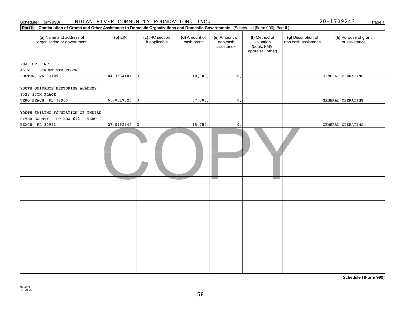| INDIAN RIVER COMMUNITY FOUNDATION, INC.<br>Schedule I (Form 990)                                                                            |                                                                                                                                                                                           | $20 - 1729243$<br>Page 1 |                                           |                                       |  |  |                   |
|---------------------------------------------------------------------------------------------------------------------------------------------|-------------------------------------------------------------------------------------------------------------------------------------------------------------------------------------------|--------------------------|-------------------------------------------|---------------------------------------|--|--|-------------------|
| Continuation of Grants and Other Assistance to Domestic Organizations and Domestic Governments (Schedule I (Form 990), Part II.)<br>Part II |                                                                                                                                                                                           |                          |                                           |                                       |  |  |                   |
| (a) Name and address of<br>organization or government                                                                                       | $(b)$ EIN<br>(d) Amount of<br>(e) Amount of<br>(c) IRC section<br>(f) Method of<br>if applicable<br>cash grant<br>valuation<br>non-cash<br>assistance<br>(book, FMV,<br>appraisal, other) |                          | (g) Description of<br>non-cash assistance | (h) Purpose of grant<br>or assistance |  |  |                   |
| YEAR UP, INC<br>45 MILK STREET 9TH FLOOR<br>BOSTON, MA 02109                                                                                | $04 - 3534407$                                                                                                                                                                            | 13                       | 10,000.                                   | $\mathsf{0}\,.$                       |  |  | GENERAL OPERATING |
| YOUTH GUIDANCE MENTORING ACADEMY<br>1028 20TH PLACE<br>VERO BEACH, FL 32960                                                                 | 65-0017325                                                                                                                                                                                |                          | 57,500.                                   | $\mathbf{0}$ .                        |  |  | GENERAL OPERATING |
| YOUTH SAILING FOUNDATION OF INDIAN<br>RIVER COUNTY - PO BOX 612 - VERO                                                                      |                                                                                                                                                                                           |                          |                                           |                                       |  |  |                   |
| BEACH, FL 32961                                                                                                                             | 27-0952942                                                                                                                                                                                |                          | 15,750.                                   | $\mathbf{0}$ .                        |  |  | GENERAL OPERATING |
|                                                                                                                                             |                                                                                                                                                                                           |                          |                                           |                                       |  |  |                   |
|                                                                                                                                             |                                                                                                                                                                                           |                          |                                           |                                       |  |  |                   |
|                                                                                                                                             |                                                                                                                                                                                           |                          |                                           |                                       |  |  |                   |
|                                                                                                                                             |                                                                                                                                                                                           |                          |                                           |                                       |  |  |                   |
|                                                                                                                                             |                                                                                                                                                                                           |                          |                                           |                                       |  |  |                   |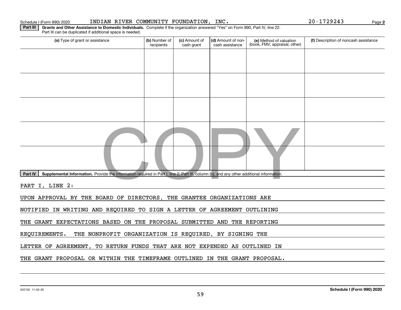#### 032102 11-02-20

| Schedule I (Form 990) 2020 |  |  |  |
|----------------------------|--|--|--|
|----------------------------|--|--|--|

| Part III can be duplicated if additional space is needed. |  |
|-----------------------------------------------------------|--|

**Part III | Grants and Other Assistance to Domestic Individuals. Complete if the organization answered "Yes" on Form 990, Part IV, line 22.** 

| (a) Type of grant or assistance                                                                                                                      | (b) Number of<br>recipients | (c) Amount of<br>cash grant | (d) Amount of non-<br>cash assistance | (e) Method of valuation<br>(book, FMV, appraisal, other) | (f) Description of noncash assistance |  |  |  |
|------------------------------------------------------------------------------------------------------------------------------------------------------|-----------------------------|-----------------------------|---------------------------------------|----------------------------------------------------------|---------------------------------------|--|--|--|
|                                                                                                                                                      |                             |                             |                                       |                                                          |                                       |  |  |  |
|                                                                                                                                                      |                             |                             |                                       |                                                          |                                       |  |  |  |
|                                                                                                                                                      |                             |                             |                                       |                                                          |                                       |  |  |  |
|                                                                                                                                                      |                             |                             |                                       |                                                          |                                       |  |  |  |
|                                                                                                                                                      |                             |                             |                                       |                                                          |                                       |  |  |  |
|                                                                                                                                                      |                             |                             |                                       |                                                          |                                       |  |  |  |
|                                                                                                                                                      |                             |                             |                                       |                                                          |                                       |  |  |  |
|                                                                                                                                                      |                             |                             |                                       |                                                          |                                       |  |  |  |
| Part IV<br>Supplemental Information. Provide the information required in Part I, line 2; Part III, column (b); and any other additional information. |                             |                             |                                       |                                                          |                                       |  |  |  |
| PART I, LINE 2:                                                                                                                                      |                             |                             |                                       |                                                          |                                       |  |  |  |
| UPON APPROVAL BY THE BOARD OF DIRECTORS, THE GRANTEE ORGANIZATIONS ARE                                                                               |                             |                             |                                       |                                                          |                                       |  |  |  |
| NOTIFIED IN WRITING AND REQUIRED TO SIGN A LETTER OF AGREEMENT OUTLINING                                                                             |                             |                             |                                       |                                                          |                                       |  |  |  |
| THE GRANT EXPECTATIONS BASED ON THE PROPOSAL SUBMITTED AND THE REPORTING                                                                             |                             |                             |                                       |                                                          |                                       |  |  |  |
| REQUIREMENTS.<br>THE NONPROFIT ORGANIZATION IS REQUIRED, BY SIGNING THE                                                                              |                             |                             |                                       |                                                          |                                       |  |  |  |
| LETTER OF AGREEMENT, TO RETURN FUNDS THAT ARE NOT EXPENDED AS OUTLINED IN                                                                            |                             |                             |                                       |                                                          |                                       |  |  |  |
| THE GRANT PROPOSAL OR WITHIN THE TIMEFRAME OUTLINED IN THE GRANT PROPOSAL.                                                                           |                             |                             |                                       |                                                          |                                       |  |  |  |

59

**2**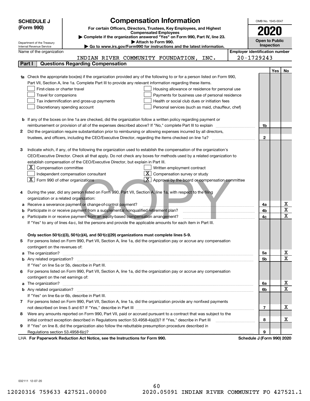|    | <b>Compensation Information</b><br><b>SCHEDULE J</b>                                                                                                    |                                       | OMB No. 1545-0047          |     |                             |
|----|---------------------------------------------------------------------------------------------------------------------------------------------------------|---------------------------------------|----------------------------|-----|-----------------------------|
|    | (Form 990)<br>For certain Officers, Directors, Trustees, Key Employees, and Highest                                                                     |                                       |                            |     |                             |
|    | <b>Compensated Employees</b>                                                                                                                            |                                       |                            |     |                             |
|    | Complete if the organization answered "Yes" on Form 990, Part IV, line 23.                                                                              |                                       | Open to Public             |     |                             |
|    | Attach to Form 990.<br>Department of the Treasury<br>Go to www.irs.gov/Form990 for instructions and the latest information.<br>Internal Revenue Service |                                       | Inspection                 |     |                             |
|    | Name of the organization                                                                                                                                | <b>Employer identification number</b> |                            |     |                             |
|    | INDIAN RIVER COMMUNITY FOUNDATION, INC.                                                                                                                 |                                       | 20-1729243                 |     |                             |
|    | <b>Questions Regarding Compensation</b><br>Part I                                                                                                       |                                       |                            |     |                             |
|    |                                                                                                                                                         |                                       |                            | Yes | No                          |
|    | 1a Check the appropriate box(es) if the organization provided any of the following to or for a person listed on Form 990,                               |                                       |                            |     |                             |
|    | Part VII, Section A, line 1a. Complete Part III to provide any relevant information regarding these items.                                              |                                       |                            |     |                             |
|    | First-class or charter travel<br>Housing allowance or residence for personal use                                                                        |                                       |                            |     |                             |
|    | Travel for companions<br>Payments for business use of personal residence                                                                                |                                       |                            |     |                             |
|    | Tax indemnification and gross-up payments<br>Health or social club dues or initiation fees                                                              |                                       |                            |     |                             |
|    | Discretionary spending account<br>Personal services (such as maid, chauffeur, chef)                                                                     |                                       |                            |     |                             |
|    |                                                                                                                                                         |                                       |                            |     |                             |
|    | <b>b</b> If any of the boxes on line 1a are checked, did the organization follow a written policy regarding payment or                                  |                                       |                            |     |                             |
|    | reimbursement or provision of all of the expenses described above? If "No," complete Part III to explain                                                |                                       | 1b                         |     |                             |
| 2  | Did the organization require substantiation prior to reimbursing or allowing expenses incurred by all directors,                                        |                                       |                            |     |                             |
|    |                                                                                                                                                         |                                       | $\mathbf{2}$               |     |                             |
|    |                                                                                                                                                         |                                       |                            |     |                             |
| з  | Indicate which, if any, of the following the organization used to establish the compensation of the organization's                                      |                                       |                            |     |                             |
|    | CEO/Executive Director. Check all that apply. Do not check any boxes for methods used by a related organization to                                      |                                       |                            |     |                             |
|    | establish compensation of the CEO/Executive Director, but explain in Part III.                                                                          |                                       |                            |     |                             |
|    | - X I<br>Compensation committee<br>Written employment contract                                                                                          |                                       |                            |     |                             |
|    | $X \mid$<br>Compensation survey or study<br>Independent compensation consultant                                                                         |                                       |                            |     |                             |
|    | $\boxed{\textbf{X}}$ Form 990 of other organizations<br>Approval by the board or compensation committee                                                 |                                       |                            |     |                             |
|    |                                                                                                                                                         |                                       |                            |     |                             |
|    | During the year, did any person listed on Form 990, Part VII, Section A, line 1a, with respect to the filing                                            |                                       |                            |     |                             |
|    | organization or a related organization:                                                                                                                 |                                       |                            |     |                             |
|    | Receive a severance payment or change-of-control payment?                                                                                               |                                       | 4a                         |     | $\underline{x}$             |
|    | Participate in or receive payment from a supplemental nonqualified retirement plan?                                                                     |                                       | 4b                         |     | $\overline{\mathtt{x}}$     |
| с  | Participate in or receive payment from an equity-based compensation arrangement?                                                                        |                                       | 4c                         |     | $\overline{\text{x}}$       |
|    | If "Yes" to any of lines 4a-c, list the persons and provide the applicable amounts for each item in Part III.                                           |                                       |                            |     |                             |
|    |                                                                                                                                                         |                                       |                            |     |                             |
|    | Only section 501(c)(3), 501(c)(4), and 501(c)(29) organizations must complete lines 5-9.                                                                |                                       |                            |     |                             |
| 5. | For persons listed on Form 990, Part VII, Section A, line 1a, did the organization pay or accrue any compensation                                       |                                       |                            |     |                             |
|    | contingent on the revenues of:                                                                                                                          |                                       |                            |     |                             |
|    |                                                                                                                                                         |                                       | 5a                         |     | $\frac{\text{X}}{\text{X}}$ |
|    |                                                                                                                                                         |                                       | 5b                         |     |                             |
|    | If "Yes" on line 5a or 5b, describe in Part III.                                                                                                        |                                       |                            |     |                             |
| 6. | For persons listed on Form 990, Part VII, Section A, line 1a, did the organization pay or accrue any compensation                                       |                                       |                            |     |                             |
|    | contingent on the net earnings of:                                                                                                                      |                                       |                            |     |                             |
|    |                                                                                                                                                         |                                       | 6a                         |     | <u>x</u>                    |
|    |                                                                                                                                                         |                                       | 6b                         |     | $\overline{\mathtt{x}}$     |
|    | If "Yes" on line 6a or 6b, describe in Part III.                                                                                                        |                                       |                            |     |                             |
|    | 7 For persons listed on Form 990, Part VII, Section A, line 1a, did the organization provide any nonfixed payments                                      |                                       |                            |     |                             |
|    |                                                                                                                                                         |                                       | 7                          |     | x                           |
| 8  | Were any amounts reported on Form 990, Part VII, paid or accrued pursuant to a contract that was subject to the                                         |                                       |                            |     |                             |
|    | initial contract exception described in Regulations section 53.4958-4(a)(3)? If "Yes," describe in Part III                                             |                                       | 8                          |     | x                           |
| 9  | If "Yes" on line 8, did the organization also follow the rebuttable presumption procedure described in                                                  |                                       |                            |     |                             |
|    | Regulations section 53.4958-6(c)?                                                                                                                       |                                       | 9                          |     |                             |
|    | LHA For Paperwork Reduction Act Notice, see the Instructions for Form 990.                                                                              |                                       | Schedule J (Form 990) 2020 |     |                             |

032111 12-07-20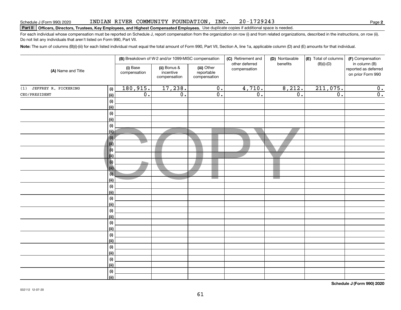#### INDIAN RIVER COMMUNITY FOUNDATION, INC. 20-1729243

**2**

## **Part II Officers, Directors, Trustees, Key Employees, and Highest Compensated Employees.**  Schedule J (Form 990) 2020 Page Use duplicate copies if additional space is needed.

For each individual whose compensation must be reported on Schedule J, report compensation from the organization on row (i) and from related organizations, described in the instructions, on row (ii). Do not list any individuals that aren't listed on Form 990, Part VII.

**Note:**  The sum of columns (B)(i)-(iii) for each listed individual must equal the total amount of Form 990, Part VII, Section A, line 1a, applicable column (D) and (E) amounts for that individual.

| (A) Name and Title          |                            |                                                                                                    | (B) Breakdown of W-2 and/or 1099-MISC compensation |                  | (C) Retirement and<br>other deferred | (D) Nontaxable<br>benefits | (E) Total of columns | (F) Compensation                                           |  |
|-----------------------------|----------------------------|----------------------------------------------------------------------------------------------------|----------------------------------------------------|------------------|--------------------------------------|----------------------------|----------------------|------------------------------------------------------------|--|
|                             |                            | (i) Base<br>(ii) Bonus &<br>(iii) Other<br>incentive<br>reportable<br>compensation<br>compensation |                                                    | compensation     | compensation                         |                            | $(B)(i)-(D)$         | in column (B)<br>reported as deferred<br>on prior Form 990 |  |
| JEFFREY R. PICKERING<br>(1) | (i)                        | 180,915.                                                                                           | 17,238.                                            | $\overline{0}$ . | 4,710.                               | 8,212.                     | 211,075.             | $\overline{0}$ .                                           |  |
| CEO/PRESIDENT               | $\overline{(\mathsf{ii})}$ | $\overline{0}$ .                                                                                   | $\overline{0}$ .                                   | $\overline{0}$ . | $\overline{0}$ .                     | $\overline{0}$ .           | $\overline{0}$ .     | $\overline{\mathbf{0}}$ .                                  |  |
|                             | (i)                        |                                                                                                    |                                                    |                  |                                      |                            |                      |                                                            |  |
|                             | (ii)                       |                                                                                                    |                                                    |                  |                                      |                            |                      |                                                            |  |
|                             | (i)                        |                                                                                                    |                                                    |                  |                                      |                            |                      |                                                            |  |
|                             | (ii)                       |                                                                                                    |                                                    |                  |                                      |                            |                      |                                                            |  |
|                             | (i)                        |                                                                                                    |                                                    |                  |                                      |                            |                      |                                                            |  |
|                             | (ii)                       |                                                                                                    |                                                    |                  |                                      |                            |                      |                                                            |  |
|                             | (i)                        |                                                                                                    |                                                    |                  |                                      |                            |                      |                                                            |  |
|                             | $\vert$ (ii)               |                                                                                                    |                                                    |                  |                                      |                            |                      |                                                            |  |
|                             | $\vert$ (i)                |                                                                                                    |                                                    |                  |                                      |                            |                      |                                                            |  |
|                             | $\overline{v}$             |                                                                                                    |                                                    |                  |                                      |                            |                      |                                                            |  |
|                             | $ $ (i)                    |                                                                                                    |                                                    |                  |                                      |                            |                      |                                                            |  |
|                             | (ii)<br>(i)                |                                                                                                    |                                                    |                  |                                      |                            |                      |                                                            |  |
|                             | (ii)                       |                                                                                                    |                                                    |                  |                                      | <b>Contract Contract</b>   |                      |                                                            |  |
|                             | (i)                        |                                                                                                    |                                                    |                  |                                      |                            |                      |                                                            |  |
|                             | (ii)                       |                                                                                                    |                                                    |                  |                                      |                            |                      |                                                            |  |
|                             | (i)                        |                                                                                                    |                                                    |                  |                                      |                            |                      |                                                            |  |
|                             | (ii)                       |                                                                                                    |                                                    |                  |                                      |                            |                      |                                                            |  |
|                             | (i)                        |                                                                                                    |                                                    |                  |                                      |                            |                      |                                                            |  |
|                             | (ii)                       |                                                                                                    |                                                    |                  |                                      |                            |                      |                                                            |  |
|                             | (i)                        |                                                                                                    |                                                    |                  |                                      |                            |                      |                                                            |  |
|                             | (ii)                       |                                                                                                    |                                                    |                  |                                      |                            |                      |                                                            |  |
|                             | (i)                        |                                                                                                    |                                                    |                  |                                      |                            |                      |                                                            |  |
|                             | (ii)                       |                                                                                                    |                                                    |                  |                                      |                            |                      |                                                            |  |
|                             | (i)                        |                                                                                                    |                                                    |                  |                                      |                            |                      |                                                            |  |
|                             | (ii)                       |                                                                                                    |                                                    |                  |                                      |                            |                      |                                                            |  |
|                             | (i)                        |                                                                                                    |                                                    |                  |                                      |                            |                      |                                                            |  |
|                             | (ii)                       |                                                                                                    |                                                    |                  |                                      |                            |                      |                                                            |  |
|                             | (i)<br>(ii)                |                                                                                                    |                                                    |                  |                                      |                            |                      |                                                            |  |
|                             |                            |                                                                                                    |                                                    |                  |                                      |                            |                      |                                                            |  |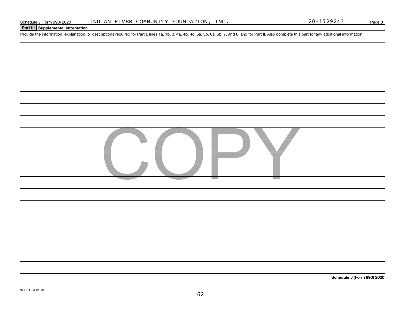## **Part III Supplemental Information**

Schedule J (Form 990) 2020 INDIAN RIVER COMMUNITY FOUNDATION, INC.<br>Part III Supplemental Information<br>Provide the information, explanation, or descriptions required for Part I, lines 1a, 1b, 3, 4a, 4b, 4c, 5a, 5b, 6a, 6b,

| CODY |
|------|
|      |
|      |
|      |
|      |
|      |
|      |
|      |
|      |
|      |
|      |
|      |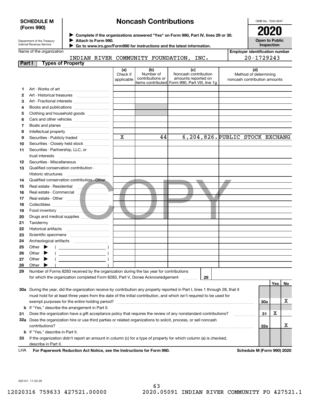### **SCHEDULE M (Form 990)**

## **Noncash Contributions**

OMB No. 1545-0047

| Department of the Treasury |
|----------------------------|
| Internal Revenue Service   |

**Complete if the organizations answered "Yes" on Form 990, Part IV, lines 29 or 30.** <sup>J</sup>**2020 Attach to Form 990.** J

**Open to Public Inspection**

|  | Name of the organization |
|--|--------------------------|
|  |                          |

 **Go to www.irs.gov/Form990 for instructions and the latest information.** J

|        | lame of the organization |                                    |     |              |      | <b>Employer identification number</b> |
|--------|--------------------------|------------------------------------|-----|--------------|------|---------------------------------------|
|        |                          | INDIAN RIVER COMMUNITY FOUNDATION, |     |              | INC. | $20 - 1729243$                        |
| Part I | <b>Types of Property</b> |                                    |     |              |      |                                       |
|        |                          |                                    | (a) | $\mathbf{r}$ | ΙC   | (d)                                   |

|    |                                                                                                                                | (a)         | (b)                           | (c)                                            | (d)                                                   |     |     |    |
|----|--------------------------------------------------------------------------------------------------------------------------------|-------------|-------------------------------|------------------------------------------------|-------------------------------------------------------|-----|-----|----|
|    |                                                                                                                                | Check if    | Number of<br>contributions or | Noncash contribution<br>amounts reported on    | Method of determining<br>noncash contribution amounts |     |     |    |
|    |                                                                                                                                | applicable  |                               | items contributed Form 990, Part VIII, line 1q |                                                       |     |     |    |
| 1  |                                                                                                                                |             |                               |                                                |                                                       |     |     |    |
| 2  |                                                                                                                                |             |                               |                                                |                                                       |     |     |    |
| З  | Art - Fractional interests                                                                                                     |             |                               |                                                |                                                       |     |     |    |
| 4  | Books and publications                                                                                                         |             |                               |                                                |                                                       |     |     |    |
| 5  | Clothing and household goods                                                                                                   |             |                               |                                                |                                                       |     |     |    |
| 6  |                                                                                                                                |             |                               |                                                |                                                       |     |     |    |
| 7  |                                                                                                                                |             |                               |                                                |                                                       |     |     |    |
| 8  | Intellectual property                                                                                                          |             |                               |                                                |                                                       |     |     |    |
| 9  |                                                                                                                                | $\mathbf x$ | 44                            |                                                | 6, 204, 826. PUBLIC STOCK EXCHANG                     |     |     |    |
| 10 | Securities - Closely held stock                                                                                                |             |                               |                                                |                                                       |     |     |    |
| 11 | Securities - Partnership, LLC, or                                                                                              |             |                               |                                                |                                                       |     |     |    |
|    | trust interests                                                                                                                |             |                               |                                                |                                                       |     |     |    |
| 12 |                                                                                                                                |             |                               |                                                |                                                       |     |     |    |
| 13 | Qualified conservation contribution -                                                                                          |             |                               |                                                |                                                       |     |     |    |
|    |                                                                                                                                |             |                               |                                                |                                                       |     |     |    |
| 14 | Qualified conservation contribution - Other                                                                                    |             |                               |                                                |                                                       |     |     |    |
| 15 |                                                                                                                                |             |                               |                                                |                                                       |     |     |    |
| 16 |                                                                                                                                |             |                               |                                                |                                                       |     |     |    |
| 17 |                                                                                                                                |             |                               |                                                |                                                       |     |     |    |
| 18 |                                                                                                                                |             |                               |                                                |                                                       |     |     |    |
| 19 |                                                                                                                                |             |                               |                                                |                                                       |     |     |    |
|    |                                                                                                                                |             |                               |                                                |                                                       |     |     |    |
| 20 |                                                                                                                                |             |                               |                                                |                                                       |     |     |    |
| 21 |                                                                                                                                |             |                               |                                                |                                                       |     |     |    |
| 22 |                                                                                                                                |             |                               |                                                |                                                       |     |     |    |
| 23 |                                                                                                                                |             |                               |                                                |                                                       |     |     |    |
| 24 |                                                                                                                                |             |                               |                                                |                                                       |     |     |    |
| 25 | Other $\blacktriangleright$                                                                                                    |             |                               |                                                |                                                       |     |     |    |
| 26 | Other<br>▶                                                                                                                     |             |                               |                                                |                                                       |     |     |    |
| 27 | Other<br>▶                                                                                                                     |             |                               |                                                |                                                       |     |     |    |
| 28 | Other                                                                                                                          |             |                               |                                                |                                                       |     |     |    |
| 29 | Number of Forms 8283 received by the organization during the tax year for contributions                                        |             |                               |                                                |                                                       |     |     |    |
|    | for which the organization completed Form 8283, Part V, Donee Acknowledgement                                                  |             |                               | 29<br>.                                        |                                                       |     |     |    |
|    |                                                                                                                                |             |                               |                                                |                                                       |     | Yes | No |
|    | 30a During the year, did the organization receive by contribution any property reported in Part I, lines 1 through 28, that it |             |                               |                                                |                                                       |     |     |    |
|    | must hold for at least three years from the date of the initial contribution, and which isn't required to be used for          |             |                               |                                                |                                                       |     |     |    |
|    | exempt purposes for the entire holding period?                                                                                 |             |                               |                                                |                                                       | 30a |     | х  |
|    | <b>b</b> If "Yes," describe the arrangement in Part II.                                                                        |             |                               |                                                |                                                       |     |     |    |
| 31 | Does the organization have a gift acceptance policy that requires the review of any nonstandard contributions?                 |             |                               |                                                |                                                       | 31  | х   |    |
|    | 32a Does the organization hire or use third parties or related organizations to solicit, process, or sell noncash              |             |                               |                                                |                                                       |     |     |    |
|    | contributions?                                                                                                                 |             |                               |                                                |                                                       | 32a |     | x  |
|    | <b>b</b> If "Yes," describe in Part II.                                                                                        |             |                               |                                                |                                                       |     |     |    |
| 33 | If the organization didn't report an amount in column (c) for a type of property for which column (a) is checked,              |             |                               |                                                |                                                       |     |     |    |
|    | describe in Part II.                                                                                                           |             |                               |                                                |                                                       |     |     |    |

For Paperwork Reduction Act Notice, see the Instructions for Form 990. Schedule M (Form 990) 2020 LHA

032141 11-23-20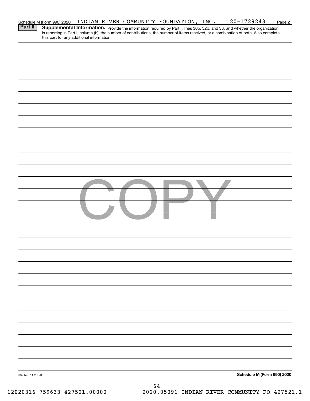| <b>Part II</b>  | Schedule M (Form 990) 2020 |                                           | INDIAN RIVER COMMUNITY FOUNDATION, INC. | $20 - 1729243$                                                                                                                                                                                                                      | Page 2 |
|-----------------|----------------------------|-------------------------------------------|-----------------------------------------|-------------------------------------------------------------------------------------------------------------------------------------------------------------------------------------------------------------------------------------|--------|
|                 |                            | this part for any additional information. |                                         | <b>Supplemental Information.</b> Provide the information required by Part I, lines 30b, 32b, and 33, and whether the organization is reporting in Part I, column (b), the number of contributions, the number of items received, or |        |
|                 |                            |                                           |                                         |                                                                                                                                                                                                                                     |        |
|                 |                            |                                           |                                         |                                                                                                                                                                                                                                     |        |
|                 |                            |                                           |                                         |                                                                                                                                                                                                                                     |        |
|                 |                            |                                           |                                         |                                                                                                                                                                                                                                     |        |
|                 |                            |                                           |                                         |                                                                                                                                                                                                                                     |        |
|                 |                            |                                           |                                         |                                                                                                                                                                                                                                     |        |
|                 |                            |                                           |                                         |                                                                                                                                                                                                                                     |        |
|                 |                            |                                           |                                         |                                                                                                                                                                                                                                     |        |
|                 |                            |                                           |                                         |                                                                                                                                                                                                                                     |        |
|                 |                            |                                           |                                         |                                                                                                                                                                                                                                     |        |
|                 |                            |                                           |                                         |                                                                                                                                                                                                                                     |        |
|                 |                            |                                           |                                         |                                                                                                                                                                                                                                     |        |
|                 |                            |                                           |                                         |                                                                                                                                                                                                                                     |        |
|                 |                            |                                           |                                         |                                                                                                                                                                                                                                     |        |
|                 |                            |                                           |                                         |                                                                                                                                                                                                                                     |        |
|                 |                            |                                           |                                         |                                                                                                                                                                                                                                     |        |
|                 |                            |                                           |                                         |                                                                                                                                                                                                                                     |        |
|                 |                            |                                           |                                         |                                                                                                                                                                                                                                     |        |
|                 |                            |                                           |                                         |                                                                                                                                                                                                                                     |        |
|                 |                            |                                           |                                         |                                                                                                                                                                                                                                     |        |
|                 |                            |                                           |                                         |                                                                                                                                                                                                                                     |        |
|                 |                            |                                           |                                         |                                                                                                                                                                                                                                     |        |
|                 |                            |                                           |                                         |                                                                                                                                                                                                                                     |        |
|                 |                            |                                           |                                         |                                                                                                                                                                                                                                     |        |
|                 |                            |                                           |                                         |                                                                                                                                                                                                                                     |        |
|                 |                            |                                           |                                         |                                                                                                                                                                                                                                     |        |
|                 |                            |                                           |                                         |                                                                                                                                                                                                                                     |        |
|                 |                            |                                           |                                         |                                                                                                                                                                                                                                     |        |
|                 |                            |                                           |                                         |                                                                                                                                                                                                                                     |        |
|                 |                            |                                           |                                         |                                                                                                                                                                                                                                     |        |
| 032142 11-23-20 |                            |                                           |                                         | Schedule M (Form 990) 2020                                                                                                                                                                                                          |        |
|                 |                            |                                           | 64                                      |                                                                                                                                                                                                                                     |        |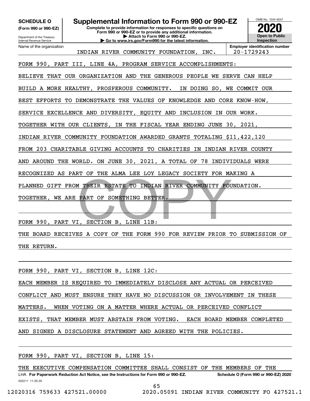**(Form 990 or 990-EZ)**

Department of the Treasury Internal Revenue Service Name of the organization

**Complete to provide information for responses to specific questions on Form 990 or 990-EZ or to provide any additional information. | Attach to Form 990 or 990-EZ. | Go to www.irs.gov/Form990 for the latest information. SCHEDULE O Supplemental Information to Form 990 or 990-EZ**



INDIAN RIVER COMMUNITY FOUNDATION, INC. 20-1729243

FORM 990, PART III, LINE 4A, PROGRAM SERVICE ACCOMPLISHMENTS:

BELIEVE THAT OUR ORGANIZATION AND THE GENEROUS PEOPLE WE SERVE CAN HELP

BUILD A MORE HEALTHY, PROSPEROUS COMMUNITY. IN DOING SO, WE COMMIT OUR

BEST EFFORTS TO DEMONSTRATE THE VALUES OF KNOWLEDGE AND CORE KNOW-HOW,

SERVICE EXCELLENCE AND DIVERSITY, EQUITY AND INCLUSION IN OUR WORK.

TOGETHER WITH OUR CLIENTS, IN THE FISCAL YEAR ENDING JUNE 30, 2021,

INDIAN RIVER COMMUNITY FOUNDATION AWARDED GRANTS TOTALING \$11,422,120

FROM 203 CHARITABLE GIVING ACCOUNTS TO CHARITIES IN INDIAN RIVER COUNTY

AND AROUND THE WORLD. ON JUNE 30, 2021, A TOTAL OF 78 INDIVIDUALS WERE

RECOGNIZED AS PART OF THE ALMA LEE LOY LEGACY SOCIETY FOR MAKING A

THEIR ESTATE TO INDIAN RIVER COMMUNITY FOU PLANNED GIFT FROM THEIR ESTATE TO INDIAN RIVER COMMUNITY FOUNDATION.

TOGETHER, WE ARE PART OF SOMETHING BETTER.

FORM 990, PART VI, SECTION B, LINE 11B:

THE BOARD RECEIVES A COPY OF THE FORM 990 FOR REVIEW PRIOR TO SUBMISSION OF THE RETURN.

FORM 990, PART VI, SECTION B, LINE 12C:

EACH MEMBER IS REQUIRED TO IMMEDIATELY DISCLOSE ANY ACTUAL OR PERCEIVED

CONFLICT AND MUST ENSURE THEY HAVE NO DISCUSSION OR INVOLVEMENT IN THESE

MATTERS. WHEN VOTING ON A MATTER WHERE ACTUAL OR PERCEIVED CONFLICT

EXISTS, THAT MEMBER MUST ABSTAIN FROM VOTING. EACH BOARD MEMBER COMPLETED

AND SIGNED A DISCLOSURE STATEMENT AND AGREED WITH THE POLICIES.

FORM 990, PART VI, SECTION B, LINE 15:

THE EXECUTIVE COMPENSATION COMMITTEE SHALL CONSIST OF THE MEMBERS OF THE

032211 11-20-20 LHA For Paperwork Reduction Act Notice, see the Instructions for Form 990 or 990-EZ. Schedule O (Form 990 or 990-EZ) 2020 65